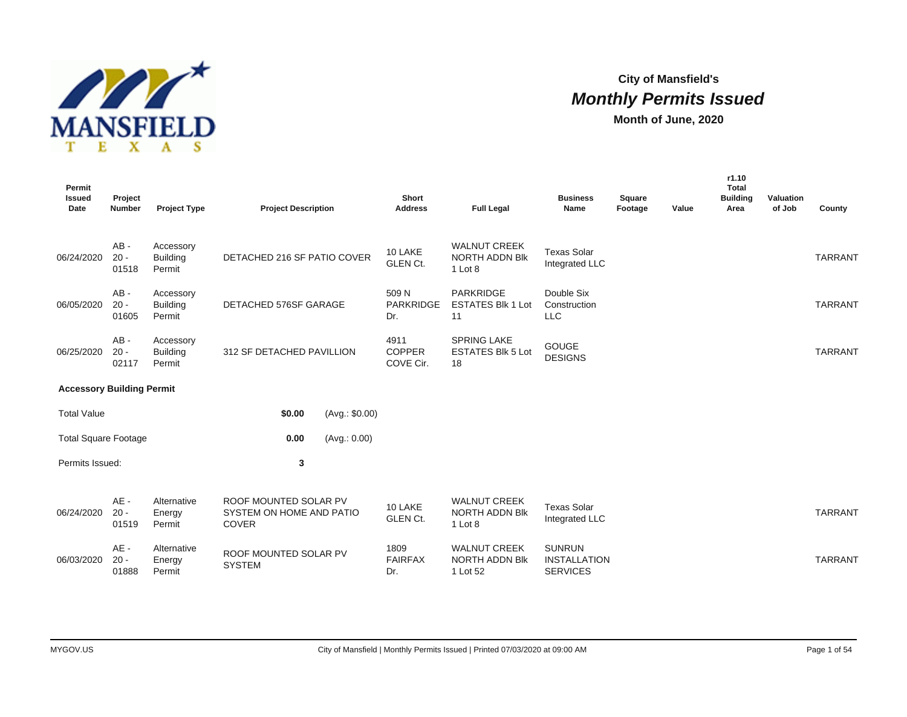

# **City of Mansfield's Monthly Permits Issued**

**Month of June, 2020**

| Permit<br><b>Issued</b><br>Date  | Project<br><b>Number</b>  | <b>Project Type</b>                    | <b>Project Description</b>                                        |                | Short<br><b>Address</b>            | <b>Full Legal</b>                                        | <b>Business</b><br>Name                                 | Square<br>Footage | Value | r1.10<br>Total<br><b>Building</b><br>Area | Valuation<br>of Job | County         |
|----------------------------------|---------------------------|----------------------------------------|-------------------------------------------------------------------|----------------|------------------------------------|----------------------------------------------------------|---------------------------------------------------------|-------------------|-------|-------------------------------------------|---------------------|----------------|
| 06/24/2020                       | $AB -$<br>$20 -$<br>01518 | Accessory<br><b>Building</b><br>Permit | DETACHED 216 SF PATIO COVER                                       |                | 10 LAKE<br><b>GLEN Ct.</b>         | <b>WALNUT CREEK</b><br><b>NORTH ADDN BIK</b><br>1 Lot 8  | <b>Texas Solar</b><br>Integrated LLC                    |                   |       |                                           |                     | <b>TARRANT</b> |
| 06/05/2020                       | $AB -$<br>$20 -$<br>01605 | Accessory<br><b>Building</b><br>Permit | DETACHED 576SF GARAGE                                             |                | 509 N<br><b>PARKRIDGE</b><br>Dr.   | <b>PARKRIDGE</b><br><b>ESTATES Blk 1 Lot</b><br>11       | Double Six<br>Construction<br><b>LLC</b>                |                   |       |                                           |                     | <b>TARRANT</b> |
| 06/25/2020                       | $AB -$<br>$20 -$<br>02117 | Accessory<br><b>Building</b><br>Permit | 312 SF DETACHED PAVILLION                                         |                | 4911<br><b>COPPER</b><br>COVE Cir. | <b>SPRING LAKE</b><br><b>ESTATES Blk 5 Lot</b><br>18     | <b>GOUGE</b><br><b>DESIGNS</b>                          |                   |       |                                           |                     | <b>TARRANT</b> |
| <b>Accessory Building Permit</b> |                           |                                        |                                                                   |                |                                    |                                                          |                                                         |                   |       |                                           |                     |                |
| <b>Total Value</b>               |                           |                                        | \$0.00                                                            | (Avg.: \$0.00) |                                    |                                                          |                                                         |                   |       |                                           |                     |                |
| <b>Total Square Footage</b>      |                           |                                        | 0.00                                                              | (Avg.: 0.00)   |                                    |                                                          |                                                         |                   |       |                                           |                     |                |
| Permits Issued:                  |                           |                                        | 3                                                                 |                |                                    |                                                          |                                                         |                   |       |                                           |                     |                |
| 06/24/2020                       | $AE -$<br>$20 -$<br>01519 | Alternative<br>Energy<br>Permit        | ROOF MOUNTED SOLAR PV<br>SYSTEM ON HOME AND PATIO<br><b>COVER</b> |                | 10 LAKE<br><b>GLEN Ct.</b>         | <b>WALNUT CREEK</b><br><b>NORTH ADDN Blk</b><br>1 Lot 8  | <b>Texas Solar</b><br>Integrated LLC                    |                   |       |                                           |                     | <b>TARRANT</b> |
| 06/03/2020                       | AE-<br>$20 -$<br>01888    | Alternative<br>Energy<br>Permit        | ROOF MOUNTED SOLAR PV<br><b>SYSTEM</b>                            |                | 1809<br><b>FAIRFAX</b><br>Dr.      | <b>WALNUT CREEK</b><br><b>NORTH ADDN BIK</b><br>1 Lot 52 | <b>SUNRUN</b><br><b>INSTALLATION</b><br><b>SERVICES</b> |                   |       |                                           |                     | <b>TARRANT</b> |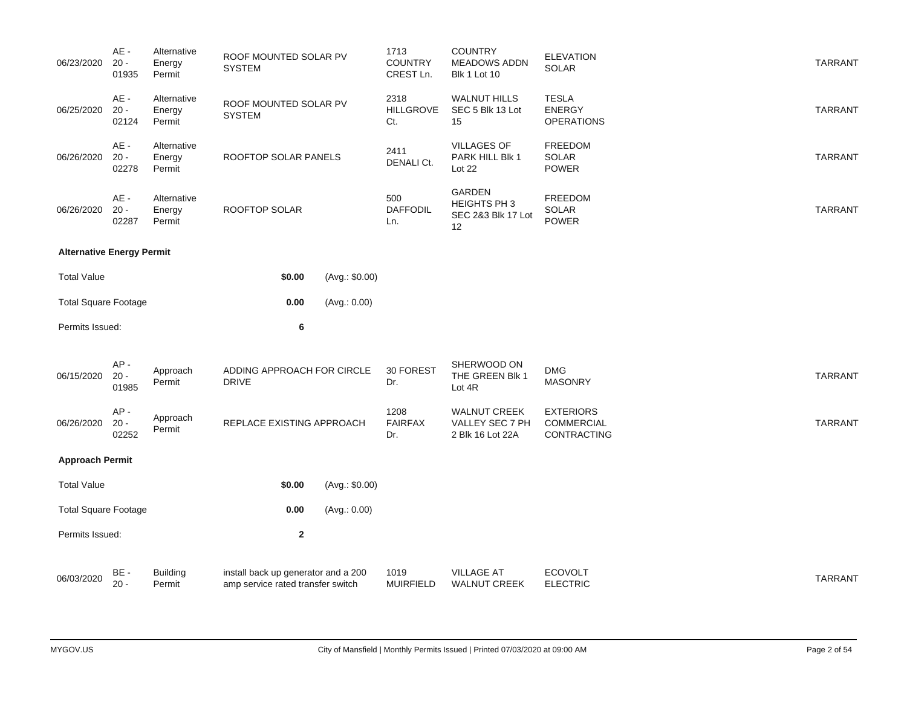| 06/23/2020                       | AE -<br>$20 -$<br>01935   | Alternative<br>Energy<br>Permit | ROOF MOUNTED SOLAR PV<br><b>SYSTEM</b>     |                | 1713<br><b>COUNTRY</b><br>CREST Ln. | <b>COUNTRY</b><br><b>MEADOWS ADDN</b><br><b>Blk 1 Lot 10</b> | <b>ELEVATION</b><br>SOLAR                            | <b>TARRANT</b> |
|----------------------------------|---------------------------|---------------------------------|--------------------------------------------|----------------|-------------------------------------|--------------------------------------------------------------|------------------------------------------------------|----------------|
| 06/25/2020                       | AE -<br>$20 -$<br>02124   | Alternative<br>Energy<br>Permit | ROOF MOUNTED SOLAR PV<br><b>SYSTEM</b>     |                | 2318<br><b>HILLGROVE</b><br>Ct.     | <b>WALNUT HILLS</b><br>SEC 5 Blk 13 Lot<br>15                | <b>TESLA</b><br><b>ENERGY</b><br><b>OPERATIONS</b>   | <b>TARRANT</b> |
| 06/26/2020                       | $AE -$<br>$20 -$<br>02278 | Alternative<br>Energy<br>Permit | ROOFTOP SOLAR PANELS                       |                | 2411<br>DENALI Ct.                  | <b>VILLAGES OF</b><br>PARK HILL Blk 1<br>Lot 22              | FREEDOM<br>SOLAR<br><b>POWER</b>                     | <b>TARRANT</b> |
| 06/26/2020                       | AE -<br>$20 -$<br>02287   | Alternative<br>Energy<br>Permit | ROOFTOP SOLAR                              |                | 500<br><b>DAFFODIL</b><br>Ln.       | <b>GARDEN</b><br>HEIGHTS PH 3<br>SEC 2&3 Blk 17 Lot<br>12    | FREEDOM<br>SOLAR<br>POWER                            | <b>TARRANT</b> |
| <b>Alternative Energy Permit</b> |                           |                                 |                                            |                |                                     |                                                              |                                                      |                |
| <b>Total Value</b>               |                           |                                 | \$0.00                                     | (Avg.: \$0.00) |                                     |                                                              |                                                      |                |
| <b>Total Square Footage</b>      |                           |                                 | 0.00                                       | (Avg.: 0.00)   |                                     |                                                              |                                                      |                |
| Permits Issued:                  |                           |                                 | 6                                          |                |                                     |                                                              |                                                      |                |
| 06/15/2020                       | $AP -$<br>$20 -$<br>01985 | Approach<br>Permit              | ADDING APPROACH FOR CIRCLE<br><b>DRIVE</b> |                | 30 FOREST<br>Dr.                    | SHERWOOD ON<br>THE GREEN Blk 1<br>Lot 4R                     | <b>DMG</b><br><b>MASONRY</b>                         | <b>TARRANT</b> |
| 06/26/2020                       | AP-<br>$20 -$<br>02252    | Approach<br>Permit              | REPLACE EXISTING APPROACH                  |                | 1208<br><b>FAIRFAX</b><br>Dr.       | <b>WALNUT CREEK</b><br>VALLEY SEC 7 PH<br>2 Blk 16 Lot 22A   | <b>EXTERIORS</b><br>COMMERCIAL<br><b>CONTRACTING</b> | <b>TARRANT</b> |
| <b>Approach Permit</b>           |                           |                                 |                                            |                |                                     |                                                              |                                                      |                |
|                                  |                           |                                 |                                            |                |                                     |                                                              |                                                      |                |
| <b>Total Value</b>               |                           |                                 | \$0.00                                     | (Avg.: \$0.00) |                                     |                                                              |                                                      |                |
| <b>Total Square Footage</b>      |                           |                                 | 0.00                                       | (Avg.: 0.00)   |                                     |                                                              |                                                      |                |
| Permits Issued:                  |                           |                                 | $\mathbf 2$                                |                |                                     |                                                              |                                                      |                |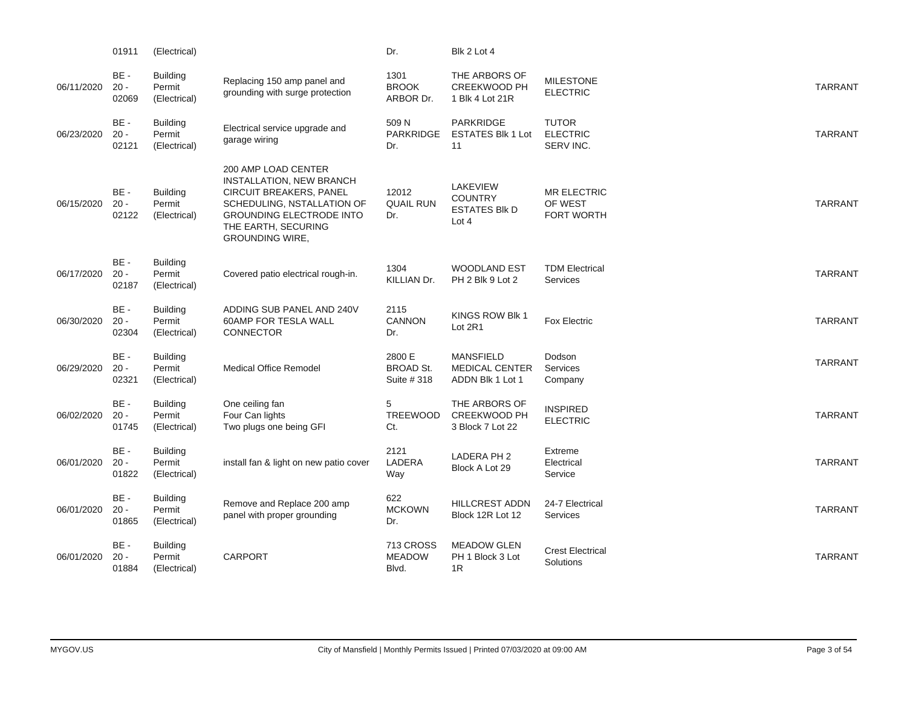|            | 01911                     | (Electrical)                              |                                                                                                                                                                                                            | Dr.                                       | Blk 2 Lot 4                                                        |                                                    |                |
|------------|---------------------------|-------------------------------------------|------------------------------------------------------------------------------------------------------------------------------------------------------------------------------------------------------------|-------------------------------------------|--------------------------------------------------------------------|----------------------------------------------------|----------------|
| 06/11/2020 | BE-<br>$20 -$<br>02069    | <b>Building</b><br>Permit<br>(Electrical) | Replacing 150 amp panel and<br>grounding with surge protection                                                                                                                                             | 1301<br><b>BROOK</b><br>ARBOR Dr.         | THE ARBORS OF<br><b>CREEKWOOD PH</b><br>1 Blk 4 Lot 21R            | <b>MILESTONE</b><br><b>ELECTRIC</b>                | <b>TARRANT</b> |
| 06/23/2020 | BE -<br>$20 -$<br>02121   | <b>Building</b><br>Permit<br>(Electrical) | Electrical service upgrade and<br>garage wiring                                                                                                                                                            | 509 N<br><b>PARKRIDGE</b><br>Dr.          | <b>PARKRIDGE</b><br><b>ESTATES Blk 1 Lot</b><br>11                 | <b>TUTOR</b><br><b>ELECTRIC</b><br>SERV INC.       | <b>TARRANT</b> |
| 06/15/2020 | BE-<br>$20 -$<br>02122    | <b>Building</b><br>Permit<br>(Electrical) | 200 AMP LOAD CENTER<br><b>INSTALLATION, NEW BRANCH</b><br><b>CIRCUIT BREAKERS, PANEL</b><br>SCHEDULING, NSTALLATION OF<br><b>GROUNDING ELECTRODE INTO</b><br>THE EARTH, SECURING<br><b>GROUNDING WIRE,</b> | 12012<br><b>QUAIL RUN</b><br>Dr.          | <b>LAKEVIEW</b><br><b>COUNTRY</b><br><b>ESTATES BIK D</b><br>Lot 4 | <b>MR ELECTRIC</b><br>OF WEST<br><b>FORT WORTH</b> | <b>TARRANT</b> |
| 06/17/2020 | BE-<br>$20 -$<br>02187    | Building<br>Permit<br>(Electrical)        | Covered patio electrical rough-in.                                                                                                                                                                         | 1304<br>KILLIAN Dr.                       | <b>WOODLAND EST</b><br>PH 2 Blk 9 Lot 2                            | <b>TDM Electrical</b><br>Services                  | <b>TARRANT</b> |
| 06/30/2020 | BE-<br>$20 -$<br>02304    | <b>Building</b><br>Permit<br>(Electrical) | ADDING SUB PANEL AND 240V<br>60AMP FOR TESLA WALL<br>CONNECTOR                                                                                                                                             | 2115<br><b>CANNON</b><br>Dr.              | KINGS ROW Blk 1<br>Lot 2R1                                         | <b>Fox Electric</b>                                | <b>TARRANT</b> |
| 06/29/2020 | BE -<br>$20 -$<br>02321   | <b>Building</b><br>Permit<br>(Electrical) | <b>Medical Office Remodel</b>                                                                                                                                                                              | 2800 E<br><b>BROAD St.</b><br>Suite # 318 | <b>MANSFIELD</b><br><b>MEDICAL CENTER</b><br>ADDN Blk 1 Lot 1      | Dodson<br><b>Services</b><br>Company               | <b>TARRANT</b> |
| 06/02/2020 | BE-<br>$20 -$<br>01745    | <b>Building</b><br>Permit<br>(Electrical) | One ceiling fan<br>Four Can lights<br>Two plugs one being GFI                                                                                                                                              | 5<br>TREEWOOD<br>Ct.                      | THE ARBORS OF<br>CREEKWOOD PH<br>3 Block 7 Lot 22                  | <b>INSPIRED</b><br><b>ELECTRIC</b>                 | <b>TARRANT</b> |
| 06/01/2020 | BE-<br>$20 -$<br>01822    | <b>Building</b><br>Permit<br>(Electrical) | install fan & light on new patio cover                                                                                                                                                                     | 2121<br>LADERA<br>Way                     | LADERA PH 2<br>Block A Lot 29                                      | Extreme<br>Electrical<br>Service                   | <b>TARRANT</b> |
| 06/01/2020 | $BE -$<br>$20 -$<br>01865 | <b>Building</b><br>Permit<br>(Electrical) | Remove and Replace 200 amp<br>panel with proper grounding                                                                                                                                                  | 622<br><b>MCKOWN</b><br>Dr.               | <b>HILLCREST ADDN</b><br>Block 12R Lot 12                          | 24-7 Electrical<br>Services                        | <b>TARRANT</b> |
| 06/01/2020 | BE-<br>$20 -$<br>01884    | <b>Building</b><br>Permit<br>(Electrical) | <b>CARPORT</b>                                                                                                                                                                                             | 713 CROSS<br><b>MEADOW</b><br>Blvd.       | <b>MEADOW GLEN</b><br>PH 1 Block 3 Lot<br>1R                       | <b>Crest Electrical</b><br>Solutions               | <b>TARRANT</b> |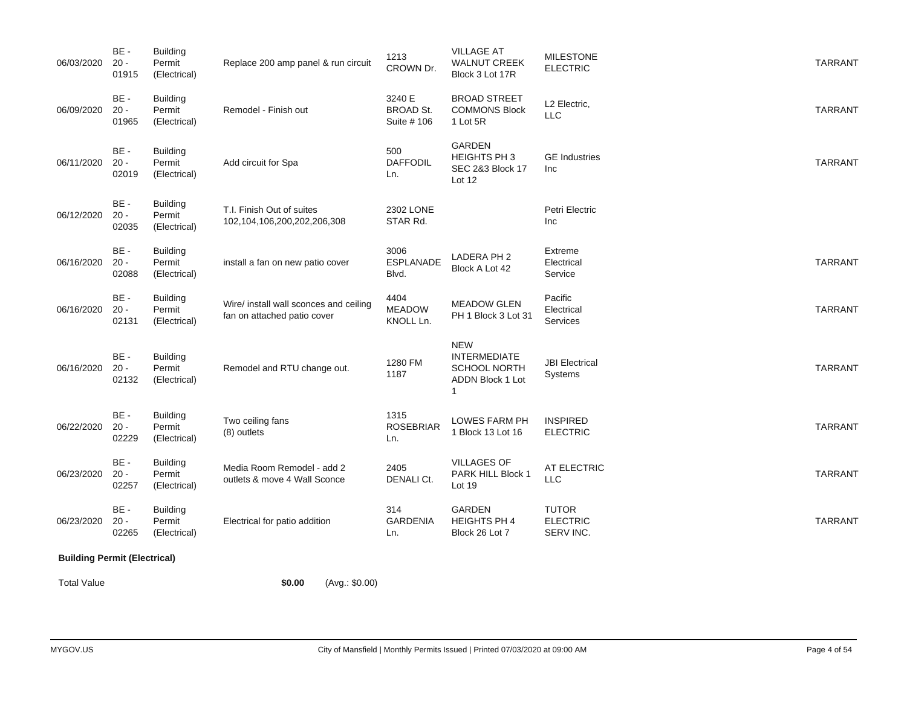| 06/03/2020                          | BE-<br>$20 -$<br>01915    | Building<br>Permit<br>(Electrical)        | Replace 200 amp panel & run circuit                                   | 1213<br>CROWN Dr.                         | <b>VILLAGE AT</b><br>WALNUT CREEK<br>Block 3 Lot 17R                              | <b>MILESTONE</b><br><b>ELECTRIC</b>          | <b>TARRANT</b> |
|-------------------------------------|---------------------------|-------------------------------------------|-----------------------------------------------------------------------|-------------------------------------------|-----------------------------------------------------------------------------------|----------------------------------------------|----------------|
| 06/09/2020                          | BE-<br>$20 -$<br>01965    | <b>Building</b><br>Permit<br>(Electrical) | Remodel - Finish out                                                  | 3240 E<br><b>BROAD St.</b><br>Suite # 106 | BROAD STREET<br><b>COMMONS Block</b><br>1 Lot 5R                                  | L2 Electric,<br>LLC                          | <b>TARRANT</b> |
| 06/11/2020                          | BE-<br>$20 -$<br>02019    | <b>Building</b><br>Permit<br>(Electrical) | Add circuit for Spa                                                   | 500<br><b>DAFFODIL</b><br>Ln.             | GARDEN<br>HEIGHTS PH 3<br><b>SEC 2&amp;3 Block 17</b><br>Lot 12                   | <b>GE</b> Industries<br>Inc                  | <b>TARRANT</b> |
| 06/12/2020                          | BE-<br>$20 -$<br>02035    | <b>Building</b><br>Permit<br>(Electrical) | T.I. Finish Out of suites<br>102,104,106,200,202,206,308              | 2302 LONE<br>STAR Rd.                     |                                                                                   | Petri Electric<br>Inc                        |                |
| 06/16/2020                          | BE -<br>$20 -$<br>02088   | <b>Building</b><br>Permit<br>(Electrical) | install a fan on new patio cover                                      | 3006<br><b>ESPLANADE</b><br>Blvd.         | LADERA PH 2<br>Block A Lot 42                                                     | Extreme<br>Electrical<br>Service             | <b>TARRANT</b> |
| 06/16/2020                          | BE-<br>$20 -$<br>02131    | <b>Building</b><br>Permit<br>(Electrical) | Wire/ install wall sconces and ceiling<br>fan on attached patio cover | 4404<br><b>MEADOW</b><br>KNOLL Ln.        | <b>MEADOW GLEN</b><br>PH 1 Block 3 Lot 31                                         | Pacific<br>Electrical<br>Services            | <b>TARRANT</b> |
| 06/16/2020                          | $BE -$<br>$20 -$<br>02132 | <b>Building</b><br>Permit<br>(Electrical) | Remodel and RTU change out.                                           | 1280 FM<br>1187                           | <b>NEW</b><br><b>INTERMEDIATE</b><br><b>SCHOOL NORTH</b><br>ADDN Block 1 Lot<br>1 | <b>JBI</b> Electrical<br><b>Systems</b>      | <b>TARRANT</b> |
| 06/22/2020                          | BE-<br>$20 -$<br>02229    | <b>Building</b><br>Permit<br>(Electrical) | Two ceiling fans<br>(8) outlets                                       | 1315<br><b>ROSEBRIAR</b><br>Ln.           | LOWES FARM PH<br>1 Block 13 Lot 16                                                | <b>INSPIRED</b><br><b>ELECTRIC</b>           | <b>TARRANT</b> |
| 06/23/2020                          | BE -<br>$20 -$<br>02257   | <b>Building</b><br>Permit<br>(Electrical) | Media Room Remodel - add 2<br>outlets & move 4 Wall Sconce            | 2405<br><b>DENALI Ct.</b>                 | <b>VILLAGES OF</b><br>PARK HILL Block 1<br>Lot 19                                 | AT ELECTRIC<br>LLC                           | <b>TARRANT</b> |
| 06/23/2020                          | BE-<br>$20 -$<br>02265    | Building<br>Permit<br>(Electrical)        | Electrical for patio addition                                         | 314<br><b>GARDENIA</b><br>Ln.             | <b>GARDEN</b><br>HEIGHTS PH 4<br>Block 26 Lot 7                                   | <b>TUTOR</b><br><b>ELECTRIC</b><br>SERV INC. | <b>TARRANT</b> |
| <b>Building Permit (Electrical)</b> |                           |                                           |                                                                       |                                           |                                                                                   |                                              |                |

Total Value **\$0.00** (Avg.: \$0.00)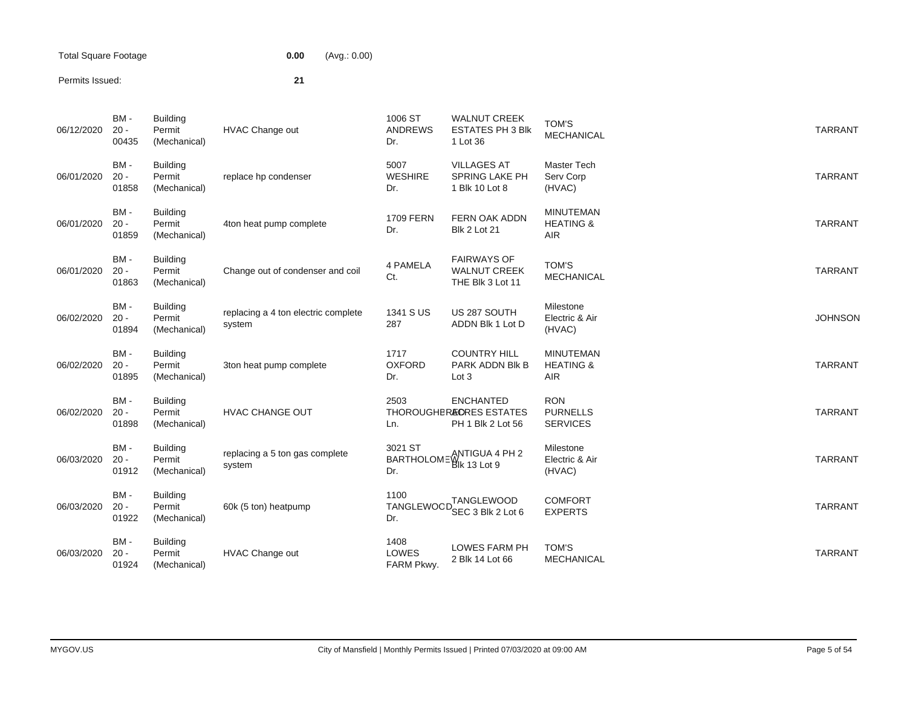Total Square Footage **0.00** (Avg.: 0.00)

## Permits Issued: **21**

| 06/12/2020 | BM-<br>$20 -$<br>00435 | <b>Building</b><br>Permit<br>(Mechanical) | <b>HVAC Change out</b>                        | 1006 ST<br><b>ANDREWS</b><br>Dr. | <b>WALNUT CREEK</b><br><b>ESTATES PH 3 Blk</b><br>1 Lot 36                  | TOM'S<br><b>MECHANICAL</b>                             | <b>TARRANT</b> |
|------------|------------------------|-------------------------------------------|-----------------------------------------------|----------------------------------|-----------------------------------------------------------------------------|--------------------------------------------------------|----------------|
| 06/01/2020 | BM-<br>$20 -$<br>01858 | <b>Building</b><br>Permit<br>(Mechanical) | replace hp condenser                          | 5007<br><b>WESHIRE</b><br>Dr.    | <b>VILLAGES AT</b><br>SPRING LAKE PH<br>1 Blk 10 Lot 8                      | Master Tech<br>Serv Corp<br>(HVAC)                     | <b>TARRANT</b> |
| 06/01/2020 | BM-<br>$20 -$<br>01859 | <b>Building</b><br>Permit<br>(Mechanical) | 4ton heat pump complete                       | <b>1709 FERN</b><br>Dr.          | FERN OAK ADDN<br><b>Blk 2 Lot 21</b>                                        | <b>MINUTEMAN</b><br><b>HEATING &amp;</b><br>AIR        | <b>TARRANT</b> |
| 06/01/2020 | BM-<br>$20 -$<br>01863 | <b>Building</b><br>Permit<br>(Mechanical) | Change out of condenser and coil              | 4 PAMELA<br>Ct.                  | <b>FAIRWAYS OF</b><br><b>WALNUT CREEK</b><br>THE Blk 3 Lot 11               | TOM'S<br>MECHANICAL                                    | <b>TARRANT</b> |
| 06/02/2020 | BM-<br>$20 -$<br>01894 | <b>Building</b><br>Permit<br>(Mechanical) | replacing a 4 ton electric complete<br>system | 1341 S US<br>287                 | US 287 SOUTH<br>ADDN Blk 1 Lot D                                            | Milestone<br>Electric & Air<br>(HVAC)                  | <b>JOHNSON</b> |
| 06/02/2020 | BM-<br>$20 -$<br>01895 | <b>Building</b><br>Permit<br>(Mechanical) | 3ton heat pump complete                       | 1717<br><b>OXFORD</b><br>Dr.     | <b>COUNTRY HILL</b><br>PARK ADDN BIK B<br>Lot 3                             | <b>MINUTEMAN</b><br><b>HEATING &amp;</b><br><b>AIR</b> | <b>TARRANT</b> |
| 06/02/2020 | BM-<br>$20 -$<br>01898 | <b>Building</b><br>Permit<br>(Mechanical) | <b>HVAC CHANGE OUT</b>                        | 2503<br>Ln.                      | <b>ENCHANTED</b><br><b>THOROUGHER&amp;ORES ESTATES</b><br>PH 1 Blk 2 Lot 56 | <b>RON</b><br><b>PURNELLS</b><br><b>SERVICES</b>       | <b>TARRANT</b> |
| 06/03/2020 | BM-<br>$20 -$<br>01912 | <b>Building</b><br>Permit<br>(Mechanical) | replacing a 5 ton gas complete<br>system      | 3021 ST<br>Dr.                   | SUZT ST<br>BARTHOLOME BIK 13 Lot 9                                          | Milestone<br>Electric & Air<br>(HVAC)                  | <b>TARRANT</b> |
| 06/03/2020 | BM-<br>$20 -$<br>01922 | <b>Building</b><br>Permit<br>(Mechanical) | 60k (5 ton) heatpump                          | 1100<br>TANGLEWOOD<br>Dr.        | <b>TANGLEWOOD</b><br>SEC 3 Blk 2 Lot 6                                      | <b>COMFORT</b><br><b>EXPERTS</b>                       | <b>TARRANT</b> |
| 06/03/2020 | BM-<br>$20 -$<br>01924 | <b>Building</b><br>Permit<br>(Mechanical) | <b>HVAC Change out</b>                        | 1408<br>LOWES<br>FARM Pkwy.      | <b>LOWES FARM PH</b><br>2 Blk 14 Lot 66                                     | <b>TOM'S</b><br><b>MECHANICAL</b>                      | <b>TARRANT</b> |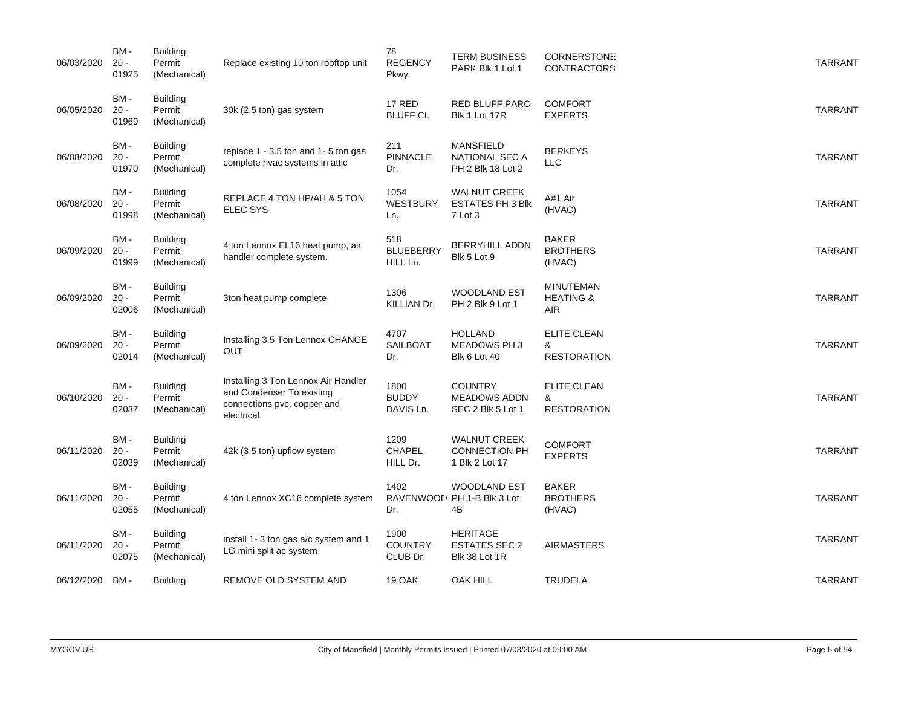| 06/03/2020 | BM-<br>$20 -$<br>01925  | <b>Building</b><br>Permit<br>(Mechanical) | Replace existing 10 ton rooftop unit                                                                           | 78<br><b>REGENCY</b><br>Pkwy.       | <b>TERM BUSINESS</b><br>PARK Blk 1 Lot 1                             | <b>CORNERSTONI:</b><br><b>CONTRACTORS</b>       | <b>TARRANT</b> |
|------------|-------------------------|-------------------------------------------|----------------------------------------------------------------------------------------------------------------|-------------------------------------|----------------------------------------------------------------------|-------------------------------------------------|----------------|
| 06/05/2020 | BM-<br>$20 -$<br>01969  | <b>Building</b><br>Permit<br>(Mechanical) | 30k (2.5 ton) gas system                                                                                       | <b>17 RED</b><br><b>BLUFF Ct.</b>   | <b>RED BLUFF PARC</b><br>Blk 1 Lot 17R                               | <b>COMFORT</b><br><b>EXPERTS</b>                | <b>TARRANT</b> |
| 06/08/2020 | BM -<br>$20 -$<br>01970 | <b>Building</b><br>Permit<br>(Mechanical) | replace 1 - 3.5 ton and 1-5 ton gas<br>complete hvac systems in attic                                          | 211<br><b>PINNACLE</b><br>Dr.       | <b>MANSFIELD</b><br><b>NATIONAL SEC A</b><br>PH 2 Blk 18 Lot 2       | <b>BERKEYS</b><br><b>LLC</b>                    | <b>TARRANT</b> |
| 06/08/2020 | BM-<br>$20 -$<br>01998  | <b>Building</b><br>Permit<br>(Mechanical) | REPLACE 4 TON HP/AH & 5 TON<br><b>ELEC SYS</b>                                                                 | 1054<br><b>WESTBURY</b><br>Ln.      | <b>WALNUT CREEK</b><br><b>ESTATES PH 3 Blk</b><br>7 Lot 3            | A#1 Air<br>(HVAC)                               | <b>TARRANT</b> |
| 06/09/2020 | BM-<br>$20 -$<br>01999  | <b>Building</b><br>Permit<br>(Mechanical) | 4 ton Lennox EL16 heat pump, air<br>handler complete system.                                                   | 518<br><b>BLUEBERRY</b><br>HILL Ln. | <b>BERRYHILL ADDN</b><br>Blk 5 Lot 9                                 | <b>BAKER</b><br><b>BROTHERS</b><br>(HVAC)       | <b>TARRANT</b> |
| 06/09/2020 | BM-<br>$20 -$<br>02006  | <b>Building</b><br>Permit<br>(Mechanical) | 3ton heat pump complete                                                                                        | 1306<br>KILLIAN Dr.                 | <b>WOODLAND EST</b><br>PH 2 Blk 9 Lot 1                              | <b>MINUTEMAN</b><br><b>HEATING &amp;</b><br>AIR | <b>TARRANT</b> |
| 06/09/2020 | BM-<br>$20 -$<br>02014  | <b>Building</b><br>Permit<br>(Mechanical) | Installing 3.5 Ton Lennox CHANGE<br>OUT                                                                        | 4707<br><b>SAILBOAT</b><br>Dr.      | <b>HOLLAND</b><br><b>MEADOWS PH3</b><br><b>Blk 6 Lot 40</b>          | ELITE CLEAN<br>&<br><b>RESTORATION</b>          | <b>TARRANT</b> |
| 06/10/2020 | BM-<br>$20 -$<br>02037  | Building<br>Permit<br>(Mechanical)        | Installing 3 Ton Lennox Air Handler<br>and Condenser To existing<br>connections pvc, copper and<br>electrical. | 1800<br><b>BUDDY</b><br>DAVIS Ln.   | <b>COUNTRY</b><br><b>MEADOWS ADDN</b><br>SEC 2 Blk 5 Lot 1           | <b>ELITE CLEAN</b><br>&<br><b>RESTORATION</b>   | <b>TARRANT</b> |
| 06/11/2020 | BM-<br>$20 -$<br>02039  | <b>Building</b><br>Permit<br>(Mechanical) | 42k (3.5 ton) upflow system                                                                                    | 1209<br><b>CHAPEL</b><br>HILL Dr.   | <b>WALNUT CREEK</b><br><b>CONNECTION PH</b><br>1 Blk 2 Lot 17        | <b>COMFORT</b><br><b>EXPERTS</b>                | <b>TARRANT</b> |
| 06/11/2020 | BM-<br>$20 -$<br>02055  | <b>Building</b><br>Permit<br>(Mechanical) | 4 ton Lennox XC16 complete system                                                                              | 1402<br>Dr.                         | <b>WOODLAND EST</b><br>RAVENWOOL <sup>D</sup> PH 1-B Blk 3 Lot<br>4B | <b>BAKER</b><br><b>BROTHERS</b><br>(HVAC)       | <b>TARRANT</b> |
| 06/11/2020 | BM-<br>$20 -$<br>02075  | <b>Building</b><br>Permit<br>(Mechanical) | install 1-3 ton gas a/c system and 1<br>LG mini split ac system                                                | 1900<br><b>COUNTRY</b><br>CLUB Dr.  | <b>HERITAGE</b><br><b>ESTATES SEC 2</b><br>Blk 38 Lot 1R             | <b>AIRMASTERS</b>                               | <b>TARRANT</b> |
| 06/12/2020 | BM-                     | <b>Building</b>                           | REMOVE OLD SYSTEM AND                                                                                          | 19 OAK                              | <b>OAK HILL</b>                                                      | <b>TRUDELA</b>                                  | <b>TARRANT</b> |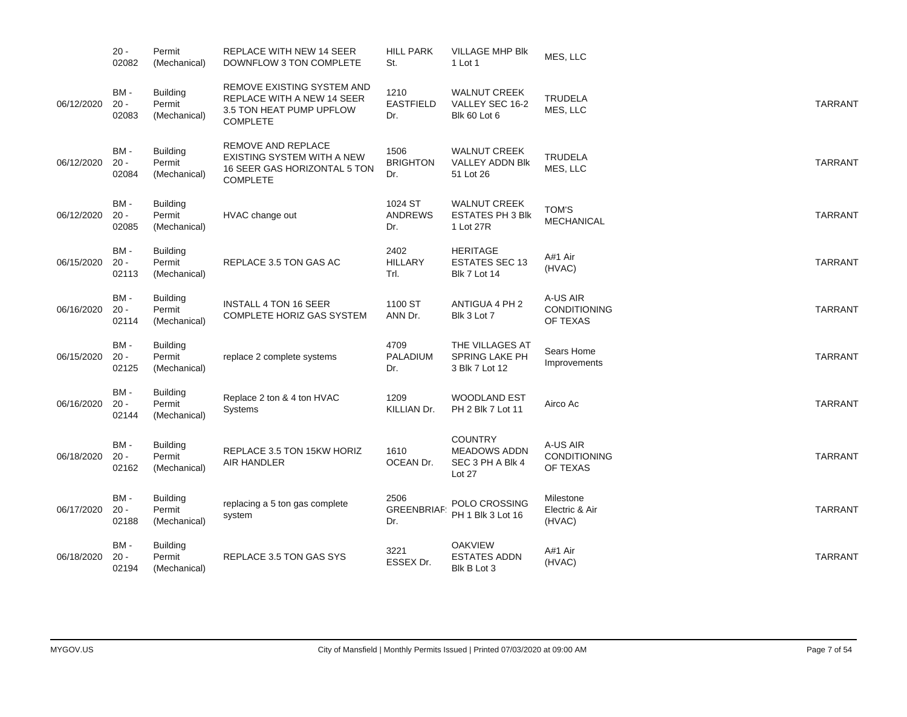|            | $20 -$<br>02082           | Permit<br>(Mechanical)                    | REPLACE WITH NEW 14 SEER<br>DOWNFLOW 3 TON COMPLETE                                                     | <b>HILL PARK</b><br>St.          | <b>VILLAGE MHP BIK</b><br>1 Lot 1                                   | MES, LLC                                    |                |
|------------|---------------------------|-------------------------------------------|---------------------------------------------------------------------------------------------------------|----------------------------------|---------------------------------------------------------------------|---------------------------------------------|----------------|
| 06/12/2020 | BM-<br>$20 -$<br>02083    | <b>Building</b><br>Permit<br>(Mechanical) | REMOVE EXISTING SYSTEM AND<br>REPLACE WITH A NEW 14 SEER<br>3.5 TON HEAT PUMP UPFLOW<br><b>COMPLETE</b> | 1210<br><b>EASTFIELD</b><br>Dr.  | <b>WALNUT CREEK</b><br>VALLEY SEC 16-2<br>Blk 60 Lot 6              | <b>TRUDELA</b><br>MES, LLC                  | <b>TARRANT</b> |
| 06/12/2020 | BM-<br>$20 -$<br>02084    | <b>Building</b><br>Permit<br>(Mechanical) | REMOVE AND REPLACE<br>EXISTING SYSTEM WITH A NEW<br>16 SEER GAS HORIZONTAL 5 TON<br><b>COMPLETE</b>     | 1506<br><b>BRIGHTON</b><br>Dr.   | <b>WALNUT CREEK</b><br>VALLEY ADDN BIK<br>51 Lot 26                 | <b>TRUDELA</b><br>MES, LLC                  | <b>TARRANT</b> |
| 06/12/2020 | BM-<br>$20 -$<br>02085    | <b>Building</b><br>Permit<br>(Mechanical) | HVAC change out                                                                                         | 1024 ST<br><b>ANDREWS</b><br>Dr. | <b>WALNUT CREEK</b><br><b>ESTATES PH 3 Blk</b><br>1 Lot 27R         | <b>TOM'S</b><br><b>MECHANICAL</b>           | <b>TARRANT</b> |
| 06/15/2020 | BM-<br>$20 -$<br>02113    | Building<br>Permit<br>(Mechanical)        | REPLACE 3.5 TON GAS AC                                                                                  | 2402<br><b>HILLARY</b><br>Trl.   | <b>HERITAGE</b><br><b>ESTATES SEC 13</b><br><b>Blk 7 Lot 14</b>     | A#1 Air<br>(HVAC)                           | <b>TARRANT</b> |
| 06/16/2020 | BM-<br>$20 -$<br>02114    | <b>Building</b><br>Permit<br>(Mechanical) | <b>INSTALL 4 TON 16 SEER</b><br>COMPLETE HORIZ GAS SYSTEM                                               | 1100 ST<br>ANN Dr.               | ANTIGUA 4 PH 2<br>Blk 3 Lot 7                                       | A-US AIR<br><b>CONDITIONING</b><br>OF TEXAS | <b>TARRANT</b> |
| 06/15/2020 | BM-<br>$20 -$<br>02125    | <b>Building</b><br>Permit<br>(Mechanical) | replace 2 complete systems                                                                              | 4709<br><b>PALADIUM</b><br>Dr.   | THE VILLAGES AT<br>SPRING LAKE PH<br>3 Blk 7 Lot 12                 | Sears Home<br>Improvements                  | <b>TARRANT</b> |
| 06/16/2020 | BM-<br>$20 -$<br>02144    | <b>Building</b><br>Permit<br>(Mechanical) | Replace 2 ton & 4 ton HVAC<br><b>Systems</b>                                                            | 1209<br>KILLIAN Dr.              | <b>WOODLAND EST</b><br>PH 2 Blk 7 Lot 11                            | Airco Ac                                    | <b>TARRANT</b> |
| 06/18/2020 | $BM -$<br>$20 -$<br>02162 | <b>Building</b><br>Permit<br>(Mechanical) | REPLACE 3.5 TON 15KW HORIZ<br>AIR HANDLER                                                               | 1610<br>OCEAN Dr.                | <b>COUNTRY</b><br><b>MEADOWS ADDN</b><br>SEC 3 PH A Blk 4<br>Lot 27 | A-US AIR<br><b>CONDITIONING</b><br>OF TEXAS | <b>TARRANT</b> |
| 06/17/2020 | BM-<br>$20 -$<br>02188    | <b>Building</b><br>Permit<br>(Mechanical) | replacing a 5 ton gas complete<br>system                                                                | 2506<br><b>GREENBRIAF</b><br>Dr. | POLO CROSSING<br>PH 1 Blk 3 Lot 16                                  | Milestone<br>Electric & Air<br>(HVAC)       | <b>TARRANT</b> |
| 06/18/2020 | BM-<br>$20 -$<br>02194    | <b>Building</b><br>Permit<br>(Mechanical) | REPLACE 3.5 TON GAS SYS                                                                                 | 3221<br>ESSEX Dr.                | <b>OAKVIEW</b><br><b>ESTATES ADDN</b><br>Blk B Lot 3                | A#1 Air<br>(HVAC)                           | <b>TARRANT</b> |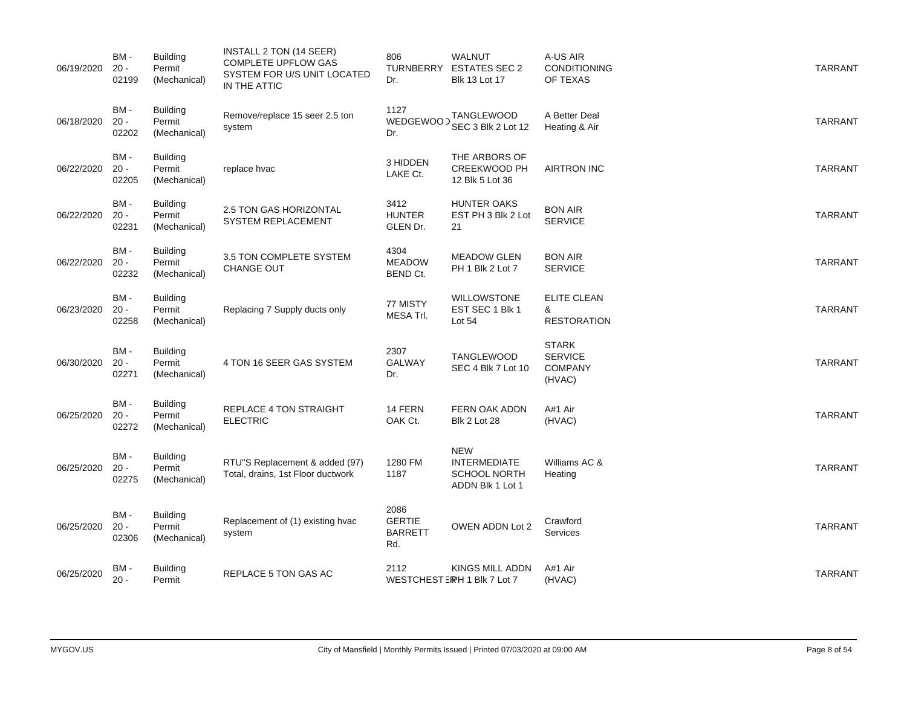| 06/19/2020 | BM-<br>$20 -$<br>02199    | <b>Building</b><br>Permit<br>(Mechanical) | INSTALL 2 TON (14 SEER)<br><b>COMPLETE UPFLOW GAS</b><br>SYSTEM FOR U/S UNIT LOCATED<br>IN THE ATTIC | 806<br>Dr.                                     | <b>WALNUT</b><br>TURNBERRY ESTATES SEC 2<br><b>Blk 13 Lot 17</b>             | A-US AIR<br><b>CONDITIONING</b><br>OF TEXAS                | <b>TARRANT</b> |
|------------|---------------------------|-------------------------------------------|------------------------------------------------------------------------------------------------------|------------------------------------------------|------------------------------------------------------------------------------|------------------------------------------------------------|----------------|
| 06/18/2020 | BM-<br>$20 -$<br>02202    | <b>Building</b><br>Permit<br>(Mechanical) | Remove/replace 15 seer 2.5 ton<br>system                                                             | 1127<br>WEDGEWOOD<br>Dr.                       | TANGLEWOOD<br>SEC 3 Blk 2 Lot 12                                             | A Better Deal<br>Heating & Air                             | <b>TARRANT</b> |
| 06/22/2020 | BM-<br>$20 -$<br>02205    | <b>Building</b><br>Permit<br>(Mechanical) | replace hvac                                                                                         | 3 HIDDEN<br>LAKE Ct.                           | THE ARBORS OF<br><b>CREEKWOOD PH</b><br>12 Blk 5 Lot 36                      | <b>AIRTRON INC</b>                                         | <b>TARRANT</b> |
| 06/22/2020 | BM-<br>$20 -$<br>02231    | <b>Building</b><br>Permit<br>(Mechanical) | 2.5 TON GAS HORIZONTAL<br>SYSTEM REPLACEMENT                                                         | 3412<br><b>HUNTER</b><br>GLEN Dr.              | <b>HUNTER OAKS</b><br>EST PH 3 Blk 2 Lot<br>21                               | <b>BON AIR</b><br><b>SERVICE</b>                           | <b>TARRANT</b> |
| 06/22/2020 | BM-<br>$20 -$<br>02232    | <b>Building</b><br>Permit<br>(Mechanical) | 3.5 TON COMPLETE SYSTEM<br>CHANGE OUT                                                                | 4304<br><b>MEADOW</b><br>BEND Ct.              | <b>MEADOW GLEN</b><br>PH 1 Blk 2 Lot 7                                       | <b>BON AIR</b><br><b>SERVICE</b>                           | <b>TARRANT</b> |
| 06/23/2020 | $BM -$<br>$20 -$<br>02258 | <b>Building</b><br>Permit<br>(Mechanical) | Replacing 7 Supply ducts only                                                                        | 77 MISTY<br>MESA Trl.                          | <b>WILLOWSTONE</b><br>EST SEC 1 Blk 1<br>Lot $54$                            | <b>ELITE CLEAN</b><br>&<br><b>RESTORATION</b>              | <b>TARRANT</b> |
| 06/30/2020 | BM-<br>$20 -$<br>02271    | <b>Building</b><br>Permit<br>(Mechanical) | 4 TON 16 SEER GAS SYSTEM                                                                             | 2307<br><b>GALWAY</b><br>Dr.                   | <b>TANGLEWOOD</b><br>SEC 4 Blk 7 Lot 10                                      | <b>STARK</b><br><b>SERVICE</b><br><b>COMPANY</b><br>(HVAC) | <b>TARRANT</b> |
| 06/25/2020 | BM-<br>$20 -$<br>02272    | <b>Building</b><br>Permit<br>(Mechanical) | REPLACE 4 TON STRAIGHT<br><b>ELECTRIC</b>                                                            | 14 FERN<br>OAK Ct.                             | <b>FERN OAK ADDN</b><br><b>Blk 2 Lot 28</b>                                  | A#1 Air<br>(HVAC)                                          | <b>TARRANT</b> |
| 06/25/2020 | BM-<br>$20 -$<br>02275    | <b>Building</b><br>Permit<br>(Mechanical) | RTU"S Replacement & added (97)<br>Total, drains, 1st Floor ductwork                                  | 1280 FM<br>1187                                | <b>NEW</b><br><b>INTERMEDIATE</b><br><b>SCHOOL NORTH</b><br>ADDN Blk 1 Lot 1 | Williams AC &<br>Heating                                   | <b>TARRANT</b> |
| 06/25/2020 | BM-<br>$20 -$<br>02306    | <b>Building</b><br>Permit<br>(Mechanical) | Replacement of (1) existing hyac<br>system                                                           | 2086<br><b>GERTIE</b><br><b>BARRETT</b><br>Rd. | OWEN ADDN Lot 2                                                              | Crawford<br><b>Services</b>                                | <b>TARRANT</b> |
| 06/25/2020 | BM-<br>$20 -$             | <b>Building</b><br>Permit                 | REPLACE 5 TON GAS AC                                                                                 | 2112                                           | KINGS MILL ADDN<br>WESTCHESTERH 1 Blk 7 Lot 7                                | A#1 Air<br>(HVAC)                                          | <b>TARRANT</b> |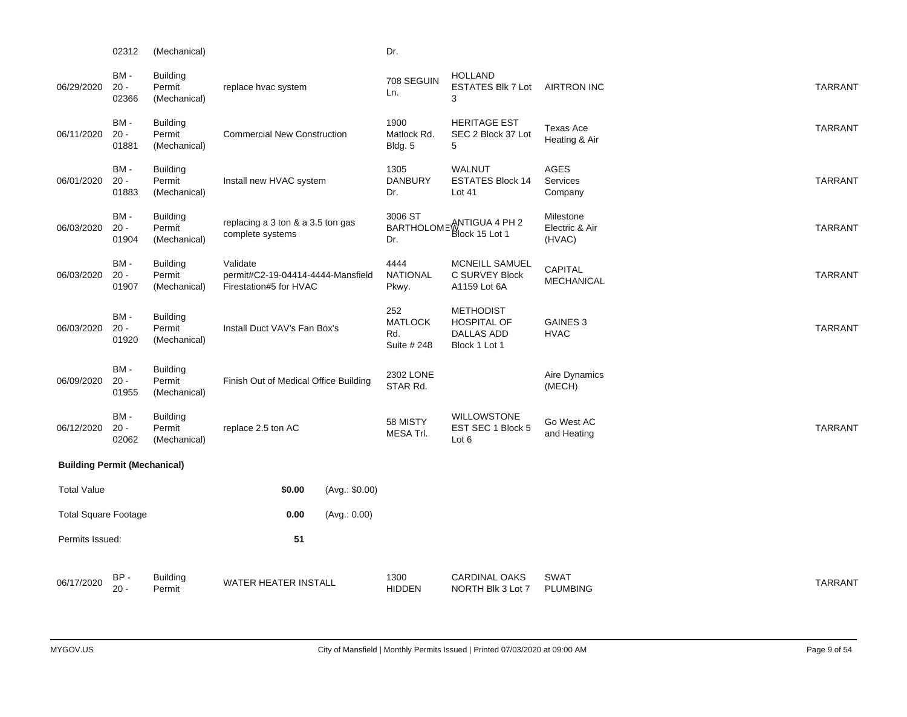|                                     | 02312                  | (Mechanical)                              |                                                                         |                | Dr.                                         |                                                                              |                                       |                |
|-------------------------------------|------------------------|-------------------------------------------|-------------------------------------------------------------------------|----------------|---------------------------------------------|------------------------------------------------------------------------------|---------------------------------------|----------------|
| 06/29/2020                          | BM-<br>$20 -$<br>02366 | <b>Building</b><br>Permit<br>(Mechanical) | replace hvac system                                                     |                | 708 SEGUIN<br>Ln.                           | <b>HOLLAND</b><br>ESTATES BIk 7 Lot AIRTRON INC<br>3                         |                                       | <b>TARRANT</b> |
| 06/11/2020                          | BM-<br>$20 -$<br>01881 | <b>Building</b><br>Permit<br>(Mechanical) | <b>Commercial New Construction</b>                                      |                | 1900<br>Matlock Rd.<br>Bldg. 5              | <b>HERITAGE EST</b><br>SEC 2 Block 37 Lot<br>5                               | <b>Texas Ace</b><br>Heating & Air     | <b>TARRANT</b> |
| 06/01/2020                          | BM-<br>$20 -$<br>01883 | <b>Building</b><br>Permit<br>(Mechanical) | Install new HVAC system                                                 |                | 1305<br><b>DANBURY</b><br>Dr.               | WALNUT<br><b>ESTATES Block 14</b><br>Lot 41                                  | <b>AGES</b><br>Services<br>Company    | <b>TARRANT</b> |
| 06/03/2020                          | BM-<br>$20 -$<br>01904 | <b>Building</b><br>Permit<br>(Mechanical) | replacing a 3 ton & a 3.5 ton gas<br>complete systems                   |                | 3006 ST<br>Dr.                              | BARTHOLOMEW<br>ATTIGUA 4 PH 2<br>Block 15 Lot 1                              | Milestone<br>Electric & Air<br>(HVAC) | <b>TARRANT</b> |
| 06/03/2020                          | BM-<br>$20 -$<br>01907 | Building<br>Permit<br>(Mechanical)        | Validate<br>permit#C2-19-04414-4444-Mansfield<br>Firestation#5 for HVAC |                | 4444<br><b>NATIONAL</b><br>Pkwy.            | MCNEILL SAMUEL<br>C SURVEY Block<br>A1159 Lot 6A                             | CAPITAL<br><b>MECHANICAL</b>          | <b>TARRANT</b> |
| 06/03/2020                          | BM-<br>$20 -$<br>01920 | Building<br>Permit<br>(Mechanical)        | Install Duct VAV's Fan Box's                                            |                | 252<br><b>MATLOCK</b><br>Rd.<br>Suite # 248 | <b>METHODIST</b><br><b>HOSPITAL OF</b><br><b>DALLAS ADD</b><br>Block 1 Lot 1 | <b>GAINES 3</b><br><b>HVAC</b>        | <b>TARRANT</b> |
| 06/09/2020                          | BM-<br>$20 -$<br>01955 | <b>Building</b><br>Permit<br>(Mechanical) | Finish Out of Medical Office Building                                   |                | 2302 LONE<br>STAR Rd.                       |                                                                              | Aire Dynamics<br>(MECH)               |                |
| 06/12/2020                          | BM-<br>$20 -$<br>02062 | <b>Building</b><br>Permit<br>(Mechanical) | replace 2.5 ton AC                                                      |                | 58 MISTY<br>MESA Trl.                       | <b>WILLOWSTONE</b><br>EST SEC 1 Block 5<br>Lot 6                             | Go West AC<br>and Heating             | <b>TARRANT</b> |
| <b>Building Permit (Mechanical)</b> |                        |                                           |                                                                         |                |                                             |                                                                              |                                       |                |
| <b>Total Value</b>                  |                        |                                           | \$0.00                                                                  | (Avg.: \$0.00) |                                             |                                                                              |                                       |                |
| <b>Total Square Footage</b>         |                        |                                           | 0.00                                                                    | (Avg.: 0.00)   |                                             |                                                                              |                                       |                |
| Permits Issued:                     |                        |                                           | 51                                                                      |                |                                             |                                                                              |                                       |                |
| 06/17/2020                          | BP-<br>$20 -$          | <b>Building</b><br>Permit                 | <b>WATER HEATER INSTALL</b>                                             |                | 1300<br><b>HIDDEN</b>                       | <b>CARDINAL OAKS</b><br>NORTH Blk 3 Lot 7                                    | <b>SWAT</b><br><b>PLUMBING</b>        | <b>TARRANT</b> |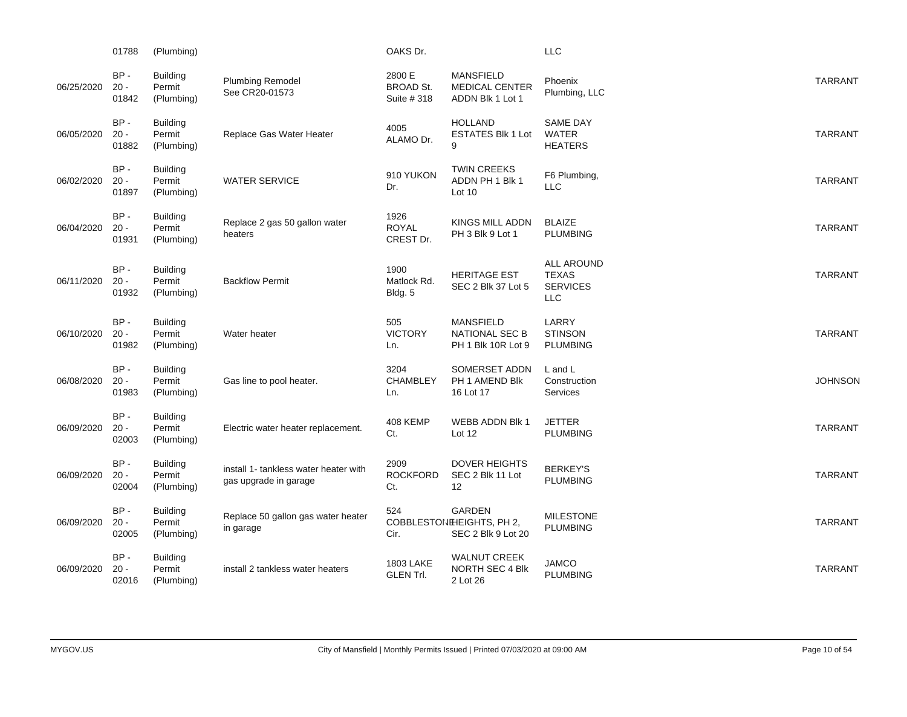|            | 01788                     | (Plumbing)                              |                                                                | OAKS Dr.                                  |                                                                 | <b>LLC</b>                                                         |                |
|------------|---------------------------|-----------------------------------------|----------------------------------------------------------------|-------------------------------------------|-----------------------------------------------------------------|--------------------------------------------------------------------|----------------|
| 06/25/2020 | BP-<br>$20 -$<br>01842    | <b>Building</b><br>Permit<br>(Plumbing) | Plumbing Remodel<br>See CR20-01573                             | 2800 E<br><b>BROAD St.</b><br>Suite # 318 | <b>MANSFIELD</b><br><b>MEDICAL CENTER</b><br>ADDN Blk 1 Lot 1   | Phoenix<br>Plumbing, LLC                                           | <b>TARRANT</b> |
| 06/05/2020 | $BP -$<br>$20 -$<br>01882 | <b>Building</b><br>Permit<br>(Plumbing) | Replace Gas Water Heater                                       | 4005<br>ALAMO Dr.                         | <b>HOLLAND</b><br><b>ESTATES Blk 1 Lot</b><br>9                 | <b>SAME DAY</b><br><b>WATER</b><br><b>HEATERS</b>                  | <b>TARRANT</b> |
| 06/02/2020 | $BP -$<br>$20 -$<br>01897 | Building<br>Permit<br>(Plumbing)        | <b>WATER SERVICE</b>                                           | 910 YUKON<br>Dr.                          | <b>TWIN CREEKS</b><br>ADDN PH 1 Blk 1<br>Lot 10                 | F6 Plumbing,<br><b>LLC</b>                                         | <b>TARRANT</b> |
| 06/04/2020 | BP-<br>$20 -$<br>01931    | <b>Building</b><br>Permit<br>(Plumbing) | Replace 2 gas 50 gallon water<br>heaters                       | 1926<br><b>ROYAL</b><br>CREST Dr.         | KINGS MILL ADDN<br>PH 3 Blk 9 Lot 1                             | <b>BLAIZE</b><br><b>PLUMBING</b>                                   | <b>TARRANT</b> |
| 06/11/2020 | $BP -$<br>$20 -$<br>01932 | <b>Building</b><br>Permit<br>(Plumbing) | <b>Backflow Permit</b>                                         | 1900<br>Matlock Rd.<br>Bldg. 5            | <b>HERITAGE EST</b><br>SEC 2 Blk 37 Lot 5                       | <b>ALL AROUND</b><br><b>TEXAS</b><br><b>SERVICES</b><br><b>LLC</b> | <b>TARRANT</b> |
| 06/10/2020 | BP-<br>$20 -$<br>01982    | <b>Building</b><br>Permit<br>(Plumbing) | Water heater                                                   | 505<br><b>VICTORY</b><br>Ln.              | <b>MANSFIELD</b><br><b>NATIONAL SEC B</b><br>PH 1 Blk 10R Lot 9 | LARRY<br><b>STINSON</b><br><b>PLUMBING</b>                         | <b>TARRANT</b> |
| 06/08/2020 | $BP -$<br>$20 -$<br>01983 | <b>Building</b><br>Permit<br>(Plumbing) | Gas line to pool heater.                                       | 3204<br><b>CHAMBLEY</b><br>Ln.            | SOMERSET ADDN<br>PH 1 AMEND Blk<br>16 Lot 17                    | L and L<br>Construction<br>Services                                | <b>JOHNSON</b> |
| 06/09/2020 | BP-<br>$20 -$<br>02003    | <b>Building</b><br>Permit<br>(Plumbing) | Electric water heater replacement.                             | 408 KEMP<br>Ct.                           | WEBB ADDN Blk 1<br>Lot 12                                       | <b>JETTER</b><br><b>PLUMBING</b>                                   | <b>TARRANT</b> |
| 06/09/2020 | BP-<br>$20 -$<br>02004    | <b>Building</b><br>Permit<br>(Plumbing) | install 1- tankless water heater with<br>gas upgrade in garage | 2909<br><b>ROCKFORD</b><br>Ct.            | <b>DOVER HEIGHTS</b><br>SEC 2 Blk 11 Lot<br>12                  | <b>BERKEY'S</b><br><b>PLUMBING</b>                                 | <b>TARRANT</b> |
| 06/09/2020 | BP-<br>$20 -$<br>02005    | <b>Building</b><br>Permit<br>(Plumbing) | Replace 50 gallon gas water heater<br>in garage                | 524<br>Cir.                               | GARDEN<br>COBBLESTON EIGHTS, PH 2,<br>SEC 2 Blk 9 Lot 20        | <b>MILESTONE</b><br><b>PLUMBING</b>                                | <b>TARRANT</b> |
| 06/09/2020 | $BP -$<br>$20 -$<br>02016 | <b>Building</b><br>Permit<br>(Plumbing) | install 2 tankless water heaters                               | <b>1803 LAKE</b><br><b>GLEN Trl.</b>      | <b>WALNUT CREEK</b><br>NORTH SEC 4 Blk<br>2 Lot 26              | <b>JAMCO</b><br><b>PLUMBING</b>                                    | <b>TARRANT</b> |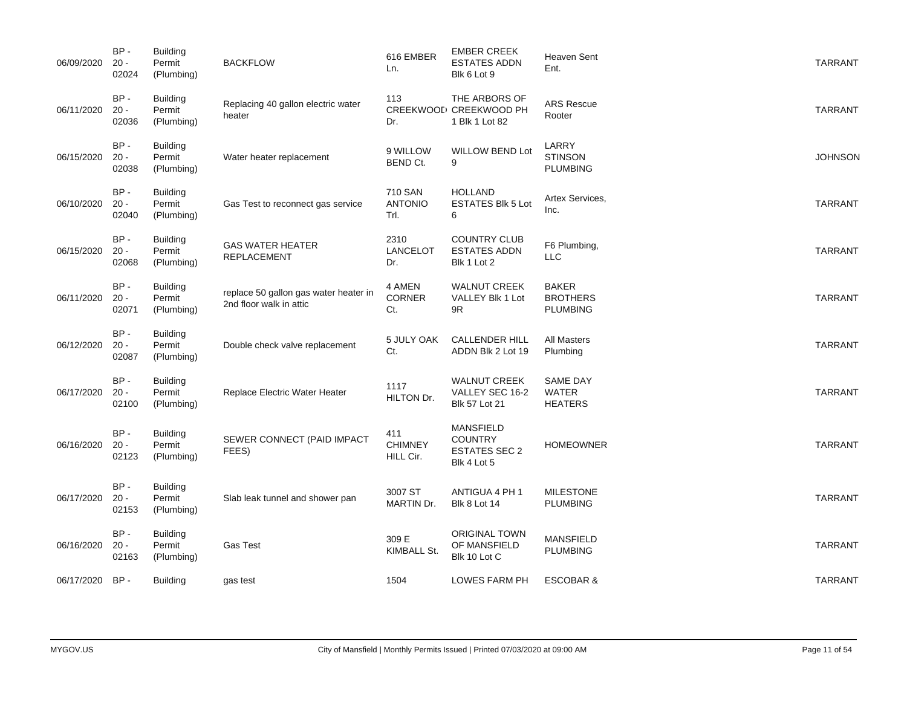| 06/09/2020 | $BP -$<br>$20 -$<br>02024 | <b>Building</b><br>Permit<br>(Plumbing) | <b>BACKFLOW</b>                                                  | 616 EMBER<br>Ln.                   | <b>EMBER CREEK</b><br><b>ESTATES ADDN</b><br>Blk 6 Lot 9                  | <b>Heaven Sent</b><br>Ent.                         | <b>TARRANT</b> |
|------------|---------------------------|-----------------------------------------|------------------------------------------------------------------|------------------------------------|---------------------------------------------------------------------------|----------------------------------------------------|----------------|
| 06/11/2020 | $BP -$<br>$20 -$<br>02036 | <b>Building</b><br>Permit<br>(Plumbing) | Replacing 40 gallon electric water<br>heater                     | 113<br>Dr.                         | THE ARBORS OF<br>CREEKWOOL <sup>,</sup> CREEKWOOD PH<br>1 Blk 1 Lot 82    | <b>ARS Rescue</b><br>Rooter                        | <b>TARRANT</b> |
| 06/15/2020 | BP-<br>$20 -$<br>02038    | <b>Building</b><br>Permit<br>(Plumbing) | Water heater replacement                                         | 9 WILLOW<br>BEND Ct.               | <b>WILLOW BEND Lot</b><br>9                                               | LARRY<br><b>STINSON</b><br><b>PLUMBING</b>         | <b>JOHNSON</b> |
| 06/10/2020 | BP-<br>$20 -$<br>02040    | <b>Building</b><br>Permit<br>(Plumbing) | Gas Test to reconnect gas service                                | 710 SAN<br><b>ANTONIO</b><br>Trl.  | <b>HOLLAND</b><br><b>ESTATES Blk 5 Lot</b><br>6                           | Artex Services,<br>Inc.                            | <b>TARRANT</b> |
| 06/15/2020 | BP-<br>$20 -$<br>02068    | <b>Building</b><br>Permit<br>(Plumbing) | <b>GAS WATER HEATER</b><br><b>REPLACEMENT</b>                    | 2310<br><b>LANCELOT</b><br>Dr.     | <b>COUNTRY CLUB</b><br><b>ESTATES ADDN</b><br>Blk 1 Lot 2                 | F6 Plumbing,<br><b>LLC</b>                         | <b>TARRANT</b> |
| 06/11/2020 | BP-<br>$20 -$<br>02071    | <b>Building</b><br>Permit<br>(Plumbing) | replace 50 gallon gas water heater in<br>2nd floor walk in attic | 4 AMEN<br>CORNER<br>Ct.            | <b>WALNUT CREEK</b><br>VALLEY Blk 1 Lot<br>9R                             | <b>BAKER</b><br><b>BROTHERS</b><br><b>PLUMBING</b> | <b>TARRANT</b> |
| 06/12/2020 | $BP -$<br>$20 -$<br>02087 | <b>Building</b><br>Permit<br>(Plumbing) | Double check valve replacement                                   | 5 JULY OAK<br>Ct.                  | <b>CALLENDER HILL</b><br>ADDN Blk 2 Lot 19                                | <b>All Masters</b><br>Plumbing                     | <b>TARRANT</b> |
| 06/17/2020 | $BP -$<br>$20 -$<br>02100 | <b>Building</b><br>Permit<br>(Plumbing) | Replace Electric Water Heater                                    | 1117<br>HILTON Dr.                 | <b>WALNUT CREEK</b><br>VALLEY SEC 16-2<br><b>Blk 57 Lot 21</b>            | <b>SAME DAY</b><br><b>WATER</b><br><b>HEATERS</b>  | <b>TARRANT</b> |
| 06/16/2020 | $BP -$<br>$20 -$<br>02123 | <b>Building</b><br>Permit<br>(Plumbing) | SEWER CONNECT (PAID IMPACT<br>FEES)                              | 411<br><b>CHIMNEY</b><br>HILL Cir. | <b>MANSFIELD</b><br><b>COUNTRY</b><br><b>ESTATES SEC 2</b><br>Blk 4 Lot 5 | <b>HOMEOWNER</b>                                   | <b>TARRANT</b> |
| 06/17/2020 | $BP -$<br>$20 -$<br>02153 | <b>Building</b><br>Permit<br>(Plumbing) | Slab leak tunnel and shower pan                                  | 3007 ST<br>MARTIN Dr.              | ANTIGUA 4 PH 1<br><b>Blk 8 Lot 14</b>                                     | <b>MILESTONE</b><br><b>PLUMBING</b>                | <b>TARRANT</b> |
| 06/16/2020 | BP-<br>$20 -$<br>02163    | <b>Building</b><br>Permit<br>(Plumbing) | <b>Gas Test</b>                                                  | 309 E<br>KIMBALL St.               | <b>ORIGINAL TOWN</b><br>OF MANSFIELD<br>Blk 10 Lot C                      | <b>MANSFIELD</b><br><b>PLUMBING</b>                | <b>TARRANT</b> |
| 06/17/2020 | BP-                       | <b>Building</b>                         | gas test                                                         | 1504                               | LOWES FARM PH                                                             | <b>ESCOBAR &amp;</b>                               | <b>TARRANT</b> |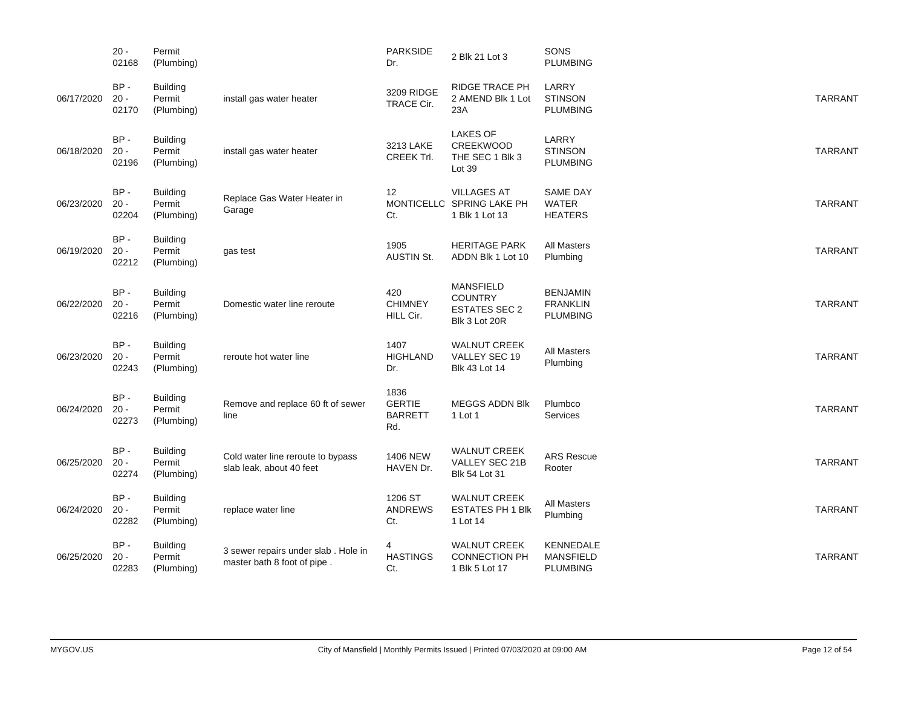|            | $20 -$<br>02168           | Permit<br>(Plumbing)                    |                                                                    | <b>PARKSIDE</b><br>Dr.                         | 2 Blk 21 Lot 3                                                              | SONS<br><b>PLUMBING</b>                               |                |
|------------|---------------------------|-----------------------------------------|--------------------------------------------------------------------|------------------------------------------------|-----------------------------------------------------------------------------|-------------------------------------------------------|----------------|
| 06/17/2020 | $BP -$<br>$20 -$<br>02170 | <b>Building</b><br>Permit<br>(Plumbing) | install gas water heater                                           | 3209 RIDGE<br>TRACE Cir.                       | <b>RIDGE TRACE PH</b><br>2 AMEND Blk 1 Lot<br>23A                           | LARRY<br><b>STINSON</b><br><b>PLUMBING</b>            | <b>TARRANT</b> |
| 06/18/2020 | BP-<br>$20 -$<br>02196    | <b>Building</b><br>Permit<br>(Plumbing) | install gas water heater                                           | 3213 LAKE<br><b>CREEK Trl.</b>                 | <b>LAKES OF</b><br>CREEKWOOD<br>THE SEC 1 Blk 3<br>Lot 39                   | LARRY<br><b>STINSON</b><br><b>PLUMBING</b>            | <b>TARRANT</b> |
| 06/23/2020 | $BP -$<br>$20 -$<br>02204 | <b>Building</b><br>Permit<br>(Plumbing) | Replace Gas Water Heater in<br>Garage                              | $12 \overline{ }$<br>Ct.                       | <b>VILLAGES AT</b><br>MONTICELLO SPRING LAKE PH<br>1 Blk 1 Lot 13           | <b>SAME DAY</b><br><b>WATER</b><br><b>HEATERS</b>     | <b>TARRANT</b> |
| 06/19/2020 | BP-<br>$20 -$<br>02212    | <b>Building</b><br>Permit<br>(Plumbing) | gas test                                                           | 1905<br><b>AUSTIN St.</b>                      | <b>HERITAGE PARK</b><br>ADDN Blk 1 Lot 10                                   | <b>All Masters</b><br>Plumbing                        | <b>TARRANT</b> |
| 06/22/2020 | $BP -$<br>$20 -$<br>02216 | <b>Building</b><br>Permit<br>(Plumbing) | Domestic water line reroute                                        | 420<br><b>CHIMNEY</b><br>HILL Cir.             | <b>MANSFIELD</b><br><b>COUNTRY</b><br><b>ESTATES SEC 2</b><br>Blk 3 Lot 20R | <b>BENJAMIN</b><br><b>FRANKLIN</b><br><b>PLUMBING</b> | <b>TARRANT</b> |
| 06/23/2020 | BP-<br>$20 -$<br>02243    | <b>Building</b><br>Permit<br>(Plumbing) | reroute hot water line                                             | 1407<br><b>HIGHLAND</b><br>Dr.                 | <b>WALNUT CREEK</b><br>VALLEY SEC 19<br><b>Blk 43 Lot 14</b>                | <b>All Masters</b><br>Plumbing                        | <b>TARRANT</b> |
| 06/24/2020 | $BP -$<br>$20 -$<br>02273 | <b>Building</b><br>Permit<br>(Plumbing) | Remove and replace 60 ft of sewer<br>line                          | 1836<br><b>GERTIE</b><br><b>BARRETT</b><br>Rd. | <b>MEGGS ADDN Blk</b><br>1 Lot 1                                            | Plumbco<br><b>Services</b>                            | <b>TARRANT</b> |
| 06/25/2020 | BP-<br>$20 -$<br>02274    | <b>Building</b><br>Permit<br>(Plumbing) | Cold water line reroute to bypass<br>slab leak, about 40 feet      | 1406 NEW<br>HAVEN Dr.                          | <b>WALNUT CREEK</b><br>VALLEY SEC 21B<br><b>Blk 54 Lot 31</b>               | <b>ARS Rescue</b><br>Rooter                           | <b>TARRANT</b> |
| 06/24/2020 | BP-<br>$20 -$<br>02282    | <b>Building</b><br>Permit<br>(Plumbing) | replace water line                                                 | 1206 ST<br><b>ANDREWS</b><br>Ct.               | <b>WALNUT CREEK</b><br><b>ESTATES PH 1 Blk</b><br>1 Lot 14                  | All Masters<br>Plumbing                               | <b>TARRANT</b> |
| 06/25/2020 | BP-<br>$20 -$<br>02283    | <b>Building</b><br>Permit<br>(Plumbing) | 3 sewer repairs under slab. Hole in<br>master bath 8 foot of pipe. | 4<br><b>HASTINGS</b><br>Ct.                    | <b>WALNUT CREEK</b><br><b>CONNECTION PH</b><br>1 Blk 5 Lot 17               | KENNEDALE<br><b>MANSFIELD</b><br><b>PLUMBING</b>      | <b>TARRANT</b> |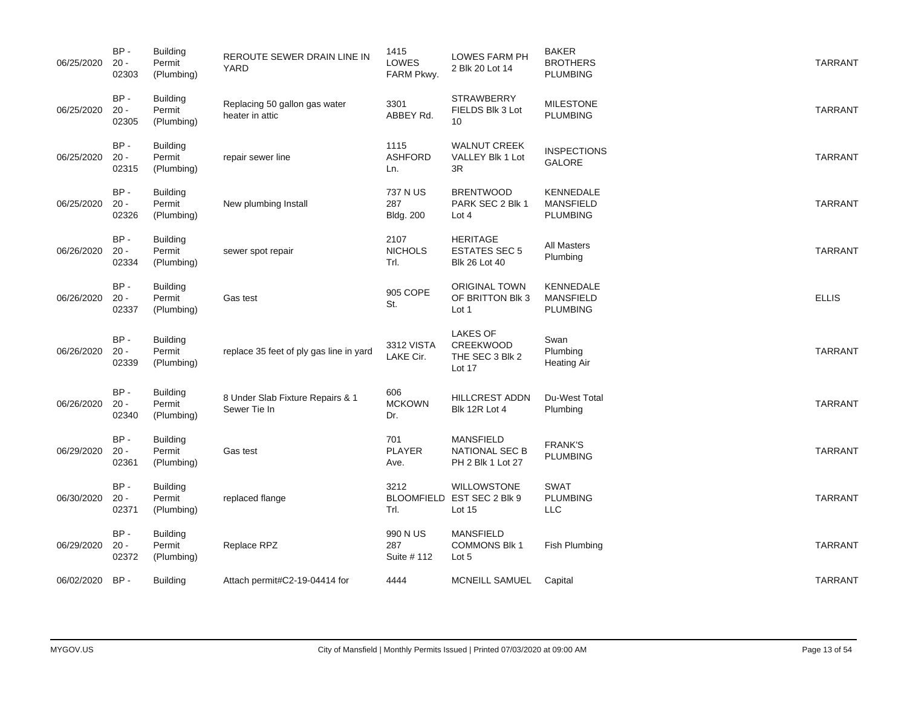| 06/25/2020 | BP-<br>$20 -$<br>02303    | Building<br>Permit<br>(Plumbing)        | REROUTE SEWER DRAIN LINE IN<br><b>YARD</b>       | 1415<br>LOWES<br>FARM Pkwy.         | LOWES FARM PH<br>2 Blk 20 Lot 14                                | <b>BAKER</b><br><b>BROTHERS</b><br><b>PLUMBING</b>      | <b>TARRANT</b> |
|------------|---------------------------|-----------------------------------------|--------------------------------------------------|-------------------------------------|-----------------------------------------------------------------|---------------------------------------------------------|----------------|
| 06/25/2020 | BP-<br>$20 -$<br>02305    | <b>Building</b><br>Permit<br>(Plumbing) | Replacing 50 gallon gas water<br>heater in attic | 3301<br>ABBEY Rd.                   | <b>STRAWBERRY</b><br>FIELDS Blk 3 Lot<br>10                     | <b>MILESTONE</b><br><b>PLUMBING</b>                     | <b>TARRANT</b> |
| 06/25/2020 | BP-<br>$20 -$<br>02315    | <b>Building</b><br>Permit<br>(Plumbing) | repair sewer line                                | 1115<br><b>ASHFORD</b><br>Ln.       | <b>WALNUT CREEK</b><br>VALLEY Blk 1 Lot<br>3R                   | <b>INSPECTIONS</b><br>GALORE                            | <b>TARRANT</b> |
| 06/25/2020 | $BP -$<br>$20 -$<br>02326 | <b>Building</b><br>Permit<br>(Plumbing) | New plumbing Install                             | 737 N US<br>287<br><b>Bldg. 200</b> | <b>BRENTWOOD</b><br>PARK SEC 2 Blk 1<br>Lot 4                   | <b>KENNEDALE</b><br><b>MANSFIELD</b><br><b>PLUMBING</b> | <b>TARRANT</b> |
| 06/26/2020 | BP-<br>$20 -$<br>02334    | <b>Building</b><br>Permit<br>(Plumbing) | sewer spot repair                                | 2107<br><b>NICHOLS</b><br>Trl.      | <b>HERITAGE</b><br><b>ESTATES SEC 5</b><br><b>Blk 26 Lot 40</b> | <b>All Masters</b><br>Plumbing                          | <b>TARRANT</b> |
| 06/26/2020 | BP-<br>$20 -$<br>02337    | <b>Building</b><br>Permit<br>(Plumbing) | Gas test                                         | 905 COPE<br>St.                     | <b>ORIGINAL TOWN</b><br>OF BRITTON BIK 3<br>Lot 1               | KENNEDALE<br><b>MANSFIELD</b><br><b>PLUMBING</b>        | <b>ELLIS</b>   |
| 06/26/2020 | $BP -$<br>$20 -$<br>02339 | <b>Building</b><br>Permit<br>(Plumbing) | replace 35 feet of ply gas line in yard          | 3312 VISTA<br>LAKE Cir.             | <b>LAKES OF</b><br>CREEKWOOD<br>THE SEC 3 Blk 2<br>Lot 17       | Swan<br>Plumbing<br>Heating Air                         | <b>TARRANT</b> |
| 06/26/2020 | $BP -$<br>$20 -$<br>02340 | <b>Building</b><br>Permit<br>(Plumbing) | 8 Under Slab Fixture Repairs & 1<br>Sewer Tie In | 606<br><b>MCKOWN</b><br>Dr.         | <b>HILLCREST ADDN</b><br>Blk 12R Lot 4                          | Du-West Total<br>Plumbing                               | <b>TARRANT</b> |
| 06/29/2020 | BP-<br>$20 -$<br>02361    | <b>Building</b><br>Permit<br>(Plumbing) | Gas test                                         | 701<br><b>PLAYER</b><br>Ave.        | <b>MANSFIELD</b><br>NATIONAL SEC B<br>PH 2 Blk 1 Lot 27         | <b>FRANK'S</b><br><b>PLUMBING</b>                       | <b>TARRANT</b> |
| 06/30/2020 | $BP -$<br>$20 -$<br>02371 | <b>Building</b><br>Permit<br>(Plumbing) | replaced flange                                  | 3212<br>Trl.                        | <b>WILLOWSTONE</b><br>BLOOMFIELD EST SEC 2 Blk 9<br>Lot 15      | <b>SWAT</b><br><b>PLUMBING</b><br><b>LLC</b>            | <b>TARRANT</b> |
| 06/29/2020 | $BP -$<br>$20 -$<br>02372 | <b>Building</b><br>Permit<br>(Plumbing) | Replace RPZ                                      | 990 N US<br>287<br>Suite # 112      | <b>MANSFIELD</b><br><b>COMMONS Blk 1</b><br>Lot 5               | Fish Plumbing                                           | <b>TARRANT</b> |
| 06/02/2020 | $BP -$                    | <b>Building</b>                         | Attach permit#C2-19-04414 for                    | 4444                                | MCNEILL SAMUEL                                                  | Capital                                                 | <b>TARRANT</b> |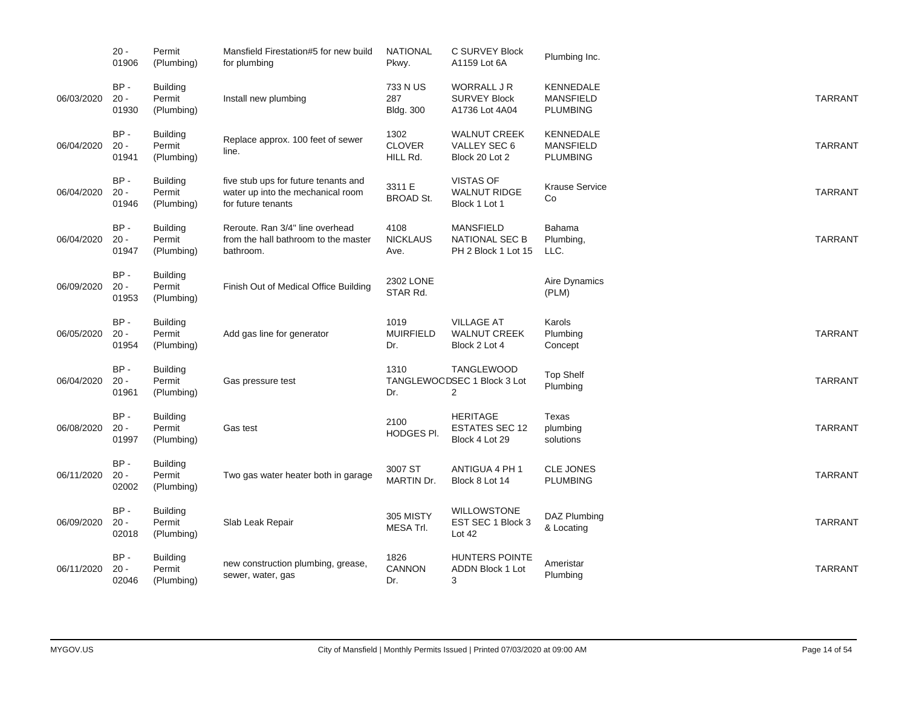|            | $20 -$<br>01906           | Permit<br>(Plumbing)                    | Mansfield Firestation#5 for new build<br>for plumbing                                           | <b>NATIONAL</b><br>Pkwy.            | C SURVEY Block<br>A1159 Lot 6A                                     | Plumbing Inc.                                           |                |
|------------|---------------------------|-----------------------------------------|-------------------------------------------------------------------------------------------------|-------------------------------------|--------------------------------------------------------------------|---------------------------------------------------------|----------------|
| 06/03/2020 | BP-<br>$20 -$<br>01930    | <b>Building</b><br>Permit<br>(Plumbing) | Install new plumbing                                                                            | 733 N US<br>287<br><b>Bldg. 300</b> | WORRALL J R<br><b>SURVEY Block</b><br>A1736 Lot 4A04               | <b>KENNEDALE</b><br><b>MANSFIELD</b><br><b>PLUMBING</b> | <b>TARRANT</b> |
| 06/04/2020 | BP-<br>$20 -$<br>01941    | <b>Building</b><br>Permit<br>(Plumbing) | Replace approx. 100 feet of sewer<br>line.                                                      | 1302<br><b>CLOVER</b><br>HILL Rd.   | <b>WALNUT CREEK</b><br>VALLEY SEC 6<br>Block 20 Lot 2              | <b>KENNEDALE</b><br><b>MANSFIELD</b><br><b>PLUMBING</b> | <b>TARRANT</b> |
| 06/04/2020 | BP-<br>$20 -$<br>01946    | <b>Building</b><br>Permit<br>(Plumbing) | five stub ups for future tenants and<br>water up into the mechanical room<br>for future tenants | 3311 E<br><b>BROAD St.</b>          | <b>VISTAS OF</b><br><b>WALNUT RIDGE</b><br>Block 1 Lot 1           | <b>Krause Service</b><br>Co                             | <b>TARRANT</b> |
| 06/04/2020 | BP-<br>$20 -$<br>01947    | <b>Building</b><br>Permit<br>(Plumbing) | Reroute. Ran 3/4" line overhead<br>from the hall bathroom to the master<br>bathroom.            | 4108<br><b>NICKLAUS</b><br>Ave.     | <b>MANSFIELD</b><br><b>NATIONAL SEC B</b><br>PH 2 Block 1 Lot 15   | Bahama<br>Plumbing,<br>LLC.                             | <b>TARRANT</b> |
| 06/09/2020 | BP-<br>$20 -$<br>01953    | Building<br>Permit<br>(Plumbing)        | Finish Out of Medical Office Building                                                           | 2302 LONE<br>STAR Rd.               |                                                                    | Aire Dynamics<br>(PLM)                                  |                |
| 06/05/2020 | BP-<br>$20 -$<br>01954    | <b>Building</b><br>Permit<br>(Plumbing) | Add gas line for generator                                                                      | 1019<br><b>MUIRFIELD</b><br>Dr.     | <b>VILLAGE AT</b><br><b>WALNUT CREEK</b><br>Block 2 Lot 4          | Karols<br>Plumbing<br>Concept                           | <b>TARRANT</b> |
| 06/04/2020 | BP-<br>$20 -$<br>01961    | <b>Building</b><br>Permit<br>(Plumbing) | Gas pressure test                                                                               | 1310<br>Dr.                         | <b>TANGLEWOOD</b><br>TANGLEWOODSEC 1 Block 3 Lot<br>$\overline{2}$ | <b>Top Shelf</b><br>Plumbing                            | <b>TARRANT</b> |
| 06/08/2020 | $BP -$<br>$20 -$<br>01997 | <b>Building</b><br>Permit<br>(Plumbing) | Gas test                                                                                        | 2100<br>HODGES PI.                  | <b>HERITAGE</b><br><b>ESTATES SEC 12</b><br>Block 4 Lot 29         | Texas<br>plumbing<br>solutions                          | <b>TARRANT</b> |
| 06/11/2020 | $BP -$<br>$20 -$<br>02002 | <b>Building</b><br>Permit<br>(Plumbing) | Two gas water heater both in garage                                                             | 3007 ST<br>MARTIN Dr.               | ANTIGUA 4 PH 1<br>Block 8 Lot 14                                   | <b>CLE JONES</b><br><b>PLUMBING</b>                     | <b>TARRANT</b> |
| 06/09/2020 | $BP -$<br>$20 -$<br>02018 | <b>Building</b><br>Permit<br>(Plumbing) | Slab Leak Repair                                                                                | 305 MISTY<br>MESA Trl.              | <b>WILLOWSTONE</b><br>EST SEC 1 Block 3<br>Lot 42                  | DAZ Plumbing<br>& Locating                              | <b>TARRANT</b> |
| 06/11/2020 | $BP -$<br>$20 -$<br>02046 | <b>Building</b><br>Permit<br>(Plumbing) | new construction plumbing, grease,<br>sewer, water, gas                                         | 1826<br>CANNON<br>Dr.               | <b>HUNTERS POINTE</b><br>ADDN Block 1 Lot<br>3                     | Ameristar<br>Plumbing                                   | <b>TARRANT</b> |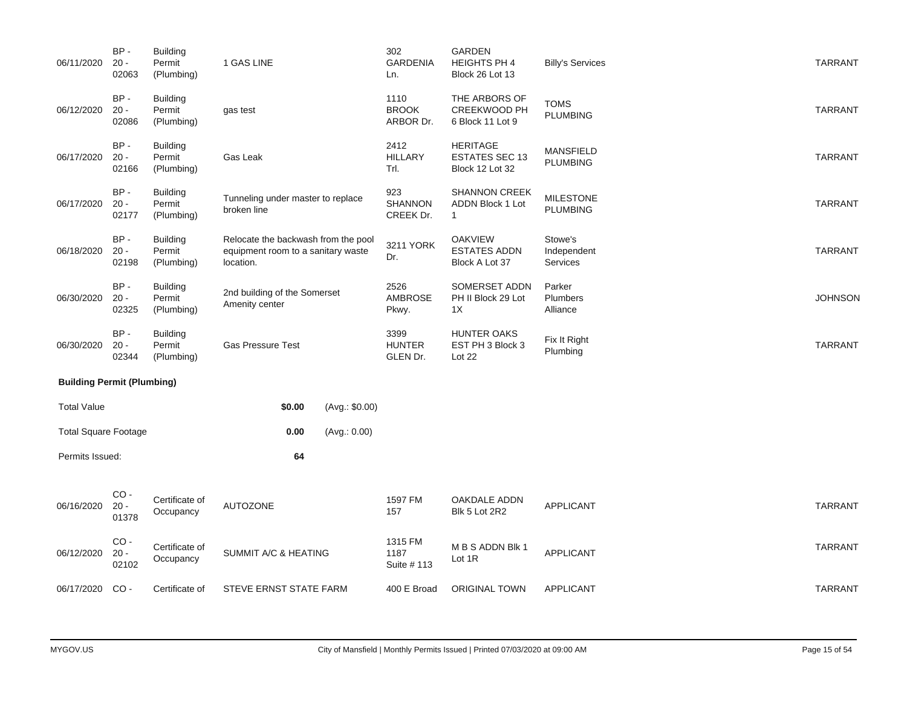| 06/11/2020                        | BP-<br>$20 -$<br>02063    | <b>Building</b><br>Permit<br>(Plumbing) | 1 GAS LINE                                                                             |                      | 302<br><b>GARDENIA</b><br>Ln.      | <b>GARDEN</b><br><b>HEIGHTS PH 4</b><br>Block 26 Lot 13     | <b>Billy's Services</b>             | <b>TARRANT</b> |
|-----------------------------------|---------------------------|-----------------------------------------|----------------------------------------------------------------------------------------|----------------------|------------------------------------|-------------------------------------------------------------|-------------------------------------|----------------|
| 06/12/2020                        | BP-<br>$20 -$<br>02086    | <b>Building</b><br>Permit<br>(Plumbing) | gas test                                                                               |                      | 1110<br><b>BROOK</b><br>ARBOR Dr.  | THE ARBORS OF<br><b>CREEKWOOD PH</b><br>6 Block 11 Lot 9    | <b>TOMS</b><br><b>PLUMBING</b>      | <b>TARRANT</b> |
| 06/17/2020                        | $BP -$<br>$20 -$<br>02166 | <b>Building</b><br>Permit<br>(Plumbing) | Gas Leak                                                                               |                      | 2412<br><b>HILLARY</b><br>Trl.     | <b>HERITAGE</b><br><b>ESTATES SEC 13</b><br>Block 12 Lot 32 | <b>MANSFIELD</b><br><b>PLUMBING</b> | <b>TARRANT</b> |
| 06/17/2020                        | BP-<br>$20 -$<br>02177    | <b>Building</b><br>Permit<br>(Plumbing) | Tunneling under master to replace<br>broken line                                       |                      | 923<br><b>SHANNON</b><br>CREEK Dr. | SHANNON CREEK<br>ADDN Block 1 Lot<br>$\mathbf{1}$           | <b>MILESTONE</b><br><b>PLUMBING</b> | <b>TARRANT</b> |
| 06/18/2020                        | $BP -$<br>$20 -$<br>02198 | <b>Building</b><br>Permit<br>(Plumbing) | Relocate the backwash from the pool<br>equipment room to a sanitary waste<br>location. |                      | 3211 YORK<br>Dr.                   | <b>OAKVIEW</b><br><b>ESTATES ADDN</b><br>Block A Lot 37     | Stowe's<br>Independent<br>Services  | <b>TARRANT</b> |
| 06/30/2020                        | BP-<br>$20 -$<br>02325    | <b>Building</b><br>Permit<br>(Plumbing) | 2nd building of the Somerset<br>Amenity center                                         |                      | 2526<br>AMBROSE<br>Pkwy.           | SOMERSET ADDN<br>PH II Block 29 Lot<br>1X                   | Parker<br>Plumbers<br>Alliance      | <b>JOHNSON</b> |
| 06/30/2020                        | BP-<br>$20 -$<br>02344    | <b>Building</b><br>Permit<br>(Plumbing) | <b>Gas Pressure Test</b>                                                               |                      |                                    | <b>HUNTER OAKS</b><br>EST PH 3 Block 3<br>Lot 22            | Fix It Right<br>Plumbing            | <b>TARRANT</b> |
| <b>Building Permit (Plumbing)</b> |                           |                                         |                                                                                        |                      |                                    |                                                             |                                     |                |
| <b>Total Value</b>                |                           |                                         | \$0.00                                                                                 | (Avg.: \$0.00)       |                                    |                                                             |                                     |                |
| <b>Total Square Footage</b>       |                           |                                         | 0.00                                                                                   | (Avg.: 0.00)         |                                    |                                                             |                                     |                |
| Permits Issued:                   |                           |                                         | 64                                                                                     |                      |                                    |                                                             |                                     |                |
| 06/16/2020                        | $CO -$<br>$20 -$<br>01378 | Certificate of<br>Occupancy             | AUTOZONE                                                                               |                      | 1597 FM<br>157                     | OAKDALE ADDN<br>Blk 5 Lot 2R2                               | <b>APPLICANT</b>                    | <b>TARRANT</b> |
| 06/12/2020                        | $CO -$<br>$20 -$<br>02102 | Certificate of<br>Occupancy             |                                                                                        | SUMMIT A/C & HEATING |                                    | M B S ADDN Blk 1<br>Lot 1R                                  | APPLICANT                           | <b>TARRANT</b> |
| 06/17/2020                        | $CO -$                    | Certificate of                          | STEVE ERNST STATE FARM                                                                 |                      | 400 E Broad                        | <b>ORIGINAL TOWN</b>                                        | <b>APPLICANT</b>                    | <b>TARRANT</b> |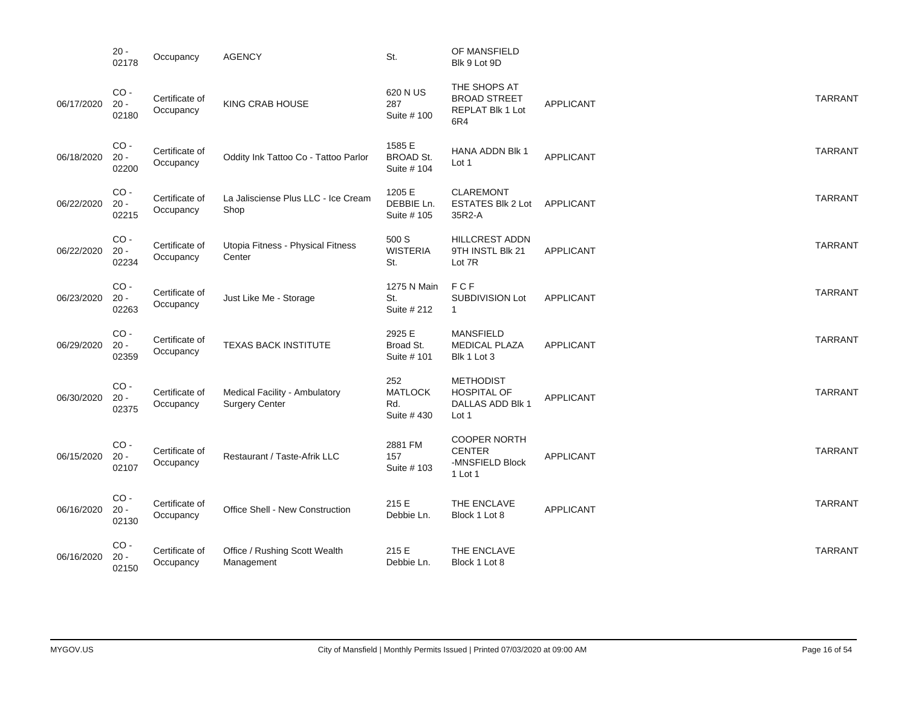|            | $20 -$<br>02178           | Occupancy                   | <b>AGENCY</b>                                          | St.                                         | OF MANSFIELD<br>Blk 9 Lot 9D                                        |                  |                |
|------------|---------------------------|-----------------------------|--------------------------------------------------------|---------------------------------------------|---------------------------------------------------------------------|------------------|----------------|
| 06/17/2020 | $CO -$<br>$20 -$<br>02180 | Certificate of<br>Occupancy | KING CRAB HOUSE                                        | 620 N US<br>287<br>Suite # 100              | THE SHOPS AT<br><b>BROAD STREET</b><br>REPLAT Blk 1 Lot<br>6R4      | <b>APPLICANT</b> | <b>TARRANT</b> |
| 06/18/2020 | $CO -$<br>$20 -$<br>02200 | Certificate of<br>Occupancy | Oddity Ink Tattoo Co - Tattoo Parlor                   | 1585 E<br><b>BROAD St.</b><br>Suite # 104   | HANA ADDN Blk 1<br>Lot 1                                            | <b>APPLICANT</b> | <b>TARRANT</b> |
| 06/22/2020 | $CO -$<br>$20 -$<br>02215 | Certificate of<br>Occupancy | La Jalisciense Plus LLC - Ice Cream<br>Shop            | 1205 E<br>DEBBIE Ln.<br>Suite # 105         | <b>CLAREMONT</b><br><b>ESTATES Blk 2 Lot</b><br>35R2-A              | APPLICANT        | <b>TARRANT</b> |
| 06/22/2020 | $CO -$<br>$20 -$<br>02234 | Certificate of<br>Occupancy | Utopia Fitness - Physical Fitness<br>Center            | 500 S<br><b>WISTERIA</b><br>St.             | HILLCREST ADDN<br>9TH INSTL Blk 21<br>Lot 7R                        | <b>APPLICANT</b> | <b>TARRANT</b> |
| 06/23/2020 | $CO -$<br>$20 -$<br>02263 | Certificate of<br>Occupancy | Just Like Me - Storage                                 | 1275 N Main<br>St.<br>Suite # 212           | FCF<br>SUBDIVISION Lot<br>$\mathbf{1}$                              | <b>APPLICANT</b> | <b>TARRANT</b> |
| 06/29/2020 | $CO -$<br>$20 -$<br>02359 | Certificate of<br>Occupancy | <b>TEXAS BACK INSTITUTE</b>                            | 2925 E<br>Broad St.<br>Suite # 101          | <b>MANSFIELD</b><br><b>MEDICAL PLAZA</b><br>Blk 1 Lot 3             | APPLICANT        | <b>TARRANT</b> |
| 06/30/2020 | $CO -$<br>$20 -$<br>02375 | Certificate of<br>Occupancy | Medical Facility - Ambulatory<br><b>Surgery Center</b> | 252<br><b>MATLOCK</b><br>Rd.<br>Suite # 430 | <b>METHODIST</b><br><b>HOSPITAL OF</b><br>DALLAS ADD Blk 1<br>Lot 1 | <b>APPLICANT</b> | <b>TARRANT</b> |
| 06/15/2020 | $CO -$<br>$20 -$<br>02107 | Certificate of<br>Occupancy | Restaurant / Taste-Afrik LLC                           | 2881 FM<br>157<br>Suite # 103               | <b>COOPER NORTH</b><br><b>CENTER</b><br>-MNSFIELD Block<br>1 Lot 1  | <b>APPLICANT</b> | <b>TARRANT</b> |
| 06/16/2020 | $CO -$<br>$20 -$<br>02130 | Certificate of<br>Occupancy | <b>Office Shell - New Construction</b>                 | 215 E<br>Debbie Ln.                         | THE ENCLAVE<br>Block 1 Lot 8                                        | <b>APPLICANT</b> | <b>TARRANT</b> |
| 06/16/2020 | $CO -$<br>$20 -$<br>02150 | Certificate of<br>Occupancy | Office / Rushing Scott Wealth<br>Management            | 215 E<br>Debbie Ln.                         | THE ENCLAVE<br>Block 1 Lot 8                                        |                  | <b>TARRANT</b> |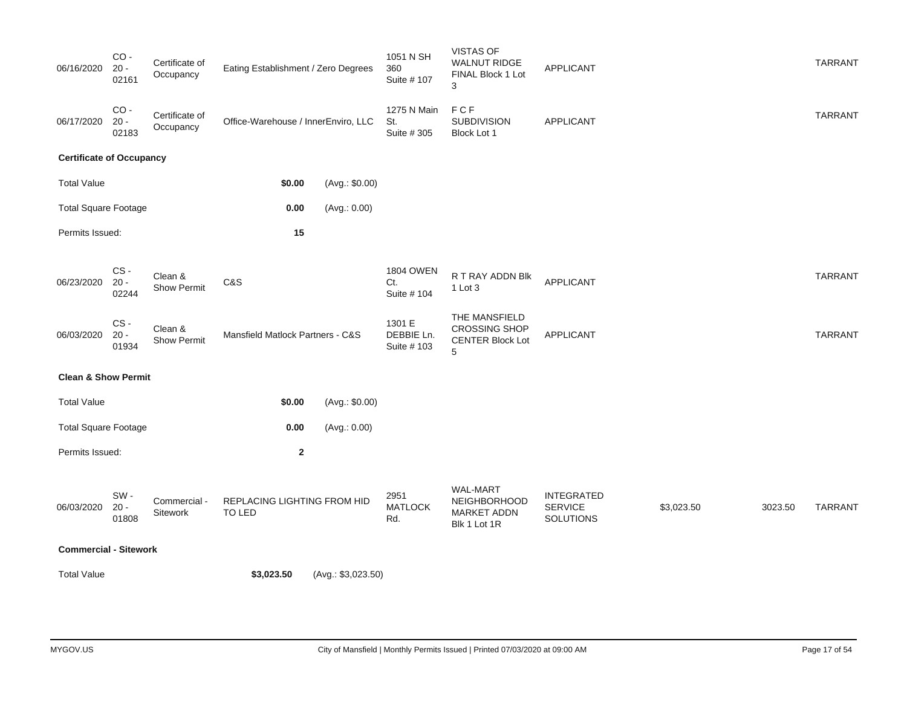| 06/16/2020                      | $CO -$<br>$20 -$<br>02161                                                            | Certificate of<br>Occupancy   | Eating Establishment / Zero Degrees   |                                     |                                                                       | 1051 N SH<br>360<br>Suite # 107        | <b>VISTAS OF</b><br><b>WALNUT RIDGE</b><br>FINAL Block 1 Lot<br>3     | <b>APPLICANT</b>                                 |                |         | <b>TARRANT</b> |
|---------------------------------|--------------------------------------------------------------------------------------|-------------------------------|---------------------------------------|-------------------------------------|-----------------------------------------------------------------------|----------------------------------------|-----------------------------------------------------------------------|--------------------------------------------------|----------------|---------|----------------|
| 06/17/2020                      | $CO -$<br>$20 -$<br>02183                                                            | Certificate of<br>Occupancy   | Office-Warehouse / InnerEnviro, LLC   |                                     |                                                                       | 1275 N Main<br>St.<br>Suite # 305      | FCF<br><b>SUBDIVISION</b><br>Block Lot 1                              | <b>APPLICANT</b>                                 |                |         | <b>TARRANT</b> |
| <b>Certificate of Occupancy</b> |                                                                                      |                               |                                       |                                     |                                                                       |                                        |                                                                       |                                                  |                |         |                |
| <b>Total Value</b>              |                                                                                      |                               |                                       | \$0.00                              | (Avg.: \$0.00)                                                        |                                        |                                                                       |                                                  |                |         |                |
| <b>Total Square Footage</b>     |                                                                                      |                               |                                       | 0.00                                | (Avg.: 0.00)                                                          |                                        |                                                                       |                                                  |                |         |                |
| Permits Issued:                 |                                                                                      |                               |                                       | 15                                  |                                                                       |                                        |                                                                       |                                                  |                |         |                |
|                                 |                                                                                      |                               |                                       |                                     |                                                                       |                                        |                                                                       |                                                  |                |         |                |
| 06/23/2020                      | CS-<br>$20 -$<br>02244                                                               | Clean &<br><b>Show Permit</b> | C&S                                   |                                     |                                                                       | <b>1804 OWEN</b><br>Ct.<br>Suite # 104 | R T RAY ADDN Blk<br>1 Lot 3                                           | APPLICANT                                        |                |         | <b>TARRANT</b> |
| 06/03/2020                      | CS-<br>Clean &<br>$20 -$<br>Mansfield Matlock Partners - C&S<br>Show Permit<br>01934 |                               |                                       | 1301 E<br>DEBBIE Ln.<br>Suite # 103 | THE MANSFIELD<br><b>CROSSING SHOP</b><br><b>CENTER Block Lot</b><br>5 | APPLICANT                              |                                                                       |                                                  | <b>TARRANT</b> |         |                |
| <b>Clean &amp; Show Permit</b>  |                                                                                      |                               |                                       |                                     |                                                                       |                                        |                                                                       |                                                  |                |         |                |
| <b>Total Value</b>              |                                                                                      |                               |                                       | \$0.00                              | (Avg.: \$0.00)                                                        |                                        |                                                                       |                                                  |                |         |                |
| <b>Total Square Footage</b>     |                                                                                      |                               |                                       | 0.00                                | (Avg.: 0.00)                                                          |                                        |                                                                       |                                                  |                |         |                |
| Permits Issued:                 |                                                                                      |                               |                                       | $\mathbf 2$                         |                                                                       |                                        |                                                                       |                                                  |                |         |                |
| 06/03/2020                      | SW-<br>$20 -$<br>01808                                                               | Commercial -<br>Sitework      | REPLACING LIGHTING FROM HID<br>TO LED |                                     |                                                                       | 2951<br><b>MATLOCK</b><br>Rd.          | <b>WAL-MART</b><br>NEIGHBORHOOD<br><b>MARKET ADDN</b><br>Blk 1 Lot 1R | <b>INTEGRATED</b><br><b>SERVICE</b><br>SOLUTIONS | \$3,023.50     | 3023.50 | <b>TARRANT</b> |
| <b>Commercial - Sitework</b>    |                                                                                      |                               |                                       |                                     |                                                                       |                                        |                                                                       |                                                  |                |         |                |
| <b>Total Value</b>              |                                                                                      |                               | \$3,023.50                            |                                     | (Avg.: \$3,023.50)                                                    |                                        |                                                                       |                                                  |                |         |                |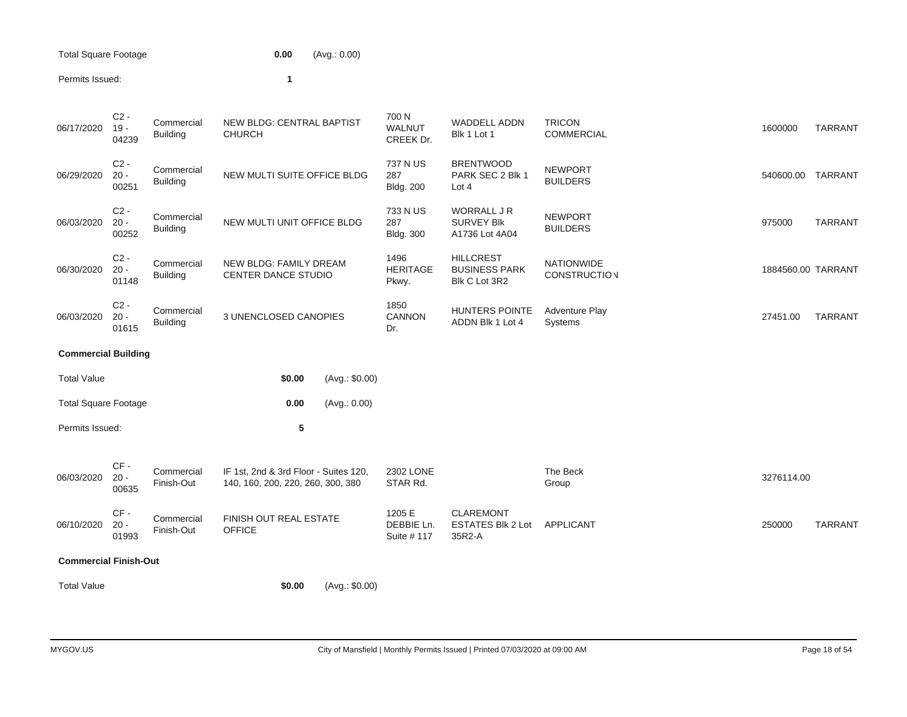| Total Square Footage | 0.00 | (Avg.: 0.00) |
|----------------------|------|--------------|
|                      |      |              |

#### Permits Issued: **1**

| 06/17/2020 | $C2 -$<br>$19 -$<br>04239 | Commercial<br><b>Building</b> | <b>NEW BLDG: CENTRAL BAPTIST</b><br><b>CHURCH</b>    | 700 N<br><b>WALNUT</b><br>CREEK Dr. | <b>WADDELL ADDN</b><br>Blk 1 Lot 1                        | <b>TRICON</b><br><b>COMMERCIAL</b>       | 1600000            | <b>TARRANT</b> |
|------------|---------------------------|-------------------------------|------------------------------------------------------|-------------------------------------|-----------------------------------------------------------|------------------------------------------|--------------------|----------------|
| 06/29/2020 | $C2 -$<br>$20 -$<br>00251 | Commercial<br><b>Building</b> | NEW MULTI SUITE OFFICE BLDG                          | 737 N US<br>287<br><b>Bldg. 200</b> | <b>BRENTWOOD</b><br>PARK SEC 2 Blk 1<br>Lot $4$           | <b>NEWPORT</b><br><b>BUILDERS</b>        | 540600.00          | <b>TARRANT</b> |
| 06/03/2020 | $C2 -$<br>$20 -$<br>00252 | Commercial<br><b>Building</b> | NEW MULTI UNIT OFFICE BLDG                           | 733 N US<br>287<br><b>Bldg. 300</b> | <b>WORRALL J R</b><br><b>SURVEY BIK</b><br>A1736 Lot 4A04 | <b>NEWPORT</b><br><b>BUILDERS</b>        | 975000             | <b>TARRANT</b> |
| 06/30/2020 | $C2 -$<br>$20 -$<br>01148 | Commercial<br><b>Building</b> | NEW BLDG: FAMILY DREAM<br><b>CENTER DANCE STUDIO</b> | 1496<br><b>HERITAGE</b><br>Pkwy.    | <b>HILLCREST</b><br><b>BUSINESS PARK</b><br>Blk C Lot 3R2 | <b>NATIONWIDE</b><br><b>CONSTRUCTION</b> | 1884560.00 TARRANT |                |
| 06/03/2020 | $C2 -$<br>$20 -$<br>01615 | Commercial<br><b>Building</b> | 3 UNENCLOSED CANOPIES                                | 1850<br><b>CANNON</b><br>Dr.        | <b>HUNTERS POINTE</b><br>ADDN Blk 1 Lot 4                 | <b>Adventure Play</b><br>Systems         | 27451.00           | <b>TARRANT</b> |
|            |                           |                               |                                                      |                                     |                                                           |                                          |                    |                |

### **Commercial Building**

| <b>Total Value</b>          |                           |                          | \$0.00                                                                     | (Avg.: \$0.00) |                                     |                                                        |                   |            |                |
|-----------------------------|---------------------------|--------------------------|----------------------------------------------------------------------------|----------------|-------------------------------------|--------------------------------------------------------|-------------------|------------|----------------|
| <b>Total Square Footage</b> |                           |                          | 0.00                                                                       | (Avg.: 0.00)   |                                     |                                                        |                   |            |                |
| Permits Issued:             |                           |                          | 5                                                                          |                |                                     |                                                        |                   |            |                |
| 06/03/2020                  | CF-<br>$20 -$<br>00635    | Commercial<br>Finish-Out | IF 1st, 2nd & 3rd Floor - Suites 120,<br>140, 160, 200, 220, 260, 300, 380 |                | 2302 LONE<br>STAR Rd.               |                                                        | The Beck<br>Group | 3276114.00 |                |
| 06/10/2020                  | $CF -$<br>$20 -$<br>01993 | Commercial<br>Finish-Out | <b>FINISH OUT REAL ESTATE</b><br><b>OFFICE</b>                             |                | 1205 E<br>DEBBIE Ln.<br>Suite # 117 | <b>CLAREMONT</b><br><b>ESTATES Blk 2 Lot</b><br>35R2-A | APPLICANT         | 250000     | <b>TARRANT</b> |

#### **Commercial Finish-Out**

Total Value **\$0.00** (Avg.: \$0.00)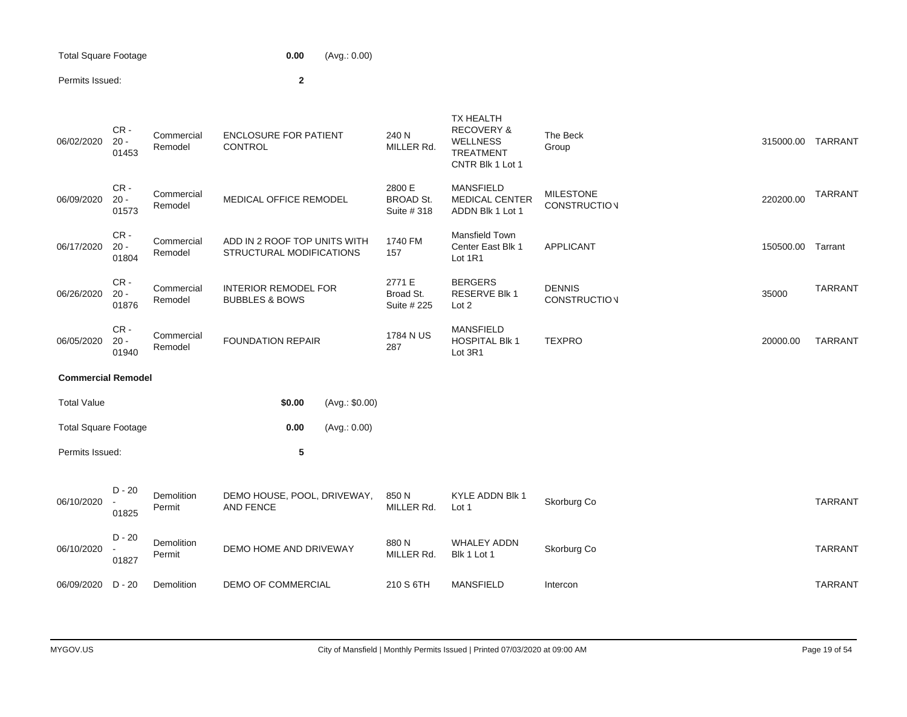| Total Square Footage | 0.00 | (Avg.: 0.00) |
|----------------------|------|--------------|
|----------------------|------|--------------|

# Permits Issued: **2**

| 06/02/2020                  | CR-<br>$20 -$<br>01453    | Commercial<br>Remodel                             | <b>ENCLOSURE FOR PATIENT</b><br>CONTROL                  | 240 N<br>MILLER Rd.                       | TX HEALTH<br><b>RECOVERY &amp;</b><br><b>WELLNESS</b><br><b>TREATMENT</b><br>CNTR Blk 1 Lot 1 | The Beck<br>Group                       | 315000.00 | <b>TARRANT</b> |
|-----------------------------|---------------------------|---------------------------------------------------|----------------------------------------------------------|-------------------------------------------|-----------------------------------------------------------------------------------------------|-----------------------------------------|-----------|----------------|
| 06/09/2020                  | $CR -$<br>$20 -$<br>01573 | Commercial<br>Remodel                             | MEDICAL OFFICE REMODEL                                   | 2800 E<br><b>BROAD St.</b><br>Suite # 318 | <b>MANSFIELD</b><br>MEDICAL CENTER<br>ADDN Blk 1 Lot 1                                        | <b>MILESTONE</b><br><b>CONSTRUCTION</b> | 220200.00 | <b>TARRANT</b> |
| 06/17/2020                  | CR-<br>$20 -$<br>01804    | Commercial<br>Remodel                             | ADD IN 2 ROOF TOP UNITS WITH<br>STRUCTURAL MODIFICATIONS | 1740 FM<br>157                            | Mansfield Town<br>Center East Blk 1<br>Lot 1R1                                                | <b>APPLICANT</b>                        | 150500.00 | Tarrant        |
| 06/26/2020                  | CR-<br>$20 -$<br>01876    | Commercial<br>Remodel                             | <b>INTERIOR REMODEL FOR</b><br><b>BUBBLES &amp; BOWS</b> | 2771 E<br>Broad St.<br>Suite # 225        | <b>BERGERS</b><br><b>RESERVE Blk 1</b><br>Lot 2                                               | <b>DENNIS</b><br><b>CONSTRUCTION</b>    | 35000     | <b>TARRANT</b> |
| 06/05/2020                  | CR-<br>$20 -$<br>01940    | Commercial<br><b>FOUNDATION REPAIR</b><br>Remodel |                                                          | 1784 N US<br>287                          | <b>MANSFIELD</b><br><b>HOSPITAL Blk 1</b><br>Lot 3R1                                          | <b>TEXPRO</b>                           | 20000.00  | <b>TARRANT</b> |
| <b>Commercial Remodel</b>   |                           |                                                   |                                                          |                                           |                                                                                               |                                         |           |                |
| <b>Total Value</b>          |                           |                                                   | \$0.00<br>(Avg.: \$0.00)                                 |                                           |                                                                                               |                                         |           |                |
| <b>Total Square Footage</b> |                           |                                                   | 0.00<br>(Avg.: 0.00)                                     |                                           |                                                                                               |                                         |           |                |
| Permits Issued:             |                           |                                                   | 5                                                        |                                           |                                                                                               |                                         |           |                |
| 06/10/2020                  | $D - 20$<br>01825         | Demolition<br>Permit                              | DEMO HOUSE, POOL, DRIVEWAY,<br><b>AND FENCE</b>          | 850 N<br>MILLER Rd.                       | KYLE ADDN Blk 1<br>Lot 1                                                                      | Skorburg Co                             |           | <b>TARRANT</b> |
| 06/10/2020                  | $D - 20$<br>01827         | Demolition<br>Permit                              | DEMO HOME AND DRIVEWAY                                   | 880N<br>MILLER Rd.                        | <b>WHALEY ADDN</b><br>Blk 1 Lot 1                                                             | Skorburg Co                             |           | <b>TARRANT</b> |
| 06/09/2020                  | D - 20                    | Demolition                                        | <b>DEMO OF COMMERCIAL</b>                                | 210 S 6TH                                 | <b>MANSFIELD</b>                                                                              | Intercon                                |           | <b>TARRANT</b> |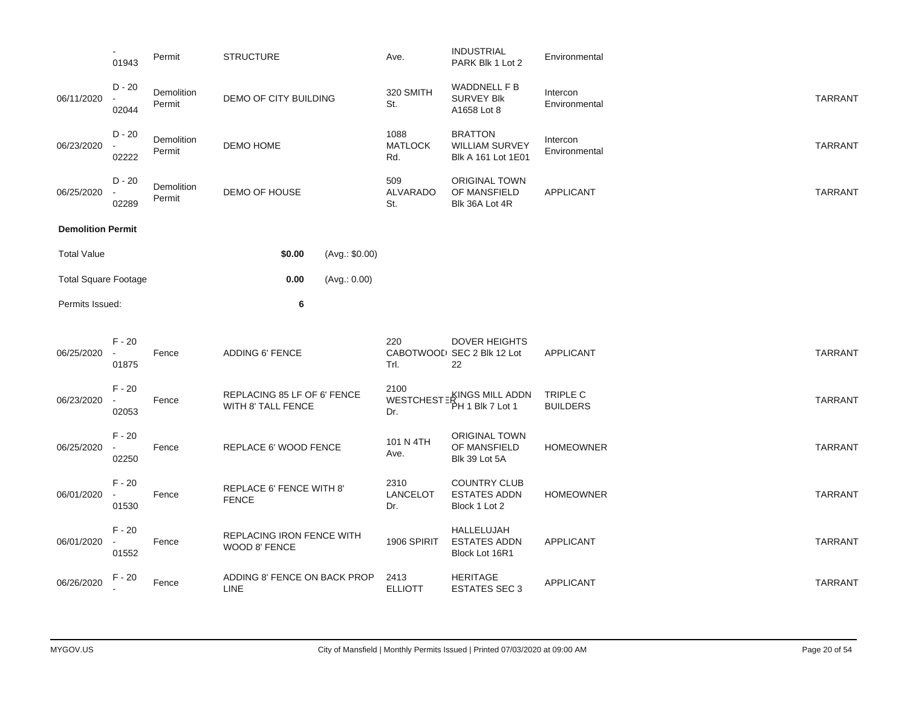|                             | 01943                                         | Permit               | <b>STRUCTURE</b> |                                                   |                              | Ave.                             | <b>INDUSTRIAL</b><br>PARK Blk 1 Lot 2                         | Environmental               |                |
|-----------------------------|-----------------------------------------------|----------------------|------------------|---------------------------------------------------|------------------------------|----------------------------------|---------------------------------------------------------------|-----------------------------|----------------|
| 06/11/2020                  | $D - 20$<br>02044                             | Demolition<br>Permit |                  | DEMO OF CITY BUILDING                             |                              | 320 SMITH<br>St.                 | WADDNELL F B<br><b>SURVEY Blk</b><br>A1658 Lot 8              | Intercon<br>Environmental   | <b>TARRANT</b> |
| 06/23/2020                  | $D - 20$<br>02222                             | Demolition<br>Permit | DEMO HOME        |                                                   |                              | 1088<br><b>MATLOCK</b><br>Rd.    | <b>BRATTON</b><br><b>WILLIAM SURVEY</b><br>Blk A 161 Lot 1E01 | Intercon<br>Environmental   | <b>TARRANT</b> |
| 06/25/2020                  | $D - 20$<br>02289                             | Demolition<br>Permit |                  | DEMO OF HOUSE                                     |                              | 509<br><b>ALVARADO</b><br>St.    | <b>ORIGINAL TOWN</b><br>OF MANSFIELD<br>Blk 36A Lot 4R        | APPLICANT                   | <b>TARRANT</b> |
| <b>Demolition Permit</b>    |                                               |                      |                  |                                                   |                              |                                  |                                                               |                             |                |
| <b>Total Value</b>          |                                               |                      |                  | \$0.00                                            | (Avg.: \$0.00)               |                                  |                                                               |                             |                |
| <b>Total Square Footage</b> |                                               |                      |                  | 0.00                                              | (Avg.: 0.00)                 |                                  |                                                               |                             |                |
| Permits Issued:             |                                               |                      |                  | 6                                                 |                              |                                  |                                                               |                             |                |
| 06/25/2020                  | $F - 20$<br>$\overline{\phantom{a}}$<br>01875 | Fence                |                  | ADDING 6' FENCE                                   |                              | 220<br>Trl.                      | <b>DOVER HEIGHTS</b><br>CABOTWOOD SEC 2 Blk 12 Lot<br>22      | APPLICANT                   | <b>TARRANT</b> |
| 06/23/2020                  | $F - 20$<br>02053                             | Fence                |                  | REPLACING 85 LF OF 6' FENCE<br>WITH 8' TALL FENCE |                              | 2100<br><b>WESTCHESTE</b><br>Dr. | -KINGS MILL ADDN<br>PH 1 Blk 7 Lot 1                          | TRIPLE C<br><b>BUILDERS</b> | <b>TARRANT</b> |
| 06/25/2020                  | $F - 20$<br>02250                             | Fence                |                  | REPLACE 6' WOOD FENCE                             |                              | 101 N 4TH<br>Ave.                | <b>ORIGINAL TOWN</b><br>OF MANSFIELD<br>Blk 39 Lot 5A         | <b>HOMEOWNER</b>            | <b>TARRANT</b> |
| 06/01/2020                  | $F - 20$<br>$\overline{\phantom{a}}$<br>01530 | Fence                | <b>FENCE</b>     | REPLACE 6' FENCE WITH 8'                          |                              | 2310<br>LANCELOT<br>Dr.          | <b>COUNTRY CLUB</b><br><b>ESTATES ADDN</b><br>Block 1 Lot 2   | <b>HOMEOWNER</b>            | <b>TARRANT</b> |
| 06/01/2020                  | $F - 20$<br>$\overline{\phantom{a}}$<br>01552 | Fence                | WOOD 8' FENCE    |                                                   | REPLACING IRON FENCE WITH    | 1906 SPIRIT                      | HALLELUJAH<br><b>ESTATES ADDN</b><br>Block Lot 16R1           | <b>APPLICANT</b>            | <b>TARRANT</b> |
| 06/26/2020                  | F - 20                                        | Fence                | LINE             |                                                   | ADDING 8' FENCE ON BACK PROP | 2413<br><b>ELLIOTT</b>           | <b>HERITAGE</b><br><b>ESTATES SEC 3</b>                       | <b>APPLICANT</b>            | <b>TARRANT</b> |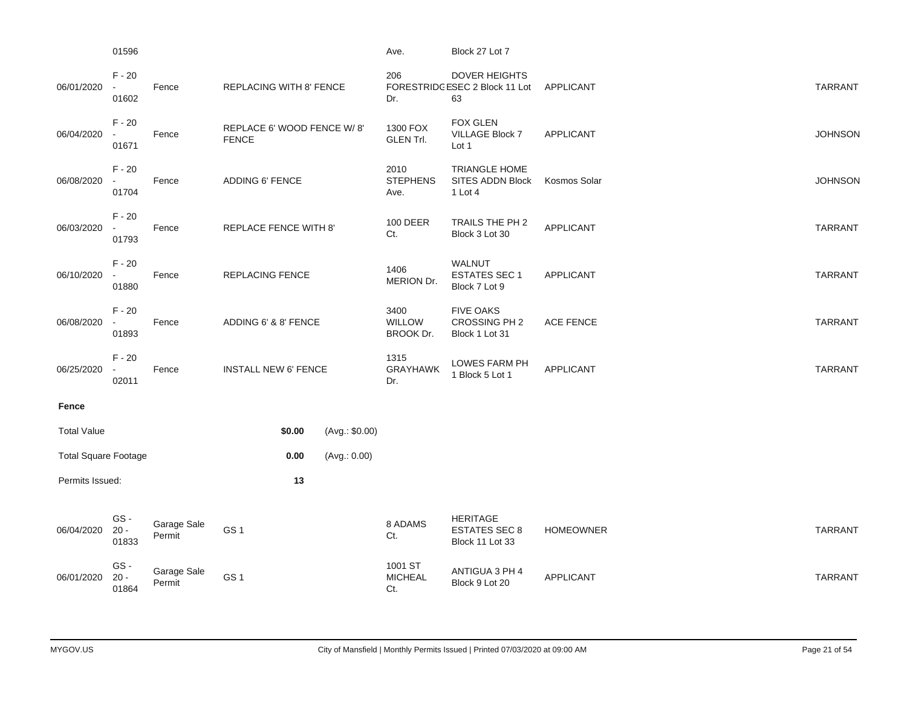|                             | 01596                                         |                       |                                            |                                                           |                | Ave.                               | Block 27 Lot 7                                              |                  |                |
|-----------------------------|-----------------------------------------------|-----------------------|--------------------------------------------|-----------------------------------------------------------|----------------|------------------------------------|-------------------------------------------------------------|------------------|----------------|
| 06/01/2020                  | $F - 20$<br>$\overline{\phantom{a}}$<br>01602 | Fence                 | <b>REPLACING WITH 8' FENCE</b>             |                                                           |                | 206<br>Dr.                         | <b>DOVER HEIGHTS</b><br>FORESTRIDGESEC 2 Block 11 Lot<br>63 | <b>APPLICANT</b> | <b>TARRANT</b> |
| 06/04/2020                  | $F - 20$<br>01671                             | Fence                 | REPLACE 6' WOOD FENCE W/8'<br><b>FENCE</b> |                                                           |                | 1300 FOX<br><b>GLEN Trl.</b>       | <b>FOX GLEN</b><br>VILLAGE Block 7<br>Lot 1                 | <b>APPLICANT</b> | <b>JOHNSON</b> |
| 06/08/2020                  | $F - 20$<br>$\overline{\phantom{a}}$<br>01704 | Fence                 |                                            | 2010<br><b>ADDING 6' FENCE</b><br><b>STEPHENS</b><br>Ave. |                |                                    | <b>TRIANGLE HOME</b><br>SITES ADDN Block<br>1 Lot 4         | Kosmos Solar     | <b>JOHNSON</b> |
| 06/03/2020                  | $F - 20$<br>$\sim$<br>01793                   | Fence                 | REPLACE FENCE WITH 8'                      |                                                           |                | 100 DEER<br>Ct.                    | TRAILS THE PH 2<br>Block 3 Lot 30                           | APPLICANT        | <b>TARRANT</b> |
| 06/10/2020                  | $F - 20$<br>01880                             | Fence                 | <b>REPLACING FENCE</b>                     |                                                           |                | 1406<br>MERION Dr.                 | <b>WALNUT</b><br><b>ESTATES SEC 1</b><br>Block 7 Lot 9      | <b>APPLICANT</b> | <b>TARRANT</b> |
| 06/08/2020                  | $F - 20$<br>01893                             | Fence                 |                                            | ADDING 6' & 8' FENCE                                      |                | 3400<br><b>WILLOW</b><br>BROOK Dr. | <b>FIVE OAKS</b><br>CROSSING PH 2<br>Block 1 Lot 31         | <b>ACE FENCE</b> | <b>TARRANT</b> |
| 06/25/2020                  | $F - 20$<br>02011                             | Fence                 | <b>INSTALL NEW 6' FENCE</b>                |                                                           |                | 1315<br><b>GRAYHAWK</b><br>Dr.     | <b>LOWES FARM PH</b><br>1 Block 5 Lot 1                     | <b>APPLICANT</b> | <b>TARRANT</b> |
| Fence                       |                                               |                       |                                            |                                                           |                |                                    |                                                             |                  |                |
| <b>Total Value</b>          |                                               |                       |                                            | \$0.00                                                    | (Avg.: \$0.00) |                                    |                                                             |                  |                |
| <b>Total Square Footage</b> |                                               |                       |                                            | 0.00                                                      | (Avg.: 0.00)   |                                    |                                                             |                  |                |
| Permits Issued:             |                                               |                       |                                            | 13                                                        |                |                                    |                                                             |                  |                |
| 06/04/2020                  | GS-<br>$20 -$<br>01833                        | Garage Sale<br>Permit | GS <sub>1</sub>                            |                                                           |                | 8 ADAMS<br>Ct.                     | <b>HERITAGE</b><br><b>ESTATES SEC 8</b><br>Block 11 Lot 33  | <b>HOMEOWNER</b> | <b>TARRANT</b> |
| 06/01/2020                  | GS-<br>$20 -$<br>01864                        | Garage Sale<br>Permit | GS <sub>1</sub>                            |                                                           |                | 1001 ST<br><b>MICHEAL</b><br>Ct.   | ANTIGUA 3 PH 4<br>Block 9 Lot 20                            | <b>APPLICANT</b> | <b>TARRANT</b> |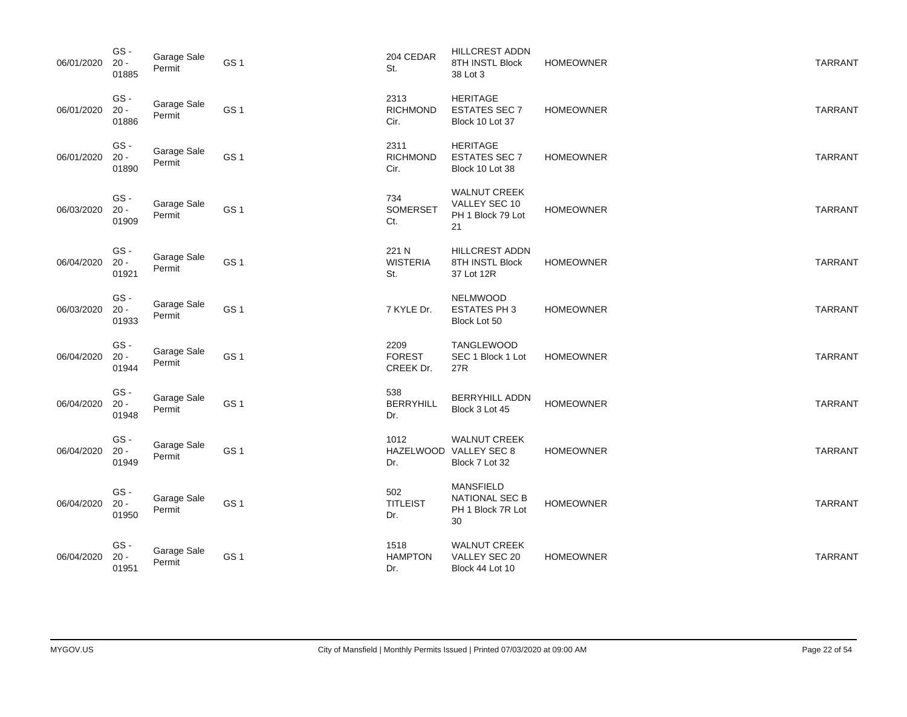| 06/01/2020 | GS-<br>$20 -$<br>01885  | Garage Sale<br>Permit | GS <sub>1</sub> | 204 CEDAR<br>St.                   | <b>HILLCREST ADDN</b><br>8TH INSTL Block<br>38 Lot 3                 | <b>HOMEOWNER</b> | <b>TARRANT</b> |
|------------|-------------------------|-----------------------|-----------------|------------------------------------|----------------------------------------------------------------------|------------------|----------------|
| 06/01/2020 | GS-<br>$20 -$<br>01886  | Garage Sale<br>Permit | GS <sub>1</sub> | 2313<br><b>RICHMOND</b><br>Cir.    | <b>HERITAGE</b><br><b>ESTATES SEC 7</b><br>Block 10 Lot 37           | <b>HOMEOWNER</b> | <b>TARRANT</b> |
| 06/01/2020 | GS-<br>$20 -$<br>01890  | Garage Sale<br>Permit | GS <sub>1</sub> | 2311<br><b>RICHMOND</b><br>Cir.    | <b>HERITAGE</b><br><b>ESTATES SEC 7</b><br>Block 10 Lot 38           | <b>HOMEOWNER</b> | <b>TARRANT</b> |
| 06/03/2020 | GS-<br>$20 -$<br>01909  | Garage Sale<br>Permit | GS <sub>1</sub> | 734<br>SOMERSET<br>Ct.             | <b>WALNUT CREEK</b><br>VALLEY SEC 10<br>PH 1 Block 79 Lot<br>21      | <b>HOMEOWNER</b> | <b>TARRANT</b> |
| 06/04/2020 | GS-<br>$20 -$<br>01921  | Garage Sale<br>Permit | GS <sub>1</sub> | 221 N<br><b>WISTERIA</b><br>St.    | HILLCREST ADDN<br>8TH INSTL Block<br>37 Lot 12R                      | <b>HOMEOWNER</b> | <b>TARRANT</b> |
| 06/03/2020 | GS-<br>$20 -$<br>01933  | Garage Sale<br>Permit | GS <sub>1</sub> | 7 KYLE Dr.                         | <b>NELMWOOD</b><br><b>ESTATES PH3</b><br>Block Lot 50                | <b>HOMEOWNER</b> | <b>TARRANT</b> |
| 06/04/2020 | GS-<br>$20 -$<br>01944  | Garage Sale<br>Permit | GS <sub>1</sub> | 2209<br><b>FOREST</b><br>CREEK Dr. | <b>TANGLEWOOD</b><br>SEC 1 Block 1 Lot<br>27R                        | <b>HOMEOWNER</b> | <b>TARRANT</b> |
| 06/04/2020 | GS-<br>$20 -$<br>01948  | Garage Sale<br>Permit | GS <sub>1</sub> | 538<br><b>BERRYHILL</b><br>Dr.     | <b>BERRYHILL ADDN</b><br>Block 3 Lot 45                              | <b>HOMEOWNER</b> | <b>TARRANT</b> |
| 06/04/2020 | GS-<br>$20 -$<br>01949  | Garage Sale<br>Permit | GS <sub>1</sub> | 1012<br>Dr.                        | <b>WALNUT CREEK</b><br>HAZELWOOD VALLEY SEC 8<br>Block 7 Lot 32      | <b>HOMEOWNER</b> | <b>TARRANT</b> |
| 06/04/2020 | GS -<br>$20 -$<br>01950 | Garage Sale<br>Permit | GS <sub>1</sub> | 502<br><b>TITLEIST</b><br>Dr.      | <b>MANSFIELD</b><br><b>NATIONAL SEC B</b><br>PH 1 Block 7R Lot<br>30 | <b>HOMEOWNER</b> | <b>TARRANT</b> |
| 06/04/2020 | GS-<br>$20 -$<br>01951  | Garage Sale<br>Permit | GS <sub>1</sub> | 1518<br><b>HAMPTON</b><br>Dr.      | <b>WALNUT CREEK</b><br>VALLEY SEC 20<br>Block 44 Lot 10              | <b>HOMEOWNER</b> | <b>TARRANT</b> |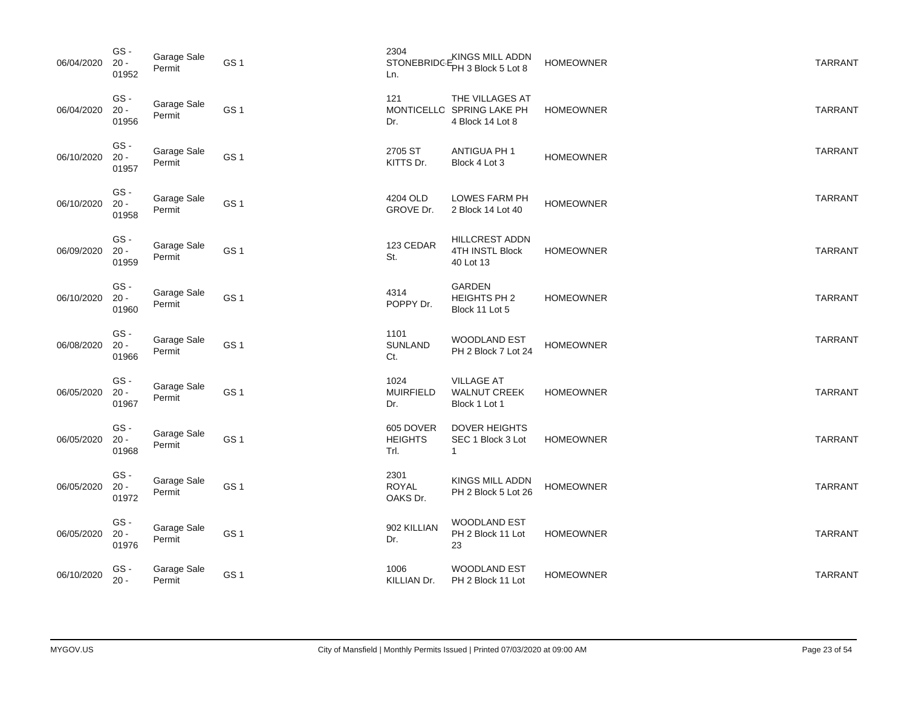| 06/04/2020 | GS-<br>$20 -$<br>01952 | Garage Sale<br>Permit | GS <sub>1</sub> | 2304<br><b>STONEBRIDG</b><br>Ln.    | KINGS MILL ADDN<br>PH 3 Block 5 Lot 8                            | <b>HOMEOWNER</b> | <b>TARRANT</b> |
|------------|------------------------|-----------------------|-----------------|-------------------------------------|------------------------------------------------------------------|------------------|----------------|
| 06/04/2020 | GS-<br>$20 -$<br>01956 | Garage Sale<br>Permit | GS <sub>1</sub> | 121<br>Dr.                          | THE VILLAGES AT<br>MONTICELLO SPRING LAKE PH<br>4 Block 14 Lot 8 | <b>HOMEOWNER</b> | <b>TARRANT</b> |
| 06/10/2020 | GS-<br>$20 -$<br>01957 | Garage Sale<br>Permit | GS <sub>1</sub> | 2705 ST<br>KITTS Dr.                | ANTIGUA PH 1<br>Block 4 Lot 3                                    | <b>HOMEOWNER</b> | <b>TARRANT</b> |
| 06/10/2020 | GS-<br>$20 -$<br>01958 | Garage Sale<br>Permit | GS <sub>1</sub> | 4204 OLD<br>GROVE Dr.               | LOWES FARM PH<br>2 Block 14 Lot 40                               | <b>HOMEOWNER</b> | <b>TARRANT</b> |
| 06/09/2020 | GS-<br>$20 -$<br>01959 | Garage Sale<br>Permit | GS <sub>1</sub> | 123 CEDAR<br>St.                    | HILLCREST ADDN<br>4TH INSTL Block<br>40 Lot 13                   | <b>HOMEOWNER</b> | <b>TARRANT</b> |
| 06/10/2020 | GS-<br>$20 -$<br>01960 | Garage Sale<br>Permit | GS <sub>1</sub> | 4314<br>POPPY Dr.                   | <b>GARDEN</b><br>HEIGHTS PH 2<br>Block 11 Lot 5                  | <b>HOMEOWNER</b> | <b>TARRANT</b> |
| 06/08/2020 | GS-<br>$20 -$<br>01966 | Garage Sale<br>Permit | GS <sub>1</sub> | 1101<br><b>SUNLAND</b><br>Ct.       | WOODLAND EST<br>PH 2 Block 7 Lot 24                              | <b>HOMEOWNER</b> | <b>TARRANT</b> |
| 06/05/2020 | GS-<br>$20 -$<br>01967 | Garage Sale<br>Permit | GS <sub>1</sub> | 1024<br><b>MUIRFIELD</b><br>Dr.     | <b>VILLAGE AT</b><br><b>WALNUT CREEK</b><br>Block 1 Lot 1        | <b>HOMEOWNER</b> | <b>TARRANT</b> |
| 06/05/2020 | GS-<br>$20 -$<br>01968 | Garage Sale<br>Permit | GS <sub>1</sub> | 605 DOVER<br><b>HEIGHTS</b><br>Trl. | <b>DOVER HEIGHTS</b><br>SEC 1 Block 3 Lot<br>$\mathbf{1}$        | <b>HOMEOWNER</b> | <b>TARRANT</b> |
| 06/05/2020 | GS-<br>$20 -$<br>01972 | Garage Sale<br>Permit | GS <sub>1</sub> | 2301<br><b>ROYAL</b><br>OAKS Dr.    | KINGS MILL ADDN<br>PH 2 Block 5 Lot 26                           | <b>HOMEOWNER</b> | <b>TARRANT</b> |
| 06/05/2020 | GS-<br>$20 -$<br>01976 | Garage Sale<br>Permit | GS <sub>1</sub> | 902 KILLIAN<br>Dr.                  | WOODLAND EST<br>PH 2 Block 11 Lot<br>23                          | <b>HOMEOWNER</b> | <b>TARRANT</b> |
| 06/10/2020 | GS-<br>$20 -$          | Garage Sale<br>Permit | GS <sub>1</sub> | 1006<br>KILLIAN Dr.                 | <b>WOODLAND EST</b><br>PH 2 Block 11 Lot                         | <b>HOMEOWNER</b> | <b>TARRANT</b> |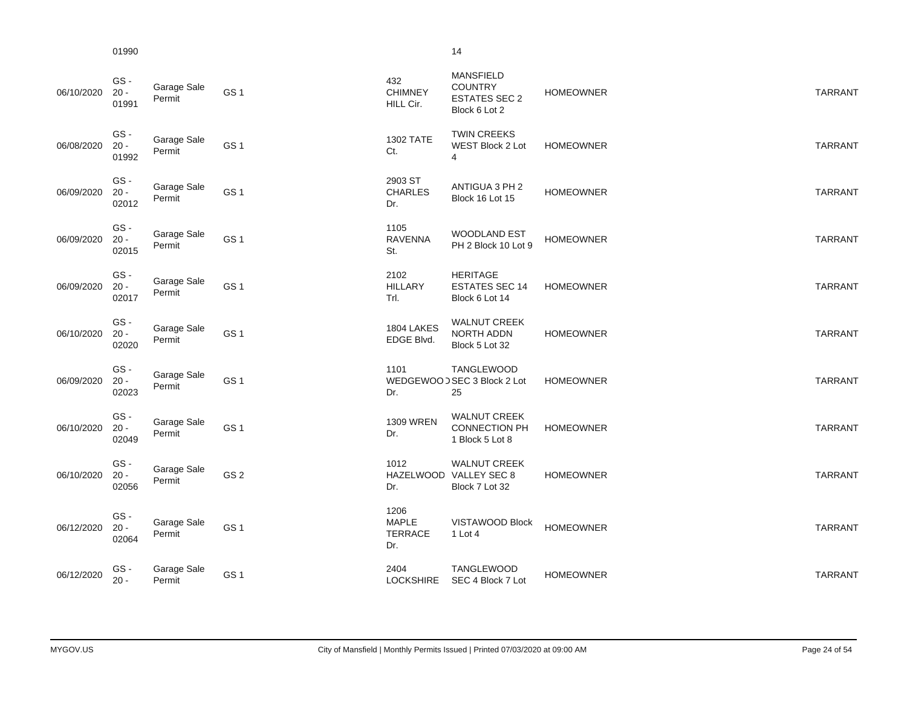01990 14

| ٦ |  |
|---|--|
|   |  |

| 06/10/2020 | GS-<br>$20 -$<br>01991 | Garage Sale<br>Permit | GS <sub>1</sub> | 432<br><b>CHIMNEY</b><br>HILL Cir.            | <b>MANSFIELD</b><br><b>COUNTRY</b><br><b>ESTATES SEC 2</b><br>Block 6 Lot 2 | <b>HOMEOWNER</b> | <b>TARRANT</b> |
|------------|------------------------|-----------------------|-----------------|-----------------------------------------------|-----------------------------------------------------------------------------|------------------|----------------|
| 06/08/2020 | GS-<br>$20 -$<br>01992 | Garage Sale<br>Permit | GS <sub>1</sub> | 1302 TATE<br>Ct.                              | <b>TWIN CREEKS</b><br>WEST Block 2 Lot<br>$\overline{4}$                    | <b>HOMEOWNER</b> | <b>TARRANT</b> |
| 06/09/2020 | GS-<br>$20 -$<br>02012 | Garage Sale<br>Permit | GS <sub>1</sub> | 2903 ST<br><b>CHARLES</b><br>Dr.              | ANTIGUA 3 PH 2<br>Block 16 Lot 15                                           | <b>HOMEOWNER</b> | <b>TARRANT</b> |
| 06/09/2020 | GS-<br>$20 -$<br>02015 | Garage Sale<br>Permit | GS <sub>1</sub> | 1105<br><b>RAVENNA</b><br>St.                 | <b>WOODLAND EST</b><br>PH 2 Block 10 Lot 9                                  | <b>HOMEOWNER</b> | <b>TARRANT</b> |
| 06/09/2020 | GS-<br>$20 -$<br>02017 | Garage Sale<br>Permit | GS <sub>1</sub> | 2102<br><b>HILLARY</b><br>Trl.                | <b>HERITAGE</b><br><b>ESTATES SEC 14</b><br>Block 6 Lot 14                  | <b>HOMEOWNER</b> | <b>TARRANT</b> |
| 06/10/2020 | GS-<br>$20 -$<br>02020 | Garage Sale<br>Permit | GS <sub>1</sub> | 1804 LAKES<br>EDGE Blvd.                      | <b>WALNUT CREEK</b><br>NORTH ADDN<br>Block 5 Lot 32                         | <b>HOMEOWNER</b> | <b>TARRANT</b> |
| 06/09/2020 | GS-<br>$20 -$<br>02023 | Garage Sale<br>Permit | GS <sub>1</sub> | 1101<br>Dr.                                   | <b>TANGLEWOOD</b><br>WEDGEWOOD SEC 3 Block 2 Lot<br>25                      | <b>HOMEOWNER</b> | <b>TARRANT</b> |
| 06/10/2020 | GS-<br>$20 -$<br>02049 | Garage Sale<br>Permit | GS <sub>1</sub> | <b>1309 WREN</b><br>Dr.                       | <b>WALNUT CREEK</b><br><b>CONNECTION PH</b><br>1 Block 5 Lot 8              | <b>HOMEOWNER</b> | <b>TARRANT</b> |
| 06/10/2020 | GS-<br>$20 -$<br>02056 | Garage Sale<br>Permit | GS <sub>2</sub> | 1012<br>Dr.                                   | <b>WALNUT CREEK</b><br>HAZELWOOD VALLEY SEC 8<br>Block 7 Lot 32             | <b>HOMEOWNER</b> | <b>TARRANT</b> |
| 06/12/2020 | GS-<br>$20 -$<br>02064 | Garage Sale<br>Permit | GS <sub>1</sub> | 1206<br><b>MAPLE</b><br><b>TERRACE</b><br>Dr. | VISTAWOOD Block<br>$1$ Lot 4                                                | <b>HOMEOWNER</b> | <b>TARRANT</b> |
| 06/12/2020 | GS-<br>$20 -$          | Garage Sale<br>Permit | GS <sub>1</sub> | 2404<br><b>LOCKSHIRE</b>                      | TANGLEWOOD<br>SEC 4 Block 7 Lot                                             | <b>HOMEOWNER</b> | <b>TARRANT</b> |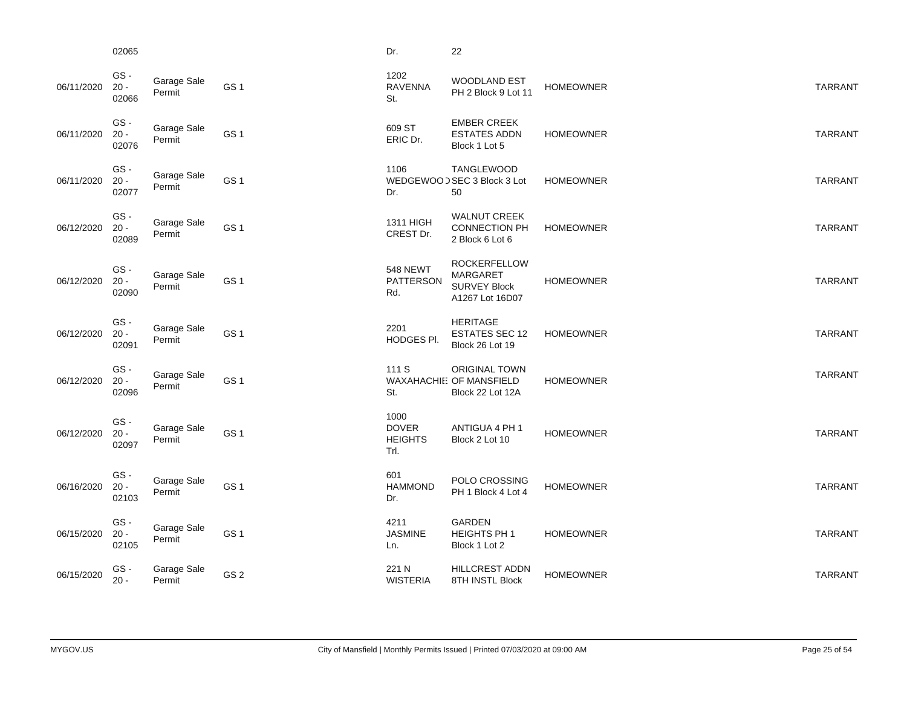|            | 02065                  |                       |                 | Dr.                                            | 22                                                                        |                  |                |
|------------|------------------------|-----------------------|-----------------|------------------------------------------------|---------------------------------------------------------------------------|------------------|----------------|
| 06/11/2020 | GS-<br>$20 -$<br>02066 | Garage Sale<br>Permit | GS <sub>1</sub> | 1202<br><b>RAVENNA</b><br>St.                  | <b>WOODLAND EST</b><br>PH 2 Block 9 Lot 11                                | <b>HOMEOWNER</b> | <b>TARRANT</b> |
| 06/11/2020 | GS-<br>$20 -$<br>02076 | Garage Sale<br>Permit | GS <sub>1</sub> | 609 ST<br>ERIC Dr.                             | <b>EMBER CREEK</b><br><b>ESTATES ADDN</b><br>Block 1 Lot 5                | <b>HOMEOWNER</b> | <b>TARRANT</b> |
| 06/11/2020 | GS-<br>$20 -$<br>02077 | Garage Sale<br>Permit | GS <sub>1</sub> | 1106<br>Dr.                                    | TANGLEWOOD<br>WEDGEWOOD SEC 3 Block 3 Lot<br>50                           | <b>HOMEOWNER</b> | <b>TARRANT</b> |
| 06/12/2020 | GS-<br>$20 -$<br>02089 | Garage Sale<br>Permit | GS <sub>1</sub> | 1311 HIGH<br>CREST Dr.                         | <b>WALNUT CREEK</b><br><b>CONNECTION PH</b><br>2 Block 6 Lot 6            | <b>HOMEOWNER</b> | <b>TARRANT</b> |
| 06/12/2020 | GS-<br>$20 -$<br>02090 | Garage Sale<br>Permit | GS <sub>1</sub> | <b>548 NEWT</b><br><b>PATTERSON</b><br>Rd.     | <b>ROCKERFELLOW</b><br>MARGARET<br><b>SURVEY Block</b><br>A1267 Lot 16D07 | <b>HOMEOWNER</b> | <b>TARRANT</b> |
| 06/12/2020 | GS-<br>$20 -$<br>02091 | Garage Sale<br>Permit | GS <sub>1</sub> | 2201<br>HODGES PI.                             | <b>HERITAGE</b><br><b>ESTATES SEC 12</b><br>Block 26 Lot 19               | <b>HOMEOWNER</b> | <b>TARRANT</b> |
| 06/12/2020 | GS-<br>$20 -$<br>02096 | Garage Sale<br>Permit | GS <sub>1</sub> | 111 S<br>St.                                   | <b>ORIGINAL TOWN</b><br>WAXAHACHIE: OF MANSFIELD<br>Block 22 Lot 12A      | <b>HOMEOWNER</b> | <b>TARRANT</b> |
| 06/12/2020 | GS-<br>$20 -$<br>02097 | Garage Sale<br>Permit | GS <sub>1</sub> | 1000<br><b>DOVER</b><br><b>HEIGHTS</b><br>Trl. | ANTIGUA 4 PH 1<br>Block 2 Lot 10                                          | <b>HOMEOWNER</b> | <b>TARRANT</b> |
| 06/16/2020 | GS-<br>$20 -$<br>02103 | Garage Sale<br>Permit | GS <sub>1</sub> | 601<br><b>HAMMOND</b><br>Dr.                   | POLO CROSSING<br>PH 1 Block 4 Lot 4                                       | <b>HOMEOWNER</b> | <b>TARRANT</b> |
| 06/15/2020 | GS-<br>$20 -$<br>02105 | Garage Sale<br>Permit | GS <sub>1</sub> | 4211<br><b>JASMINE</b><br>Ln.                  | <b>GARDEN</b><br><b>HEIGHTS PH 1</b><br>Block 1 Lot 2                     | <b>HOMEOWNER</b> | <b>TARRANT</b> |
| 06/15/2020 | GS-<br>$20 -$          | Garage Sale<br>Permit | GS <sub>2</sub> | 221 N<br><b>WISTERIA</b>                       | <b>HILLCREST ADDN</b><br>8TH INSTL Block                                  | <b>HOMEOWNER</b> | <b>TARRANT</b> |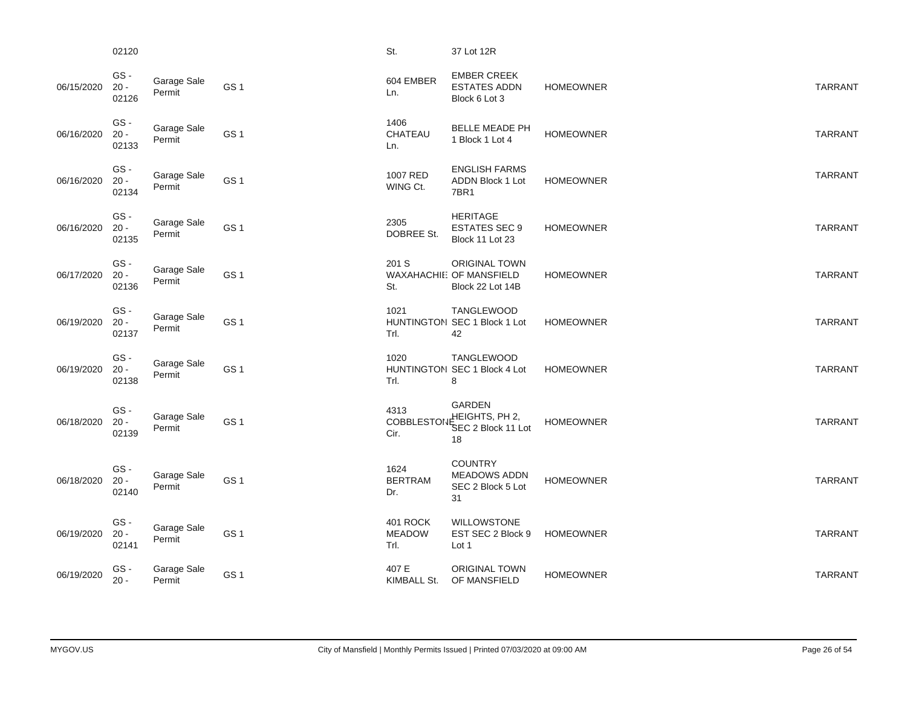|            | 02120                  |                       |                 | St.                               | 37 Lot 12R                                                           |                  |                |
|------------|------------------------|-----------------------|-----------------|-----------------------------------|----------------------------------------------------------------------|------------------|----------------|
| 06/15/2020 | GS-<br>$20 -$<br>02126 | Garage Sale<br>Permit | GS <sub>1</sub> | 604 EMBER<br>Ln.                  | <b>EMBER CREEK</b><br><b>ESTATES ADDN</b><br>Block 6 Lot 3           | <b>HOMEOWNER</b> | <b>TARRANT</b> |
| 06/16/2020 | GS-<br>$20 -$<br>02133 | Garage Sale<br>Permit | GS <sub>1</sub> | 1406<br>CHATEAU<br>Ln.            | BELLE MEADE PH<br>1 Block 1 Lot 4                                    | <b>HOMEOWNER</b> | <b>TARRANT</b> |
| 06/16/2020 | GS-<br>$20 -$<br>02134 | Garage Sale<br>Permit | GS <sub>1</sub> | 1007 RED<br>WING Ct.              | <b>ENGLISH FARMS</b><br>ADDN Block 1 Lot<br>7BR1                     | <b>HOMEOWNER</b> | <b>TARRANT</b> |
| 06/16/2020 | GS-<br>$20 -$<br>02135 | Garage Sale<br>Permit | GS <sub>1</sub> | 2305<br>DOBREE St.                | <b>HERITAGE</b><br><b>ESTATES SEC 9</b><br>Block 11 Lot 23           | <b>HOMEOWNER</b> | <b>TARRANT</b> |
| 06/17/2020 | GS-<br>$20 -$<br>02136 | Garage Sale<br>Permit | GS <sub>1</sub> | 201 S<br>St.                      | <b>ORIGINAL TOWN</b><br>WAXAHACHIE: OF MANSFIELD<br>Block 22 Lot 14B | <b>HOMEOWNER</b> | <b>TARRANT</b> |
| 06/19/2020 | GS-<br>$20 -$<br>02137 | Garage Sale<br>Permit | GS <sub>1</sub> | 1021<br>Trl.                      | TANGLEWOOD<br>HUNTINGTON SEC 1 Block 1 Lot<br>42                     | <b>HOMEOWNER</b> | <b>TARRANT</b> |
| 06/19/2020 | GS-<br>$20 -$<br>02138 | Garage Sale<br>Permit | GS <sub>1</sub> | 1020<br>Trl.                      | <b>TANGLEWOOD</b><br>HUNTINGTON SEC 1 Block 4 Lot<br>8               | <b>HOMEOWNER</b> | <b>TARRANT</b> |
| 06/18/2020 | GS-<br>$20 -$<br>02139 | Garage Sale<br>Permit | GS <sub>1</sub> | 4313<br><b>COBBLESTOI</b><br>Cir. | <b>GARDEN</b><br>JEHEIGHTS, PH 2,<br>SEC 2 Block 11 Lot<br>18        | <b>HOMEOWNER</b> | <b>TARRANT</b> |
| 06/18/2020 | GS-<br>$20 -$<br>02140 | Garage Sale<br>Permit | GS <sub>1</sub> | 1624<br><b>BERTRAM</b><br>Dr.     | <b>COUNTRY</b><br><b>MEADOWS ADDN</b><br>SEC 2 Block 5 Lot<br>31     | <b>HOMEOWNER</b> | <b>TARRANT</b> |
| 06/19/2020 | GS-<br>$20 -$<br>02141 | Garage Sale<br>Permit | GS <sub>1</sub> | 401 ROCK<br><b>MEADOW</b><br>Trl. | <b>WILLOWSTONE</b><br>EST SEC 2 Block 9<br>Lot 1                     | <b>HOMEOWNER</b> | <b>TARRANT</b> |
| 06/19/2020 | GS-<br>$20 -$          | Garage Sale<br>Permit | GS <sub>1</sub> | 407 E<br>KIMBALL St.              | <b>ORIGINAL TOWN</b><br>OF MANSFIELD                                 | <b>HOMEOWNER</b> | <b>TARRANT</b> |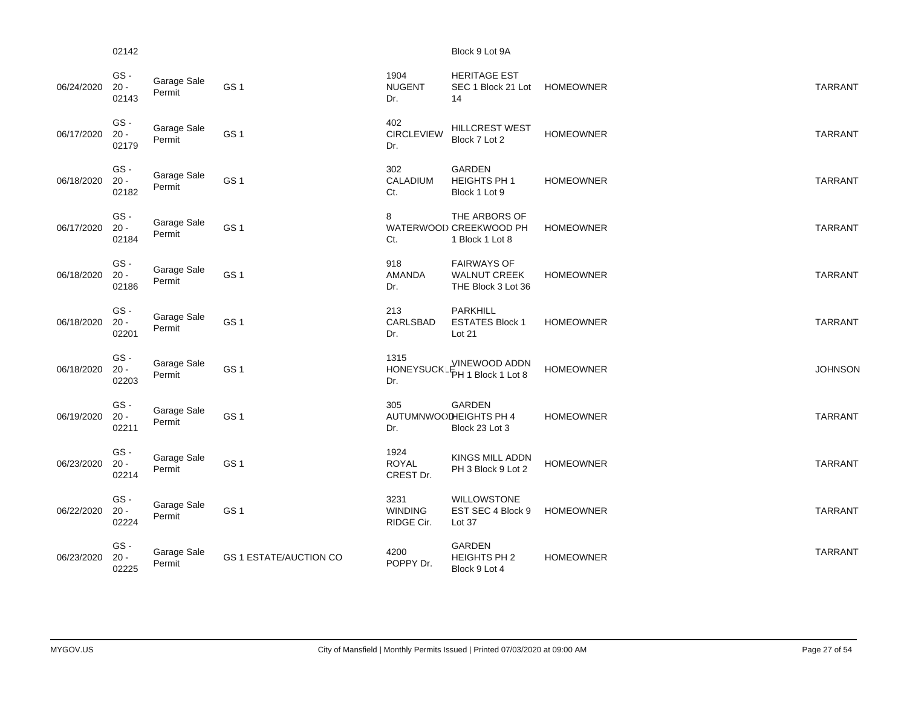#### 02142 Block 9 Lot 9A

| 06/24/2020 | GS-<br>$20 -$<br>02143 | Garage Sale<br>Permit | GS <sub>1</sub>               | 1904<br><b>NUGENT</b><br>Dr.         | <b>HERITAGE EST</b><br>SEC 1 Block 21 Lot<br>14                  | <b>HOMEOWNER</b> | <b>TARRANT</b> |
|------------|------------------------|-----------------------|-------------------------------|--------------------------------------|------------------------------------------------------------------|------------------|----------------|
| 06/17/2020 | GS-<br>$20 -$<br>02179 | Garage Sale<br>Permit | GS <sub>1</sub>               | 402<br><b>CIRCLEVIEW</b><br>Dr.      | <b>HILLCREST WEST</b><br>Block 7 Lot 2                           | <b>HOMEOWNER</b> | <b>TARRANT</b> |
| 06/18/2020 | GS-<br>$20 -$<br>02182 | Garage Sale<br>Permit | GS <sub>1</sub>               | 302<br>CALADIUM<br>Ct.               | <b>GARDEN</b><br>HEIGHTS PH 1<br>Block 1 Lot 9                   | <b>HOMEOWNER</b> | <b>TARRANT</b> |
| 06/17/2020 | GS-<br>$20 -$<br>02184 | Garage Sale<br>Permit | GS <sub>1</sub>               | 8<br>Ct.                             | THE ARBORS OF<br>WATERWOOD CREEKWOOD PH<br>1 Block 1 Lot 8       | <b>HOMEOWNER</b> | <b>TARRANT</b> |
| 06/18/2020 | GS-<br>$20 -$<br>02186 | Garage Sale<br>Permit | GS <sub>1</sub>               | 918<br><b>AMANDA</b><br>Dr.          | <b>FAIRWAYS OF</b><br><b>WALNUT CREEK</b><br>THE Block 3 Lot 36  | <b>HOMEOWNER</b> | <b>TARRANT</b> |
| 06/18/2020 | GS-<br>$20 -$<br>02201 | Garage Sale<br>Permit | GS <sub>1</sub>               | 213<br><b>CARLSBAD</b><br>Dr.        | PARKHILL<br><b>ESTATES Block 1</b><br>Lot 21                     | <b>HOMEOWNER</b> | <b>TARRANT</b> |
| 06/18/2020 | GS-<br>$20 -$<br>02203 | Garage Sale<br>Permit | GS <sub>1</sub>               | 1315<br><b>HONEYSUCK</b><br>Dr.      | <b>VINEWOOD ADDN</b><br>PH 1 Block 1 Lot 8                       | <b>HOMEOWNER</b> | <b>JOHNSON</b> |
| 06/19/2020 | GS-<br>$20 -$<br>02211 | Garage Sale<br>Permit | GS <sub>1</sub>               | 305<br>Dr.                           | <b>GARDEN</b><br><b>AUTUMNWOODHEIGHTS PH 4</b><br>Block 23 Lot 3 | <b>HOMEOWNER</b> | <b>TARRANT</b> |
| 06/23/2020 | GS-<br>$20 -$<br>02214 | Garage Sale<br>Permit | GS <sub>1</sub>               | 1924<br><b>ROYAL</b><br>CREST Dr.    | <b>KINGS MILL ADDN</b><br>PH 3 Block 9 Lot 2                     | <b>HOMEOWNER</b> | <b>TARRANT</b> |
| 06/22/2020 | GS-<br>$20 -$<br>02224 | Garage Sale<br>Permit | GS <sub>1</sub>               | 3231<br><b>WINDING</b><br>RIDGE Cir. | <b>WILLOWSTONE</b><br>EST SEC 4 Block 9<br>Lot 37                | <b>HOMEOWNER</b> | <b>TARRANT</b> |
| 06/23/2020 | GS-<br>$20 -$<br>02225 | Garage Sale<br>Permit | <b>GS 1 ESTATE/AUCTION CO</b> | 4200<br>POPPY Dr.                    | GARDEN<br>HEIGHTS PH 2<br>Block 9 Lot 4                          | <b>HOMEOWNER</b> | <b>TARRANT</b> |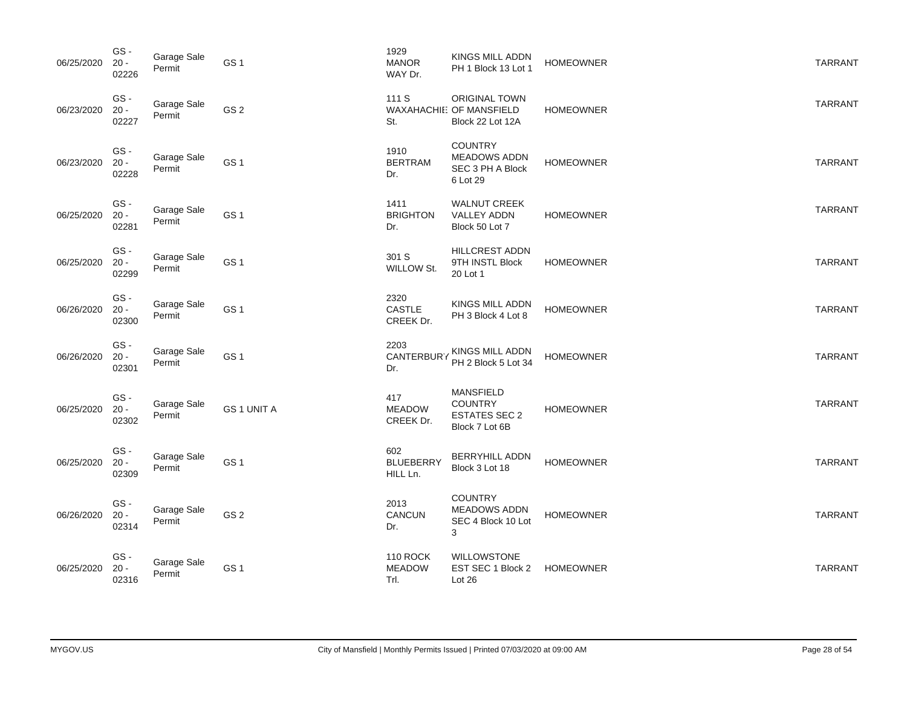| 06/25/2020 | GS-<br>$20 -$<br>02226 | Garage Sale<br>Permit | GS <sub>1</sub>    | 1929<br><b>MANOR</b><br>WAY Dr.          | KINGS MILL ADDN<br>PH 1 Block 13 Lot 1                                       | <b>HOMEOWNER</b> | <b>TARRANT</b> |
|------------|------------------------|-----------------------|--------------------|------------------------------------------|------------------------------------------------------------------------------|------------------|----------------|
| 06/23/2020 | GS-<br>$20 -$<br>02227 | Garage Sale<br>Permit | GS <sub>2</sub>    | 111 S<br>St.                             | <b>ORIGINAL TOWN</b><br>WAXAHACHIE: OF MANSFIELD<br>Block 22 Lot 12A         | <b>HOMEOWNER</b> | <b>TARRANT</b> |
| 06/23/2020 | GS-<br>$20 -$<br>02228 | Garage Sale<br>Permit | GS <sub>1</sub>    | 1910<br><b>BERTRAM</b><br>Dr.            | <b>COUNTRY</b><br><b>MEADOWS ADDN</b><br>SEC 3 PH A Block<br>6 Lot 29        | <b>HOMEOWNER</b> | <b>TARRANT</b> |
| 06/25/2020 | GS-<br>$20 -$<br>02281 | Garage Sale<br>Permit | GS <sub>1</sub>    | 1411<br><b>BRIGHTON</b><br>Dr.           | <b>WALNUT CREEK</b><br>VALLEY ADDN<br>Block 50 Lot 7                         | <b>HOMEOWNER</b> | <b>TARRANT</b> |
| 06/25/2020 | GS-<br>$20 -$<br>02299 | Garage Sale<br>Permit | GS <sub>1</sub>    | 301 S<br>WILLOW St.                      | HILLCREST ADDN<br>9TH INSTL Block<br>20 Lot 1                                | <b>HOMEOWNER</b> | <b>TARRANT</b> |
| 06/26/2020 | GS-<br>$20 -$<br>02300 | Garage Sale<br>Permit | GS <sub>1</sub>    | 2320<br><b>CASTLE</b><br>CREEK Dr.       | KINGS MILL ADDN<br>PH 3 Block 4 Lot 8                                        | <b>HOMEOWNER</b> | <b>TARRANT</b> |
| 06/26/2020 | GS-<br>$20 -$<br>02301 | Garage Sale<br>Permit | GS <sub>1</sub>    | 2203<br><b>CANTERBUR</b><br>Dr.          | KINGS MILL ADDN<br>PH 2 Block 5 Lot 34                                       | <b>HOMEOWNER</b> | <b>TARRANT</b> |
| 06/25/2020 | GS-<br>$20 -$<br>02302 | Garage Sale<br>Permit | <b>GS 1 UNIT A</b> | 417<br><b>MEADOW</b><br>CREEK Dr.        | <b>MANSFIELD</b><br><b>COUNTRY</b><br><b>ESTATES SEC 2</b><br>Block 7 Lot 6B | <b>HOMEOWNER</b> | <b>TARRANT</b> |
| 06/25/2020 | GS-<br>$20 -$<br>02309 | Garage Sale<br>Permit | GS <sub>1</sub>    | 602<br><b>BLUEBERRY</b><br>HILL Ln.      | <b>BERRYHILL ADDN</b><br>Block 3 Lot 18                                      | <b>HOMEOWNER</b> | <b>TARRANT</b> |
| 06/26/2020 | GS-<br>$20 -$<br>02314 | Garage Sale<br>Permit | GS <sub>2</sub>    | 2013<br>CANCUN<br>Dr.                    | <b>COUNTRY</b><br><b>MEADOWS ADDN</b><br>SEC 4 Block 10 Lot<br>3             | <b>HOMEOWNER</b> | <b>TARRANT</b> |
| 06/25/2020 | GS-<br>$20 -$<br>02316 | Garage Sale<br>Permit | GS <sub>1</sub>    | <b>110 ROCK</b><br><b>MEADOW</b><br>Trl. | <b>WILLOWSTONE</b><br>EST SEC 1 Block 2<br>Lot 26                            | <b>HOMEOWNER</b> | <b>TARRANT</b> |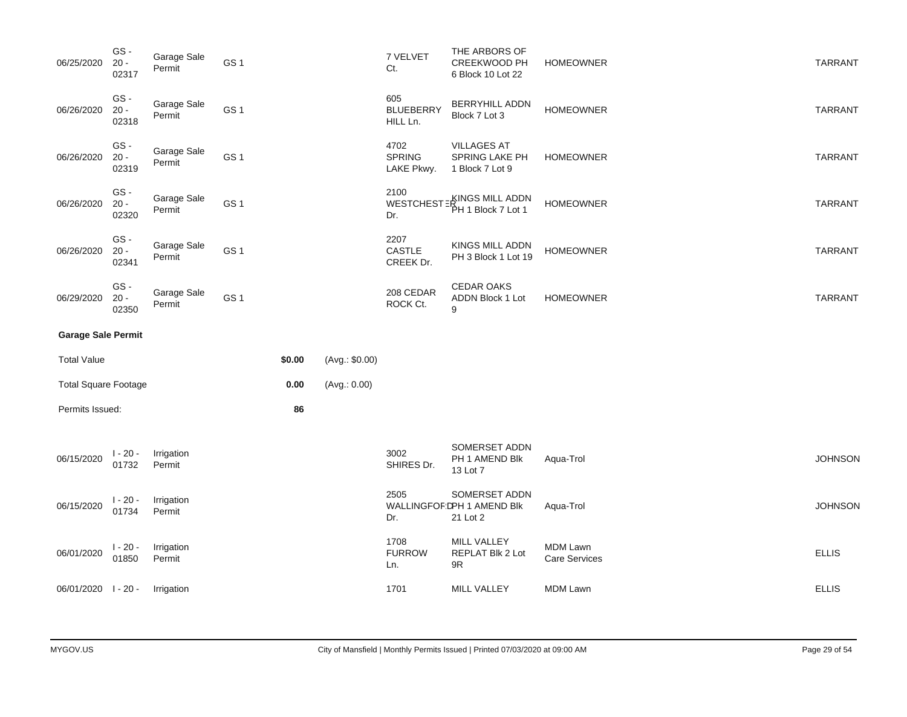| 06/25/2020                  | GS-<br>$20 -$<br>02317 | Garage Sale<br>Permit | GS <sub>1</sub> |        |                | 7 VELVET<br>Ct.                     | THE ARBORS OF<br>CREEKWOOD PH<br>6 Block 10 Lot 22      | <b>HOMEOWNER</b>                 | <b>TARRANT</b> |
|-----------------------------|------------------------|-----------------------|-----------------|--------|----------------|-------------------------------------|---------------------------------------------------------|----------------------------------|----------------|
| 06/26/2020                  | GS-<br>$20 -$<br>02318 | Garage Sale<br>Permit | GS <sub>1</sub> |        |                | 605<br><b>BLUEBERRY</b><br>HILL Ln. | <b>BERRYHILL ADDN</b><br>Block 7 Lot 3                  | <b>HOMEOWNER</b>                 | <b>TARRANT</b> |
| 06/26/2020                  | GS-<br>$20 -$<br>02319 | Garage Sale<br>Permit | GS <sub>1</sub> |        |                | 4702<br><b>SPRING</b><br>LAKE Pkwy. | <b>VILLAGES AT</b><br>SPRING LAKE PH<br>1 Block 7 Lot 9 | <b>HOMEOWNER</b>                 | <b>TARRANT</b> |
| 06/26/2020                  | GS-<br>$20 -$<br>02320 | Garage Sale<br>Permit | GS <sub>1</sub> |        |                | 2100<br><b>WESTCHEST</b><br>Dr.     | KINGS MILL ADDN<br>PH 1 Block 7 Lot 1                   | <b>HOMEOWNER</b>                 | <b>TARRANT</b> |
| 06/26/2020                  | GS-<br>$20 -$<br>02341 | Garage Sale<br>Permit | GS <sub>1</sub> |        |                | 2207<br>CASTLE<br>CREEK Dr.         | KINGS MILL ADDN<br>PH 3 Block 1 Lot 19                  | <b>HOMEOWNER</b>                 | <b>TARRANT</b> |
| 06/29/2020                  | GS-<br>$20 -$<br>02350 | Garage Sale<br>Permit | GS <sub>1</sub> |        |                | 208 CEDAR<br>ROCK Ct.               | <b>CEDAR OAKS</b><br><b>ADDN Block 1 Lot</b><br>9       | <b>HOMEOWNER</b>                 | <b>TARRANT</b> |
|                             |                        |                       |                 |        |                |                                     |                                                         |                                  |                |
| <b>Garage Sale Permit</b>   |                        |                       |                 |        |                |                                     |                                                         |                                  |                |
| <b>Total Value</b>          |                        |                       |                 | \$0.00 | (Avg.: \$0.00) |                                     |                                                         |                                  |                |
| <b>Total Square Footage</b> |                        |                       |                 | 0.00   | (Avg.: 0.00)   |                                     |                                                         |                                  |                |
| Permits Issued:             |                        |                       |                 | 86     |                |                                     |                                                         |                                  |                |
| 06/15/2020                  | $1 - 20 -$<br>01732    | Irrigation<br>Permit  |                 |        |                | 3002<br>SHIRES Dr.                  | SOMERSET ADDN<br>PH 1 AMEND Blk<br>13 Lot 7             | Aqua-Trol                        | <b>JOHNSON</b> |
| 06/15/2020                  | $1 - 20 -$<br>01734    | Irrigation<br>Permit  |                 |        |                | 2505<br>Dr.                         | SOMERSET ADDN<br>WALLINGFOF DPH 1 AMEND BIK<br>21 Lot 2 | Aqua-Trol                        | <b>JOHNSON</b> |
| 06/01/2020                  | $1 - 20 -$<br>01850    | Irrigation<br>Permit  |                 |        |                | 1708<br><b>FURROW</b><br>Ln.        | MILL VALLEY<br>REPLAT Blk 2 Lot<br>9R                   | MDM Lawn<br><b>Care Services</b> | <b>ELLIS</b>   |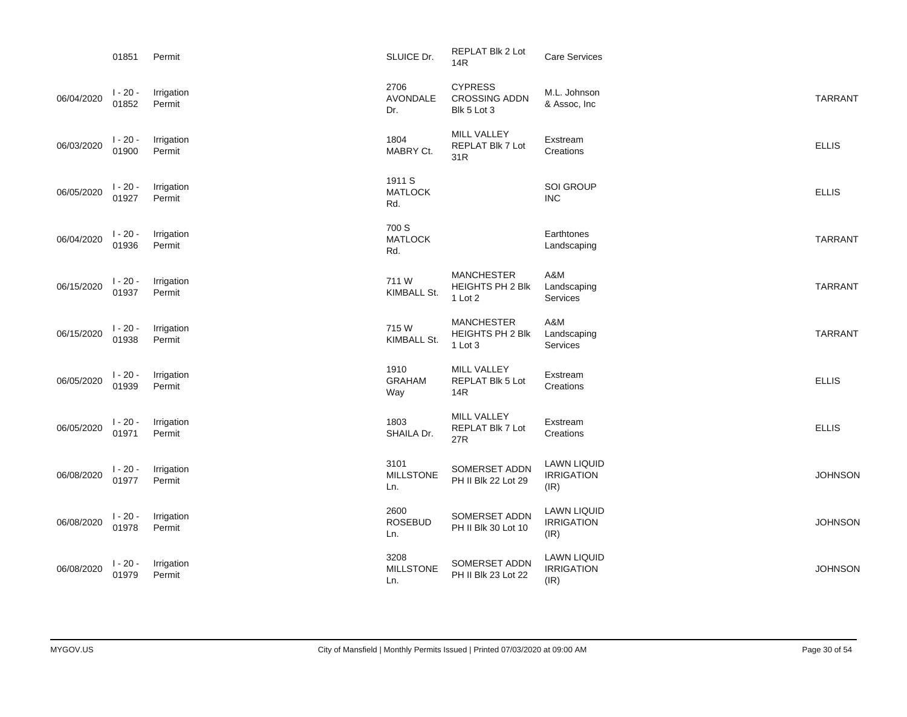|            | 01851               | Permit               | SLUICE Dr.                      | <b>REPLAT Blk 2 Lot</b><br>14R                          | Care Services                                   |                |
|------------|---------------------|----------------------|---------------------------------|---------------------------------------------------------|-------------------------------------------------|----------------|
| 06/04/2020 | $1 - 20 -$<br>01852 | Irrigation<br>Permit | 2706<br><b>AVONDALE</b><br>Dr.  | <b>CYPRESS</b><br><b>CROSSING ADDN</b><br>Blk 5 Lot 3   | M.L. Johnson<br>& Assoc, Inc                    | <b>TARRANT</b> |
| 06/03/2020 | $1 - 20 -$<br>01900 | Irrigation<br>Permit | 1804<br>MABRY Ct.               | MILL VALLEY<br>REPLAT Blk 7 Lot<br>31R                  | Exstream<br>Creations                           | <b>ELLIS</b>   |
| 06/05/2020 | $1 - 20 -$<br>01927 | Irrigation<br>Permit | 1911 S<br><b>MATLOCK</b><br>Rd. |                                                         | <b>SOI GROUP</b><br><b>INC</b>                  | <b>ELLIS</b>   |
| 06/04/2020 | $1 - 20 -$<br>01936 | Irrigation<br>Permit | 700 S<br><b>MATLOCK</b><br>Rd.  |                                                         | Earthtones<br>Landscaping                       | <b>TARRANT</b> |
| 06/15/2020 | $1 - 20 -$<br>01937 | Irrigation<br>Permit | 711W<br>KIMBALL St.             | <b>MANCHESTER</b><br>HEIGHTS PH 2 Blk<br>1 Lot 2        | A&M<br>Landscaping<br>Services                  | <b>TARRANT</b> |
| 06/15/2020 | $1 - 20 -$<br>01938 | Irrigation<br>Permit | 715W<br>KIMBALL St.             | <b>MANCHESTER</b><br><b>HEIGHTS PH 2 Blk</b><br>1 Lot 3 | A&M<br>Landscaping<br>Services                  | <b>TARRANT</b> |
| 06/05/2020 | $1 - 20 -$<br>01939 | Irrigation<br>Permit | 1910<br><b>GRAHAM</b><br>Way    | MILL VALLEY<br>REPLAT Blk 5 Lot<br>14R                  | Exstream<br>Creations                           | <b>ELLIS</b>   |
| 06/05/2020 | $1 - 20 -$<br>01971 | Irrigation<br>Permit | 1803<br>SHAILA Dr.              | MILL VALLEY<br>REPLAT Blk 7 Lot<br>27R                  | Exstream<br>Creations                           | <b>ELLIS</b>   |
| 06/08/2020 | $1 - 20 -$<br>01977 | Irrigation<br>Permit | 3101<br><b>MILLSTONE</b><br>Ln. | SOMERSET ADDN<br>PH II Blk 22 Lot 29                    | <b>LAWN LIQUID</b><br><b>IRRIGATION</b><br>(IR) | <b>JOHNSON</b> |
| 06/08/2020 | $1 - 20 -$<br>01978 | Irrigation<br>Permit | 2600<br><b>ROSEBUD</b><br>Ln.   | SOMERSET ADDN<br>PH II Blk 30 Lot 10                    | <b>LAWN LIQUID</b><br><b>IRRIGATION</b><br>(IR) | <b>JOHNSON</b> |
| 06/08/2020 | $1 - 20 -$<br>01979 | Irrigation<br>Permit | 3208<br><b>MILLSTONE</b><br>Ln. | SOMERSET ADDN<br>PH II Blk 23 Lot 22                    | <b>LAWN LIQUID</b><br><b>IRRIGATION</b><br>(IR) | <b>JOHNSON</b> |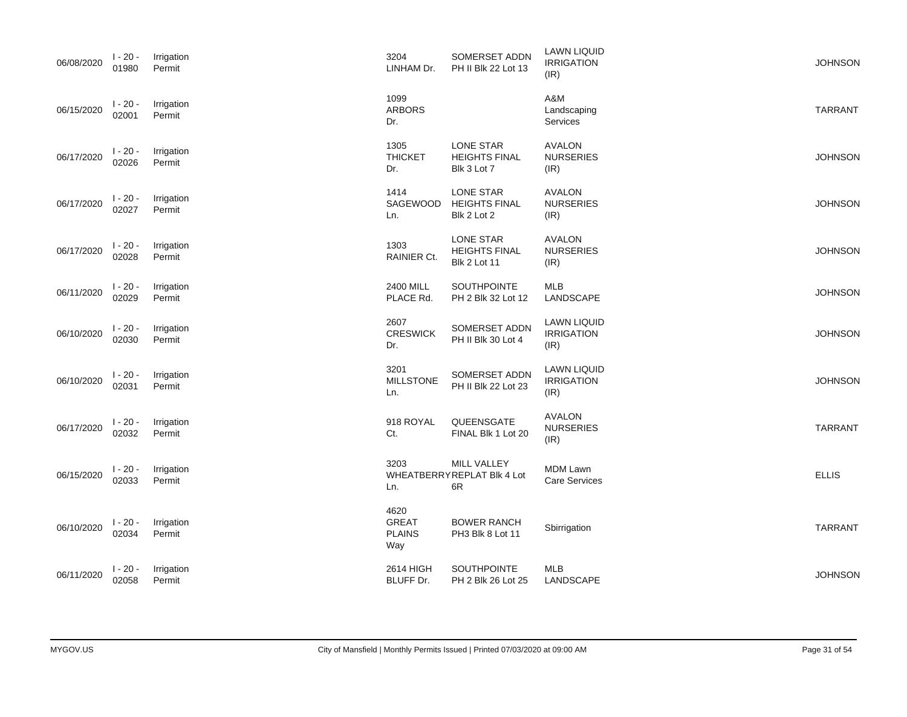| 06/08/2020 | $1 - 20 -$<br>01980 | Irrigation<br>Permit | 3204<br>LINHAM Dr.                           | SOMERSET ADDN<br>PH II Blk 22 Lot 13                            | <b>LAWN LIQUID</b><br><b>IRRIGATION</b><br>(IR) | <b>JOHNSON</b> |
|------------|---------------------|----------------------|----------------------------------------------|-----------------------------------------------------------------|-------------------------------------------------|----------------|
| 06/15/2020 | $1 - 20 -$<br>02001 | Irrigation<br>Permit | 1099<br><b>ARBORS</b><br>Dr.                 |                                                                 | A&M<br>Landscaping<br><b>Services</b>           | <b>TARRANT</b> |
| 06/17/2020 | $1 - 20 -$<br>02026 | Irrigation<br>Permit | 1305<br><b>THICKET</b><br>Dr.                | <b>LONE STAR</b><br><b>HEIGHTS FINAL</b><br>Blk 3 Lot 7         | <b>AVALON</b><br><b>NURSERIES</b><br>(IR)       | <b>JOHNSON</b> |
| 06/17/2020 | $1 - 20 -$<br>02027 | Irrigation<br>Permit | 1414<br>SAGEWOOD<br>Ln.                      | LONE STAR<br><b>HEIGHTS FINAL</b><br>Blk 2 Lot 2                | <b>AVALON</b><br><b>NURSERIES</b><br>(IR)       | <b>JOHNSON</b> |
| 06/17/2020 | $1 - 20 -$<br>02028 | Irrigation<br>Permit | 1303<br>RAINIER Ct.                          | <b>LONE STAR</b><br><b>HEIGHTS FINAL</b><br><b>Blk 2 Lot 11</b> | <b>AVALON</b><br><b>NURSERIES</b><br>(IR)       | <b>JOHNSON</b> |
| 06/11/2020 | $1 - 20 -$<br>02029 | Irrigation<br>Permit | 2400 MILL<br>PLACE Rd.                       | <b>SOUTHPOINTE</b><br>PH 2 Blk 32 Lot 12                        | <b>MLB</b><br>LANDSCAPE                         | <b>JOHNSON</b> |
| 06/10/2020 | $1 - 20 -$<br>02030 | Irrigation<br>Permit | 2607<br>CRESWICK<br>Dr.                      | SOMERSET ADDN<br>PH II Blk 30 Lot 4                             | <b>LAWN LIQUID</b><br><b>IRRIGATION</b><br>(IR) | <b>JOHNSON</b> |
| 06/10/2020 | $1 - 20 -$<br>02031 | Irrigation<br>Permit | 3201<br><b>MILLSTONE</b><br>Ln.              | SOMERSET ADDN<br>PH II Blk 22 Lot 23                            | <b>LAWN LIQUID</b><br><b>IRRIGATION</b><br>(IR) | <b>JOHNSON</b> |
| 06/17/2020 | $1 - 20 -$<br>02032 | Irrigation<br>Permit | 918 ROYAL<br>Ct.                             | QUEENSGATE<br>FINAL Blk 1 Lot 20                                | <b>AVALON</b><br><b>NURSERIES</b><br>(IR)       | <b>TARRANT</b> |
| 06/15/2020 | $1 - 20 -$<br>02033 | Irrigation<br>Permit | 3203<br>Ln.                                  | MILL VALLEY<br>WHEATBERRYREPLAT Blk 4 Lot<br>6R                 | <b>MDM Lawn</b><br><b>Care Services</b>         | <b>ELLIS</b>   |
| 06/10/2020 | $1 - 20 -$<br>02034 | Irrigation<br>Permit | 4620<br><b>GREAT</b><br><b>PLAINS</b><br>Way | <b>BOWER RANCH</b><br>PH3 Blk 8 Lot 11                          | Sbirrigation                                    | <b>TARRANT</b> |
| 06/11/2020 | $1 - 20 -$<br>02058 | Irrigation<br>Permit | 2614 HIGH<br>BLUFF Dr.                       | SOUTHPOINTE<br>PH 2 Blk 26 Lot 25                               | MLB<br>LANDSCAPE                                | <b>JOHNSON</b> |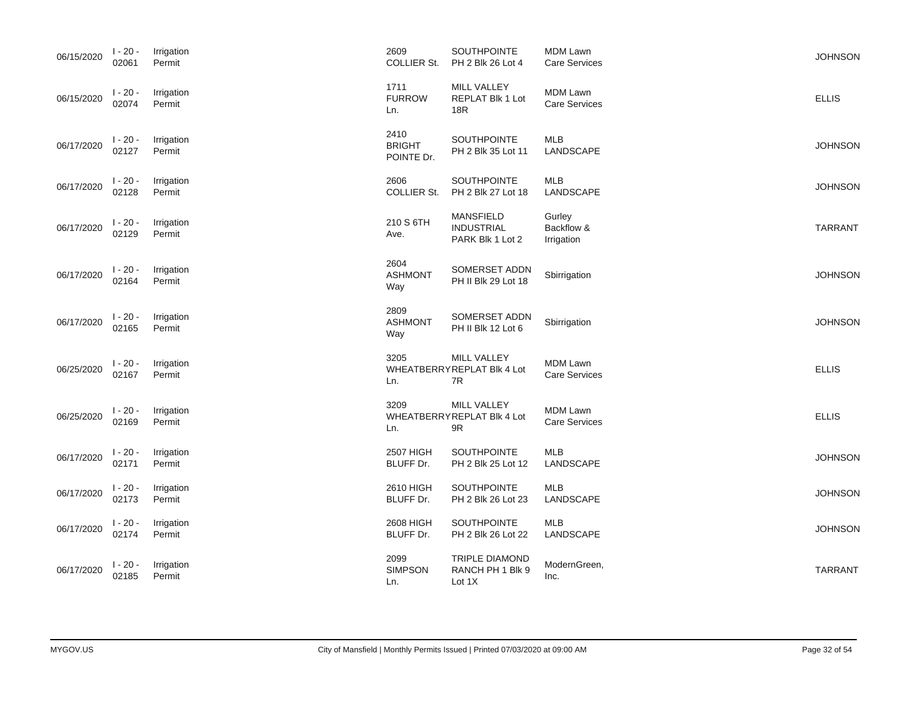| 06/15/2020 | $1 - 20 -$<br>02061 | Irrigation<br>Permit | 2609<br><b>COLLIER St.</b>          | SOUTHPOINTE<br>PH 2 Blk 26 Lot 4                          | <b>MDM Lawn</b><br><b>Care Services</b> | <b>JOHNSON</b> |
|------------|---------------------|----------------------|-------------------------------------|-----------------------------------------------------------|-----------------------------------------|----------------|
| 06/15/2020 | $1 - 20 -$<br>02074 | Irrigation<br>Permit | 1711<br><b>FURROW</b><br>Ln.        | MILL VALLEY<br>REPLAT Blk 1 Lot<br>18R                    | <b>MDM Lawn</b><br><b>Care Services</b> | <b>ELLIS</b>   |
| 06/17/2020 | $1 - 20 -$<br>02127 | Irrigation<br>Permit | 2410<br><b>BRIGHT</b><br>POINTE Dr. | SOUTHPOINTE<br>PH 2 Blk 35 Lot 11                         | <b>MLB</b><br>LANDSCAPE                 | <b>JOHNSON</b> |
| 06/17/2020 | $1 - 20 -$<br>02128 | Irrigation<br>Permit | 2606<br><b>COLLIER St.</b>          | SOUTHPOINTE<br>PH 2 Blk 27 Lot 18                         | MLB<br>LANDSCAPE                        | <b>JOHNSON</b> |
| 06/17/2020 | $1 - 20 -$<br>02129 | Irrigation<br>Permit | 210 S 6TH<br>Ave.                   | <b>MANSFIELD</b><br><b>INDUSTRIAL</b><br>PARK Blk 1 Lot 2 | Gurley<br>Backflow &<br>Irrigation      | <b>TARRANT</b> |
| 06/17/2020 | $1 - 20 -$<br>02164 | Irrigation<br>Permit | 2604<br><b>ASHMONT</b><br>Way       | SOMERSET ADDN<br>PH II Blk 29 Lot 18                      | Sbirrigation                            | <b>JOHNSON</b> |
| 06/17/2020 | $1 - 20 -$<br>02165 | Irrigation<br>Permit | 2809<br><b>ASHMONT</b><br>Way       | SOMERSET ADDN<br>PH II Blk 12 Lot 6                       | Sbirrigation                            | <b>JOHNSON</b> |
| 06/25/2020 | $1 - 20 -$<br>02167 | Irrigation<br>Permit | 3205<br>Ln.                         | MILL VALLEY<br>WHEATBERRYREPLAT Blk 4 Lot<br>7R           | <b>MDM Lawn</b><br><b>Care Services</b> | <b>ELLIS</b>   |
| 06/25/2020 | $1 - 20 -$<br>02169 | Irrigation<br>Permit | 3209<br>Ln.                         | MILL VALLEY<br>WHEATBERRYREPLAT Blk 4 Lot<br>9R           | <b>MDM Lawn</b><br><b>Care Services</b> | <b>ELLIS</b>   |
| 06/17/2020 | $1 - 20 -$<br>02171 | Irrigation<br>Permit | 2507 HIGH<br>BLUFF Dr.              | SOUTHPOINTE<br>PH 2 Blk 25 Lot 12                         | <b>MLB</b><br>LANDSCAPE                 | <b>JOHNSON</b> |
| 06/17/2020 | $1 - 20 -$<br>02173 | Irrigation<br>Permit | 2610 HIGH<br>BLUFF Dr.              | SOUTHPOINTE<br>PH 2 Blk 26 Lot 23                         | <b>MLB</b><br>LANDSCAPE                 | <b>JOHNSON</b> |
| 06/17/2020 | $1 - 20 -$<br>02174 | Irrigation<br>Permit | 2608 HIGH<br>BLUFF Dr.              | SOUTHPOINTE<br>PH 2 Blk 26 Lot 22                         | <b>MLB</b><br>LANDSCAPE                 | <b>JOHNSON</b> |
| 06/17/2020 | $1 - 20 -$<br>02185 | Irrigation<br>Permit | 2099<br><b>SIMPSON</b><br>Ln.       | <b>TRIPLE DIAMOND</b><br>RANCH PH 1 Blk 9<br>Lot 1X       | ModernGreen,<br>Inc.                    | <b>TARRANT</b> |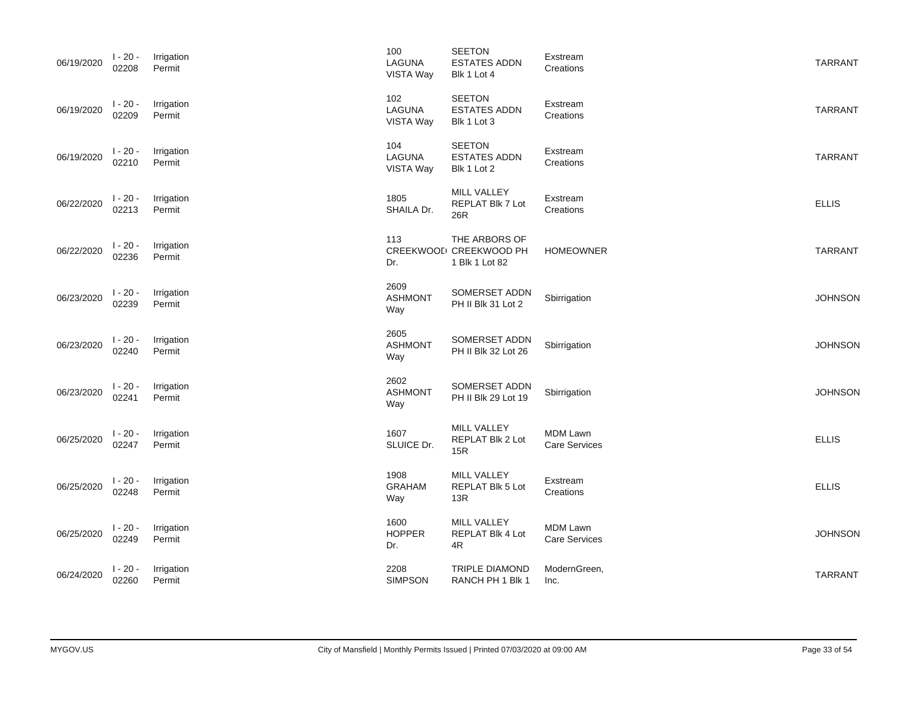| 06/19/2020 | $1 - 20 -$<br>02208 | Irrigation<br>Permit | 100<br>LAGUNA<br>VISTA Way        | SEETON<br><b>ESTATES ADDN</b><br>Blk 1 Lot 4                           | Exstream<br>Creations            | <b>TARRANT</b> |
|------------|---------------------|----------------------|-----------------------------------|------------------------------------------------------------------------|----------------------------------|----------------|
| 06/19/2020 | $1 - 20 -$<br>02209 | Irrigation<br>Permit | 102<br><b>LAGUNA</b><br>VISTA Way | <b>SEETON</b><br><b>ESTATES ADDN</b><br>Blk 1 Lot 3                    | Exstream<br>Creations            | <b>TARRANT</b> |
| 06/19/2020 | $1 - 20 -$<br>02210 | Irrigation<br>Permit | 104<br>LAGUNA<br>VISTA Way        | <b>SEETON</b><br><b>ESTATES ADDN</b><br>Blk 1 Lot 2                    | Exstream<br>Creations            | <b>TARRANT</b> |
| 06/22/2020 | $1 - 20 -$<br>02213 | Irrigation<br>Permit | 1805<br>SHAILA Dr.                | MILL VALLEY<br>REPLAT Blk 7 Lot<br>26R                                 | Exstream<br>Creations            | <b>ELLIS</b>   |
| 06/22/2020 | $1 - 20 -$<br>02236 | Irrigation<br>Permit | 113<br>Dr.                        | THE ARBORS OF<br>CREEKWOOL <sup>I</sup> CREEKWOOD PH<br>1 Blk 1 Lot 82 | <b>HOMEOWNER</b>                 | <b>TARRANT</b> |
| 06/23/2020 | $1 - 20 -$<br>02239 | Irrigation<br>Permit | 2609<br><b>ASHMONT</b><br>Way     | SOMERSET ADDN<br>PH II Blk 31 Lot 2                                    | Sbirrigation                     | <b>JOHNSON</b> |
| 06/23/2020 | $1 - 20 -$<br>02240 | Irrigation<br>Permit | 2605<br><b>ASHMONT</b><br>Way     | SOMERSET ADDN<br>PH II Blk 32 Lot 26                                   | Sbirrigation                     | <b>JOHNSON</b> |
| 06/23/2020 | $1 - 20 -$<br>02241 | Irrigation<br>Permit | 2602<br><b>ASHMONT</b><br>Way     | SOMERSET ADDN<br>PH II Blk 29 Lot 19                                   | Sbirrigation                     | <b>JOHNSON</b> |
| 06/25/2020 | $1 - 20 -$<br>02247 | Irrigation<br>Permit | 1607<br>SLUICE Dr.                | MILL VALLEY<br>REPLAT Blk 2 Lot<br>15R                                 | MDM Lawn<br>Care Services        | <b>ELLIS</b>   |
| 06/25/2020 | $1 - 20 -$<br>02248 | Irrigation<br>Permit | 1908<br><b>GRAHAM</b><br>Way      | <b>MILL VALLEY</b><br>REPLAT Blk 5 Lot<br>13R                          | Exstream<br>Creations            | <b>ELLIS</b>   |
| 06/25/2020 | $1 - 20 -$<br>02249 | Irrigation<br>Permit | 1600<br><b>HOPPER</b><br>Dr.      | MILL VALLEY<br>REPLAT Blk 4 Lot<br>4R                                  | MDM Lawn<br><b>Care Services</b> | <b>JOHNSON</b> |
| 06/24/2020 | $1 - 20 -$<br>02260 | Irrigation<br>Permit | 2208<br><b>SIMPSON</b>            | <b>TRIPLE DIAMOND</b><br>RANCH PH 1 Blk 1                              | ModernGreen,<br>Inc.             | <b>TARRANT</b> |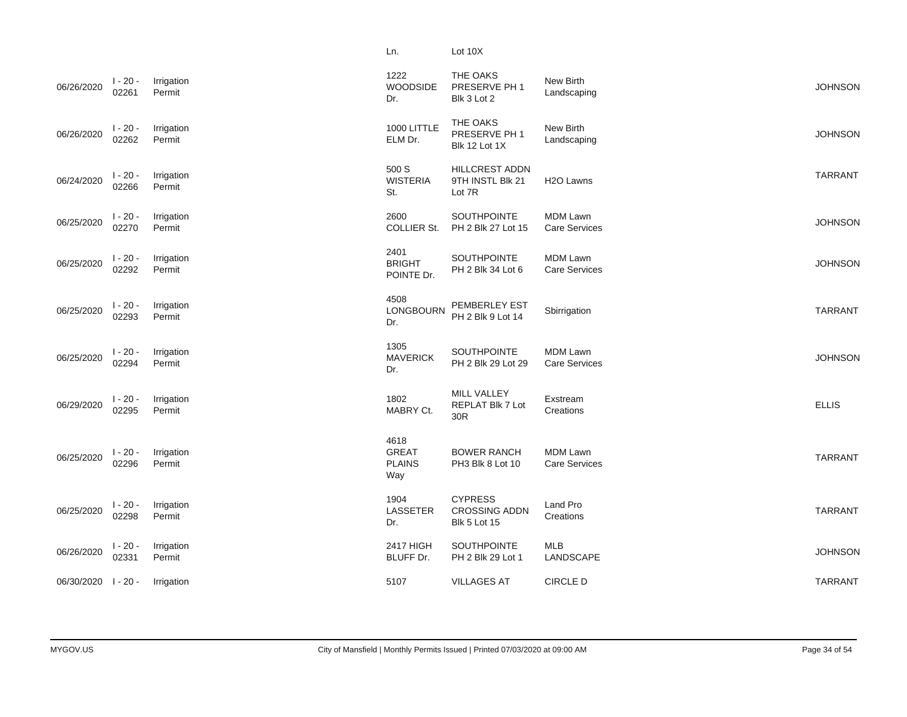|            |                     |                      | Ln.                                          | Lot 10X                                                       |                                         |                |
|------------|---------------------|----------------------|----------------------------------------------|---------------------------------------------------------------|-----------------------------------------|----------------|
| 06/26/2020 | $1 - 20 -$<br>02261 | Irrigation<br>Permit | 1222<br>WOODSIDE<br>Dr.                      | THE OAKS<br>PRESERVE PH 1<br>Blk 3 Lot 2                      | New Birth<br>Landscaping                | <b>JOHNSON</b> |
| 06/26/2020 | $1 - 20 -$<br>02262 | Irrigation<br>Permit | 1000 LITTLE<br>ELM Dr.                       | THE OAKS<br>PRESERVE PH 1<br>Blk 12 Lot 1X                    | New Birth<br>Landscaping                | <b>JOHNSON</b> |
| 06/24/2020 | $1 - 20 -$<br>02266 | Irrigation<br>Permit | 500 S<br><b>WISTERIA</b><br>St.              | <b>HILLCREST ADDN</b><br>9TH INSTL Blk 21<br>Lot 7R           | H <sub>2</sub> O Lawns                  | <b>TARRANT</b> |
| 06/25/2020 | $1 - 20 -$<br>02270 | Irrigation<br>Permit | 2600<br>COLLIER St.                          | SOUTHPOINTE<br>PH 2 Blk 27 Lot 15                             | <b>MDM Lawn</b><br><b>Care Services</b> | <b>JOHNSON</b> |
| 06/25/2020 | $1 - 20 -$<br>02292 | Irrigation<br>Permit | 2401<br><b>BRIGHT</b><br>POINTE Dr.          | <b>SOUTHPOINTE</b><br>PH 2 Blk 34 Lot 6                       | <b>MDM Lawn</b><br><b>Care Services</b> | <b>JOHNSON</b> |
| 06/25/2020 | $1 - 20 -$<br>02293 | Irrigation<br>Permit | 4508<br>LONGBOURN<br>Dr.                     | PEMBERLEY EST<br>PH 2 Blk 9 Lot 14                            | Sbirrigation                            | <b>TARRANT</b> |
| 06/25/2020 | $1 - 20 -$<br>02294 | Irrigation<br>Permit | 1305<br><b>MAVERICK</b><br>Dr.               | SOUTHPOINTE<br>PH 2 Blk 29 Lot 29                             | <b>MDM Lawn</b><br><b>Care Services</b> | <b>JOHNSON</b> |
| 06/29/2020 | $1 - 20 -$<br>02295 | Irrigation<br>Permit | 1802<br>MABRY Ct.                            | MILL VALLEY<br>REPLAT Blk 7 Lot<br>30R                        | Exstream<br>Creations                   | <b>ELLIS</b>   |
| 06/25/2020 | $1 - 20 -$<br>02296 | Irrigation<br>Permit | 4618<br><b>GREAT</b><br><b>PLAINS</b><br>Way | <b>BOWER RANCH</b><br>PH3 Blk 8 Lot 10                        | <b>MDM Lawn</b><br><b>Care Services</b> | <b>TARRANT</b> |
| 06/25/2020 | $1 - 20 -$<br>02298 | Irrigation<br>Permit | 1904<br><b>LASSETER</b><br>Dr.               | <b>CYPRESS</b><br><b>CROSSING ADDN</b><br><b>Blk 5 Lot 15</b> | Land Pro<br>Creations                   | <b>TARRANT</b> |
| 06/26/2020 | $1 - 20 -$<br>02331 | Irrigation<br>Permit | 2417 HIGH<br>BLUFF Dr.                       | SOUTHPOINTE<br>PH 2 Blk 29 Lot 1                              | <b>MLB</b><br>LANDSCAPE                 | <b>JOHNSON</b> |
| 06/30/2020 | l - 20 -            | Irrigation           | 5107                                         | <b>VILLAGES AT</b>                                            | CIRCLE D                                | <b>TARRANT</b> |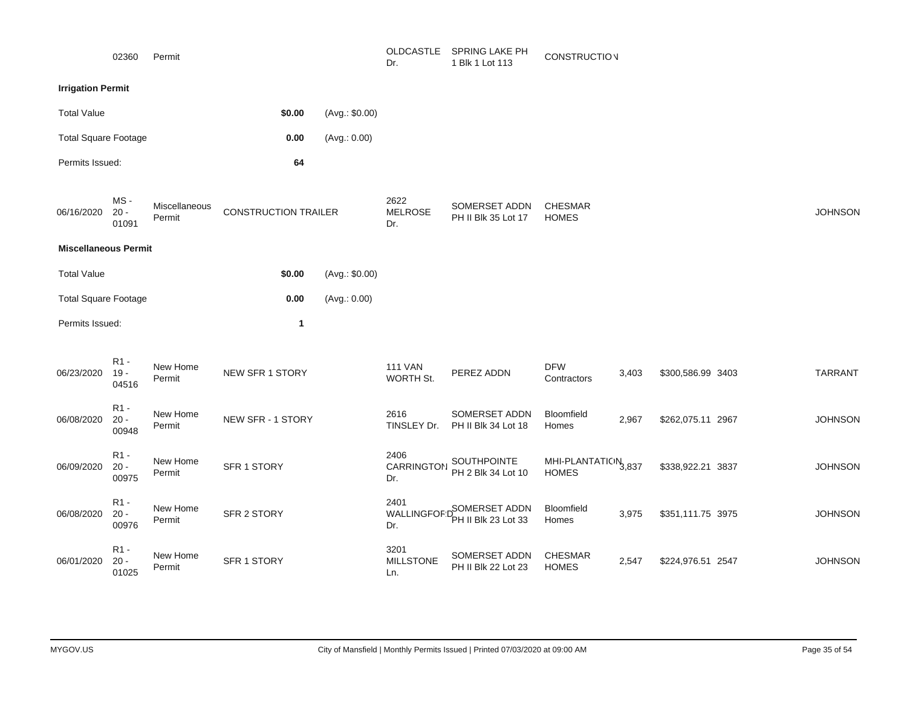|                             | 02360                     | Permit                  |                             |                | OLDCASTLE<br>Dr.                  | SPRING LAKE PH<br>1 Blk 1 Lot 113           | <b>CONSTRUCTION</b>                  |       |                   |                |
|-----------------------------|---------------------------|-------------------------|-----------------------------|----------------|-----------------------------------|---------------------------------------------|--------------------------------------|-------|-------------------|----------------|
| <b>Irrigation Permit</b>    |                           |                         |                             |                |                                   |                                             |                                      |       |                   |                |
| <b>Total Value</b>          |                           |                         | \$0.00                      | (Avg.: \$0.00) |                                   |                                             |                                      |       |                   |                |
| <b>Total Square Footage</b> |                           |                         | 0.00                        | (Avg.: 0.00)   |                                   |                                             |                                      |       |                   |                |
| Permits Issued:             |                           |                         | 64                          |                |                                   |                                             |                                      |       |                   |                |
| 06/16/2020                  | MS-<br>$20 -$<br>01091    | Miscellaneous<br>Permit | <b>CONSTRUCTION TRAILER</b> |                | 2622<br><b>MELROSE</b><br>Dr.     | SOMERSET ADDN<br>PH II Blk 35 Lot 17        | <b>CHESMAR</b><br><b>HOMES</b>       |       |                   | <b>JOHNSON</b> |
| <b>Miscellaneous Permit</b> |                           |                         |                             |                |                                   |                                             |                                      |       |                   |                |
| <b>Total Value</b>          |                           |                         | \$0.00                      | (Avg.: \$0.00) |                                   |                                             |                                      |       |                   |                |
| <b>Total Square Footage</b> |                           |                         | 0.00                        | (Avg.: 0.00)   |                                   |                                             |                                      |       |                   |                |
| Permits Issued:             |                           |                         | $\mathbf{1}$                |                |                                   |                                             |                                      |       |                   |                |
| 06/23/2020                  | $R1 -$<br>$19 -$<br>04516 | New Home<br>Permit      | NEW SFR 1 STORY             |                | <b>111 VAN</b><br>WORTH St.       | PEREZ ADDN                                  | <b>DFW</b><br>Contractors            | 3,403 | \$300,586.99 3403 | <b>TARRANT</b> |
| 06/08/2020                  | $R1 -$<br>$20 -$<br>00948 | New Home<br>Permit      | NEW SFR - 1 STORY           |                | 2616<br>TINSLEY Dr.               | SOMERSET ADDN<br>PH II Blk 34 Lot 18        | Bloomfield<br>Homes                  | 2,967 | \$262,075.11 2967 | <b>JOHNSON</b> |
| 06/09/2020                  | R1 -<br>$20 -$<br>00975   | New Home<br>Permit      | SFR 1 STORY                 |                | 2406<br>CARRINGTON<br>Dr.         | SOUTHPOINTE<br>PH 2 Blk 34 Lot 10           | MHI-PLANTATION 3,837<br><b>HOMES</b> |       | \$338,922.21 3837 | <b>JOHNSON</b> |
| 06/08/2020                  | R1 -<br>$20 -$<br>00976   | New Home<br>Permit      | SFR 2 STORY                 |                | 2401<br><b>WALLINGFOF:</b><br>Dr. | <b>SOMERSET ADDN</b><br>PH II Blk 23 Lot 33 | Bloomfield<br>Homes                  | 3,975 | \$351,111.75 3975 | <b>JOHNSON</b> |
| 06/01/2020                  | $R1 -$<br>$20 -$<br>01025 | New Home<br>Permit      | SFR 1 STORY                 |                | 3201<br><b>MILLSTONE</b><br>Ln.   | SOMERSET ADDN<br>PH II Blk 22 Lot 23        | <b>CHESMAR</b><br><b>HOMES</b>       | 2,547 | \$224,976.51 2547 | <b>JOHNSON</b> |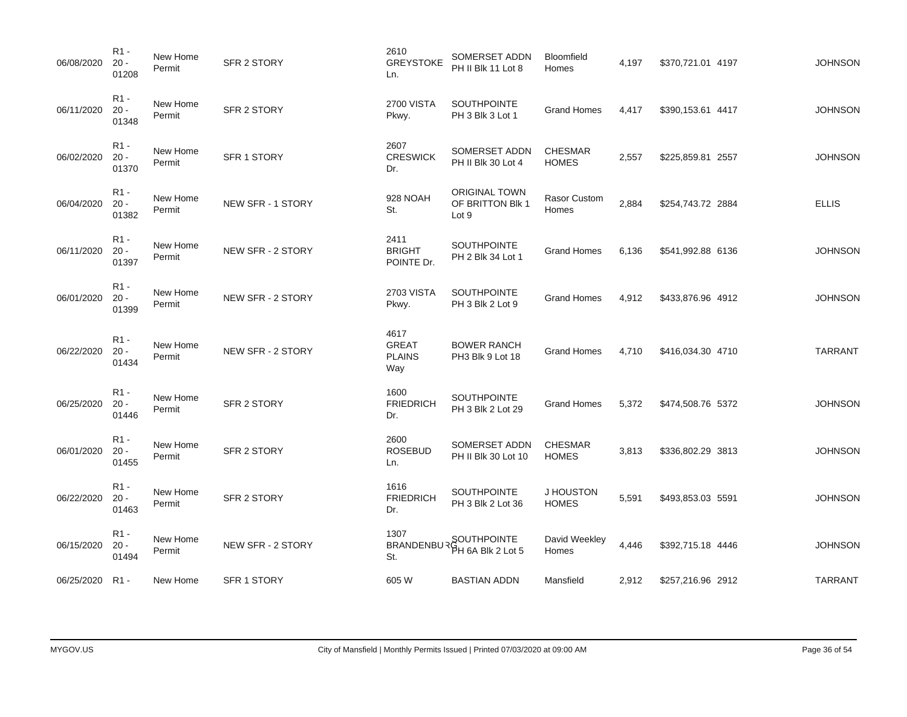| 06/08/2020 | R <sub>1</sub> -<br>$20 -$<br>01208 | New Home<br>Permit | SFR 2 STORY       | 2610<br><b>GREYSTOKE</b><br>Ln.              | SOMERSET ADDN<br>PH II Blk 11 Lot 8               | Bloomfield<br>Homes            | 4,197 | \$370,721.01 4197 | <b>JOHNSON</b> |
|------------|-------------------------------------|--------------------|-------------------|----------------------------------------------|---------------------------------------------------|--------------------------------|-------|-------------------|----------------|
| 06/11/2020 | R <sub>1</sub> -<br>$20 -$<br>01348 | New Home<br>Permit | SFR 2 STORY       | <b>2700 VISTA</b><br>Pkwy.                   | SOUTHPOINTE<br>PH 3 Blk 3 Lot 1                   | <b>Grand Homes</b>             | 4,417 | \$390,153.61 4417 | <b>JOHNSON</b> |
| 06/02/2020 | R <sub>1</sub> -<br>$20 -$<br>01370 | New Home<br>Permit | SFR 1 STORY       | 2607<br><b>CRESWICK</b><br>Dr.               | SOMERSET ADDN<br>PH II Blk 30 Lot 4               | <b>CHESMAR</b><br><b>HOMES</b> | 2,557 | \$225,859.81 2557 | <b>JOHNSON</b> |
| 06/04/2020 | $R1 -$<br>$20 -$<br>01382           | New Home<br>Permit | NEW SFR - 1 STORY | 928 NOAH<br>St.                              | <b>ORIGINAL TOWN</b><br>OF BRITTON Blk 1<br>Lot 9 | <b>Rasor Custom</b><br>Homes   | 2,884 | \$254,743.72 2884 | <b>ELLIS</b>   |
| 06/11/2020 | $R1 -$<br>$20 -$<br>01397           | New Home<br>Permit | NEW SFR - 2 STORY | 2411<br><b>BRIGHT</b><br>POINTE Dr.          | <b>SOUTHPOINTE</b><br>PH 2 Blk 34 Lot 1           | <b>Grand Homes</b>             | 6,136 | \$541,992.88 6136 | <b>JOHNSON</b> |
| 06/01/2020 | $R1 -$<br>$20 -$<br>01399           | New Home<br>Permit | NEW SFR - 2 STORY | <b>2703 VISTA</b><br>Pkwy.                   | SOUTHPOINTE<br>PH 3 Blk 2 Lot 9                   | <b>Grand Homes</b>             | 4,912 | \$433,876.96 4912 | <b>JOHNSON</b> |
| 06/22/2020 | $R1 -$<br>$20 -$<br>01434           | New Home<br>Permit | NEW SFR - 2 STORY | 4617<br><b>GREAT</b><br><b>PLAINS</b><br>Way | <b>BOWER RANCH</b><br>PH3 Blk 9 Lot 18            | <b>Grand Homes</b>             | 4,710 | \$416,034.30 4710 | <b>TARRANT</b> |
| 06/25/2020 | R <sub>1</sub> -<br>$20 -$<br>01446 | New Home<br>Permit | SFR 2 STORY       | 1600<br><b>FRIEDRICH</b><br>Dr.              | <b>SOUTHPOINTE</b><br>PH 3 Blk 2 Lot 29           | <b>Grand Homes</b>             | 5,372 | \$474,508.76 5372 | <b>JOHNSON</b> |
| 06/01/2020 | R <sub>1</sub> -<br>$20 -$<br>01455 | New Home<br>Permit | SFR 2 STORY       | 2600<br><b>ROSEBUD</b><br>Ln.                | SOMERSET ADDN<br>PH II Blk 30 Lot 10              | <b>CHESMAR</b><br><b>HOMES</b> | 3,813 | \$336,802.29 3813 | <b>JOHNSON</b> |
| 06/22/2020 | $R1 -$<br>$20 -$<br>01463           | New Home<br>Permit | SFR 2 STORY       | 1616<br><b>FRIEDRICH</b><br>Dr.              | <b>SOUTHPOINTE</b><br>PH 3 Blk 2 Lot 36           | J HOUSTON<br><b>HOMES</b>      | 5,591 | \$493,853.03 5591 | <b>JOHNSON</b> |
| 06/15/2020 | R <sub>1</sub> -<br>$20 -$<br>01494 | New Home<br>Permit | NEW SFR - 2 STORY | 1307<br><b>BRANDENBU</b><br>St.              | SOUTHPOINTE<br>BH 6A Blk 2 Lot 5                  | David Weekley<br>Homes         | 4,446 | \$392,715.18 4446 | <b>JOHNSON</b> |
| 06/25/2020 | R1 -                                | New Home           | SFR 1 STORY       | 605 W                                        | BASTIAN ADDN                                      | Mansfield                      | 2,912 | \$257,216.96 2912 | <b>TARRANT</b> |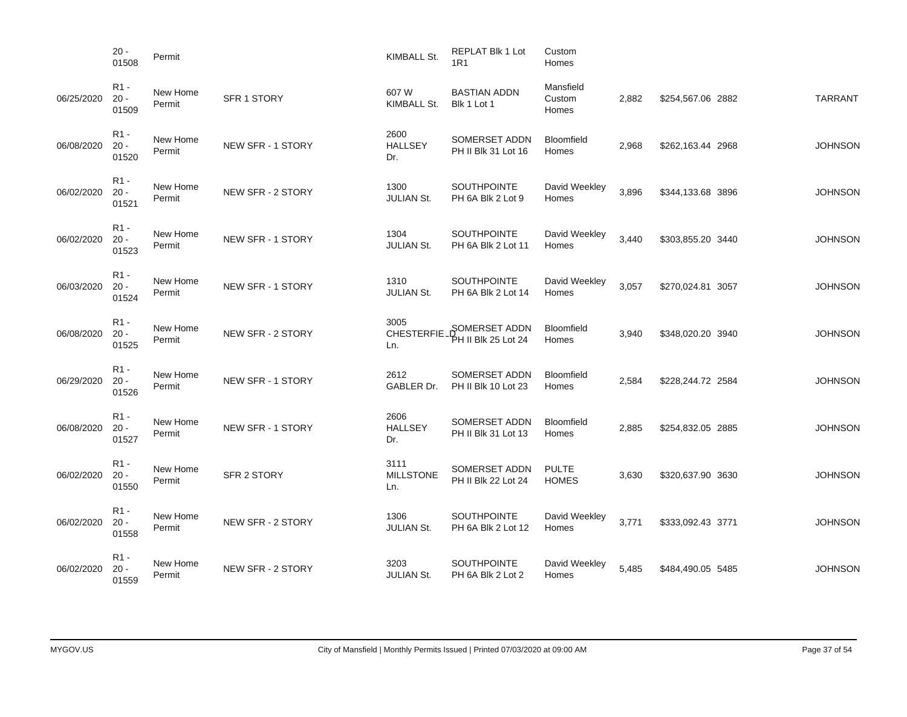|            | $20 -$<br>01508                     | Permit             |                    | KIMBALL St.                      | <b>REPLAT Blk 1 Lot</b><br><b>1R1</b>    | Custom<br>Homes              |       |                   |                |
|------------|-------------------------------------|--------------------|--------------------|----------------------------------|------------------------------------------|------------------------------|-------|-------------------|----------------|
| 06/25/2020 | R <sub>1</sub> -<br>$20 -$<br>01509 | New Home<br>Permit | <b>SFR 1 STORY</b> | 607 W<br>KIMBALL St.             | <b>BASTIAN ADDN</b><br>Blk 1 Lot 1       | Mansfield<br>Custom<br>Homes | 2,882 | \$254,567.06 2882 | <b>TARRANT</b> |
| 06/08/2020 | $R1 -$<br>$20 -$<br>01520           | New Home<br>Permit | NEW SFR - 1 STORY  | 2600<br><b>HALLSEY</b><br>Dr.    | SOMERSET ADDN<br>PH II Blk 31 Lot 16     | Bloomfield<br>Homes          | 2,968 | \$262,163.44 2968 | <b>JOHNSON</b> |
| 06/02/2020 | $R1 -$<br>$20 -$<br>01521           | New Home<br>Permit | NEW SFR - 2 STORY  | 1300<br><b>JULIAN St.</b>        | <b>SOUTHPOINTE</b><br>PH 6A Blk 2 Lot 9  | David Weekley<br>Homes       | 3,896 | \$344,133.68 3896 | <b>JOHNSON</b> |
| 06/02/2020 | $R1 -$<br>$20 -$<br>01523           | New Home<br>Permit | NEW SFR - 1 STORY  | 1304<br><b>JULIAN St.</b>        | <b>SOUTHPOINTE</b><br>PH 6A Blk 2 Lot 11 | David Weekley<br>Homes       | 3.440 | \$303,855.20 3440 | <b>JOHNSON</b> |
| 06/03/2020 | R <sub>1</sub> -<br>$20 -$<br>01524 | New Home<br>Permit | NEW SFR - 1 STORY  | 1310<br><b>JULIAN St.</b>        | <b>SOUTHPOINTE</b><br>PH 6A Blk 2 Lot 14 | David Weekley<br>Homes       | 3,057 | \$270,024.81 3057 | <b>JOHNSON</b> |
| 06/08/2020 | R <sub>1</sub> -<br>$20 -$<br>01525 | New Home<br>Permit | NEW SFR - 2 STORY  | 3005<br><b>CHESTERFIE</b><br>Ln. | SOMERSET ADDN<br>≯H II Blk 25 Lot 24     | Bloomfield<br>Homes          | 3,940 | \$348,020.20 3940 | <b>JOHNSON</b> |
| 06/29/2020 | R <sub>1</sub> -<br>$20 -$<br>01526 | New Home<br>Permit | NEW SFR - 1 STORY  | 2612<br>GABLER Dr.               | SOMERSET ADDN<br>PH II Blk 10 Lot 23     | Bloomfield<br>Homes          | 2,584 | \$228,244.72 2584 | <b>JOHNSON</b> |
| 06/08/2020 | $R1 -$<br>$20 -$<br>01527           | New Home<br>Permit | NEW SFR - 1 STORY  | 2606<br><b>HALLSEY</b><br>Dr.    | SOMERSET ADDN<br>PH II Blk 31 Lot 13     | Bloomfield<br>Homes          | 2,885 | \$254,832.05 2885 | <b>JOHNSON</b> |
| 06/02/2020 | R1 -<br>$20 -$<br>01550             | New Home<br>Permit | <b>SFR 2 STORY</b> | 3111<br><b>MILLSTONE</b><br>Ln.  | SOMERSET ADDN<br>PH II Blk 22 Lot 24     | <b>PULTE</b><br><b>HOMES</b> | 3,630 | \$320,637.90 3630 | <b>JOHNSON</b> |
| 06/02/2020 | R1 -<br>$20 -$<br>01558             | New Home<br>Permit | NEW SFR - 2 STORY  | 1306<br><b>JULIAN St.</b>        | <b>SOUTHPOINTE</b><br>PH 6A Blk 2 Lot 12 | David Weekley<br>Homes       | 3,771 | \$333,092.43 3771 | <b>JOHNSON</b> |
| 06/02/2020 | R <sub>1</sub> -<br>$20 -$<br>01559 | New Home<br>Permit | NEW SFR - 2 STORY  | 3203<br><b>JULIAN St.</b>        | <b>SOUTHPOINTE</b><br>PH 6A Blk 2 Lot 2  | David Weekley<br>Homes       | 5,485 | \$484,490.05 5485 | <b>JOHNSON</b> |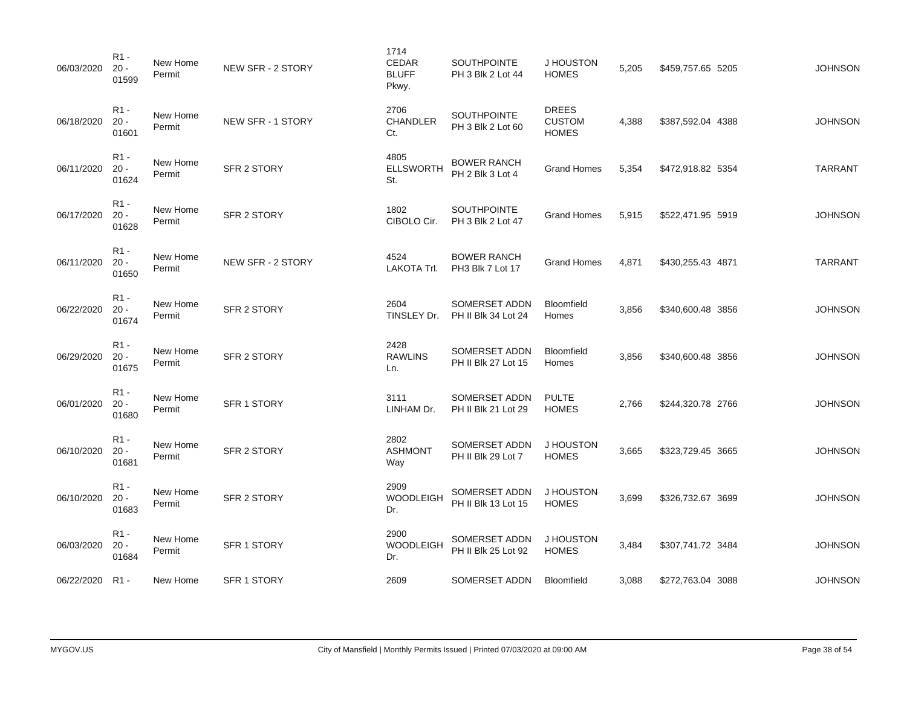| 06/03/2020 | $R1 -$<br>$20 -$<br>01599           | New Home<br>Permit | NEW SFR - 2 STORY  | 1714<br>CEDAR<br><b>BLUFF</b><br>Pkwy. | <b>SOUTHPOINTE</b><br>PH 3 Blk 2 Lot 44 | J HOUSTON<br><b>HOMES</b>                     | 5,205 | \$459,757.65 5205 | <b>JOHNSON</b> |
|------------|-------------------------------------|--------------------|--------------------|----------------------------------------|-----------------------------------------|-----------------------------------------------|-------|-------------------|----------------|
| 06/18/2020 | R <sub>1</sub> -<br>$20 -$<br>01601 | New Home<br>Permit | NEW SFR - 1 STORY  | 2706<br>CHANDLER<br>Ct.                | SOUTHPOINTE<br>PH 3 Blk 2 Lot 60        | <b>DREES</b><br><b>CUSTOM</b><br><b>HOMES</b> | 4,388 | \$387,592.04 4388 | <b>JOHNSON</b> |
| 06/11/2020 | $R1 -$<br>$20 -$<br>01624           | New Home<br>Permit | SFR 2 STORY        | 4805<br><b>ELLSWORTH</b><br>St.        | <b>BOWER RANCH</b><br>PH 2 Blk 3 Lot 4  | <b>Grand Homes</b>                            | 5,354 | \$472,918.82 5354 | <b>TARRANT</b> |
| 06/17/2020 | $R1 -$<br>$20 -$<br>01628           | New Home<br>Permit | SFR 2 STORY        | 1802<br>CIBOLO Cir.                    | <b>SOUTHPOINTE</b><br>PH 3 Blk 2 Lot 47 | <b>Grand Homes</b>                            | 5,915 | \$522,471.95 5919 | <b>JOHNSON</b> |
| 06/11/2020 | $R1 -$<br>$20 -$<br>01650           | New Home<br>Permit | NEW SFR - 2 STORY  | 4524<br>LAKOTA Trl.                    | <b>BOWER RANCH</b><br>PH3 Blk 7 Lot 17  | <b>Grand Homes</b>                            | 4,871 | \$430,255.43 4871 | <b>TARRANT</b> |
| 06/22/2020 | R <sub>1</sub> -<br>$20 -$<br>01674 | New Home<br>Permit | SFR 2 STORY        | 2604<br>TINSLEY Dr.                    | SOMERSET ADDN<br>PH II Blk 34 Lot 24    | Bloomfield<br>Homes                           | 3,856 | \$340,600.48 3856 | <b>JOHNSON</b> |
| 06/29/2020 | $R1 -$<br>$20 -$<br>01675           | New Home<br>Permit | SFR 2 STORY        | 2428<br><b>RAWLINS</b><br>Ln.          | SOMERSET ADDN<br>PH II Blk 27 Lot 15    | Bloomfield<br>Homes                           | 3,856 | \$340,600.48 3856 | <b>JOHNSON</b> |
| 06/01/2020 | $R1 -$<br>$20 -$<br>01680           | New Home<br>Permit | SFR 1 STORY        | 3111<br>LINHAM Dr.                     | SOMERSET ADDN<br>PH II Blk 21 Lot 29    | <b>PULTE</b><br><b>HOMES</b>                  | 2,766 | \$244,320.78 2766 | <b>JOHNSON</b> |
| 06/10/2020 | $R1 -$<br>$20 -$<br>01681           | New Home<br>Permit | SFR 2 STORY        | 2802<br><b>ASHMONT</b><br>Way          | SOMERSET ADDN<br>PH II Blk 29 Lot 7     | J HOUSTON<br><b>HOMES</b>                     | 3,665 | \$323,729.45 3665 | <b>JOHNSON</b> |
| 06/10/2020 | $R1 -$<br>$20 -$<br>01683           | New Home<br>Permit | SFR 2 STORY        | 2909<br><b>WOODLEIGH</b><br>Dr.        | SOMERSET ADDN<br>PH II Blk 13 Lot 15    | J HOUSTON<br><b>HOMES</b>                     | 3,699 | \$326,732.67 3699 | <b>JOHNSON</b> |
| 06/03/2020 | $R1 -$<br>$20 -$<br>01684           | New Home<br>Permit | SFR 1 STORY        | 2900<br><b>WOODLEIGH</b><br>Dr.        | SOMERSET ADDN<br>PH II Blk 25 Lot 92    | J HOUSTON<br><b>HOMES</b>                     | 3,484 | \$307,741.72 3484 | <b>JOHNSON</b> |
| 06/22/2020 | R1 -                                | New Home           | <b>SFR 1 STORY</b> | 2609                                   | SOMERSET ADDN                           | Bloomfield                                    | 3,088 | \$272,763.04 3088 | <b>JOHNSON</b> |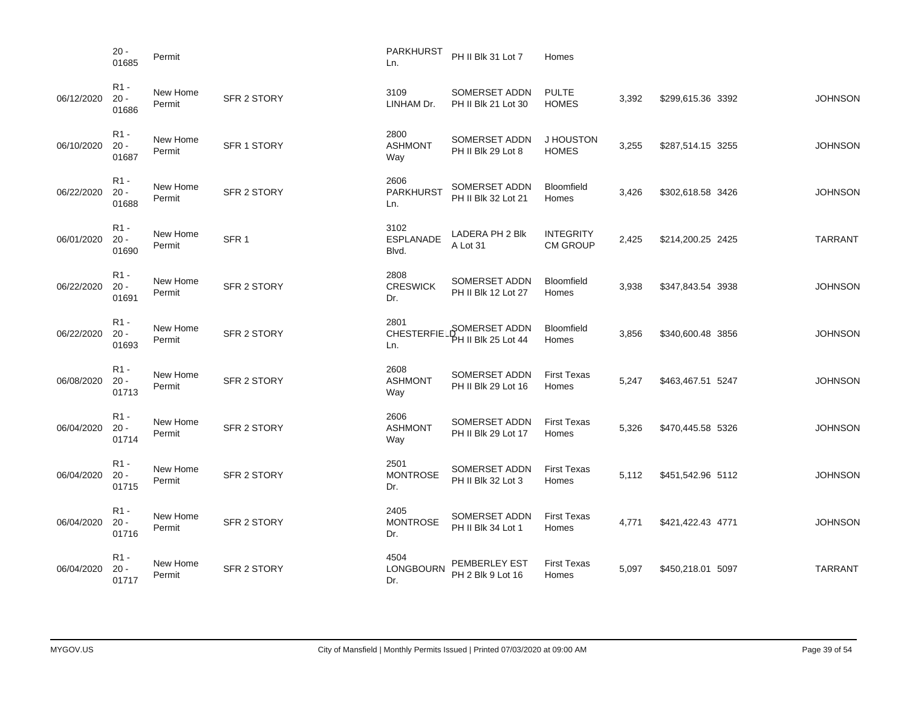|            | $20 -$<br>01685                     | Permit             |                    | PARKHURST<br>Ln.                  | PH II Blk 31 Lot 7                   | Homes                               |       |                   |                |
|------------|-------------------------------------|--------------------|--------------------|-----------------------------------|--------------------------------------|-------------------------------------|-------|-------------------|----------------|
| 06/12/2020 | R <sub>1</sub> -<br>$20 -$<br>01686 | New Home<br>Permit | <b>SFR 2 STORY</b> | 3109<br>LINHAM Dr.                | SOMERSET ADDN<br>PH II Blk 21 Lot 30 | <b>PULTE</b><br><b>HOMES</b>        | 3,392 | \$299,615.36 3392 | <b>JOHNSON</b> |
| 06/10/2020 | R <sub>1</sub> -<br>$20 -$<br>01687 | New Home<br>Permit | <b>SFR 1 STORY</b> | 2800<br><b>ASHMONT</b><br>Way     | SOMERSET ADDN<br>PH II Blk 29 Lot 8  | J HOUSTON<br><b>HOMES</b>           | 3,255 | \$287,514.15 3255 | <b>JOHNSON</b> |
| 06/22/2020 | R <sub>1</sub> -<br>$20 -$<br>01688 | New Home<br>Permit | <b>SFR 2 STORY</b> | 2606<br><b>PARKHURST</b><br>Ln.   | SOMERSET ADDN<br>PH II Blk 32 Lot 21 | Bloomfield<br>Homes                 | 3,426 | \$302,618.58 3426 | <b>JOHNSON</b> |
| 06/01/2020 | R <sub>1</sub> -<br>$20 -$<br>01690 | New Home<br>Permit | SFR <sub>1</sub>   | 3102<br><b>ESPLANADE</b><br>Blvd. | LADERA PH 2 Blk<br>A Lot 31          | <b>INTEGRITY</b><br><b>CM GROUP</b> | 2,425 | \$214,200.25 2425 | <b>TARRANT</b> |
| 06/22/2020 | R <sub>1</sub> -<br>$20 -$<br>01691 | New Home<br>Permit | <b>SFR 2 STORY</b> | 2808<br><b>CRESWICK</b><br>Dr.    | SOMERSET ADDN<br>PH II Blk 12 Lot 27 | <b>Bloomfield</b><br>Homes          | 3,938 | \$347,843.54 3938 | <b>JOHNSON</b> |
| 06/22/2020 | R <sub>1</sub> -<br>$20 -$<br>01693 | New Home<br>Permit | SFR 2 STORY        | 2801<br><b>CHESTERFIE</b><br>Ln.  | SOMERSET ADDN<br>≯H II Blk 25 Lot 44 | Bloomfield<br>Homes                 | 3,856 | \$340,600.48 3856 | <b>JOHNSON</b> |
| 06/08/2020 | R <sub>1</sub> -<br>$20 -$<br>01713 | New Home<br>Permit | SFR 2 STORY        | 2608<br><b>ASHMONT</b><br>Way     | SOMERSET ADDN<br>PH II Blk 29 Lot 16 | <b>First Texas</b><br>Homes         | 5,247 | \$463,467.51 5247 | <b>JOHNSON</b> |
| 06/04/2020 | R <sub>1</sub> -<br>$20 -$<br>01714 | New Home<br>Permit | SFR 2 STORY        | 2606<br><b>ASHMONT</b><br>Way     | SOMERSET ADDN<br>PH II Blk 29 Lot 17 | <b>First Texas</b><br>Homes         | 5,326 | \$470,445.58 5326 | <b>JOHNSON</b> |
| 06/04/2020 | R <sub>1</sub> -<br>$20 -$<br>01715 | New Home<br>Permit | SFR 2 STORY        | 2501<br><b>MONTROSE</b><br>Dr.    | SOMERSET ADDN<br>PH II Blk 32 Lot 3  | <b>First Texas</b><br>Homes         | 5,112 | \$451,542.96 5112 | <b>JOHNSON</b> |
| 06/04/2020 | R <sub>1</sub> -<br>$20 -$<br>01716 | New Home<br>Permit | SFR 2 STORY        | 2405<br><b>MONTROSE</b><br>Dr.    | SOMERSET ADDN<br>PH II Blk 34 Lot 1  | <b>First Texas</b><br>Homes         | 4,771 | \$421,422.43 4771 | <b>JOHNSON</b> |
| 06/04/2020 | R <sub>1</sub> -<br>$20 -$<br>01717 | New Home<br>Permit | <b>SFR 2 STORY</b> | 4504<br>LONGBOURN<br>Dr.          | PEMBERLEY EST<br>PH 2 Blk 9 Lot 16   | <b>First Texas</b><br>Homes         | 5,097 | \$450,218.01 5097 | <b>TARRANT</b> |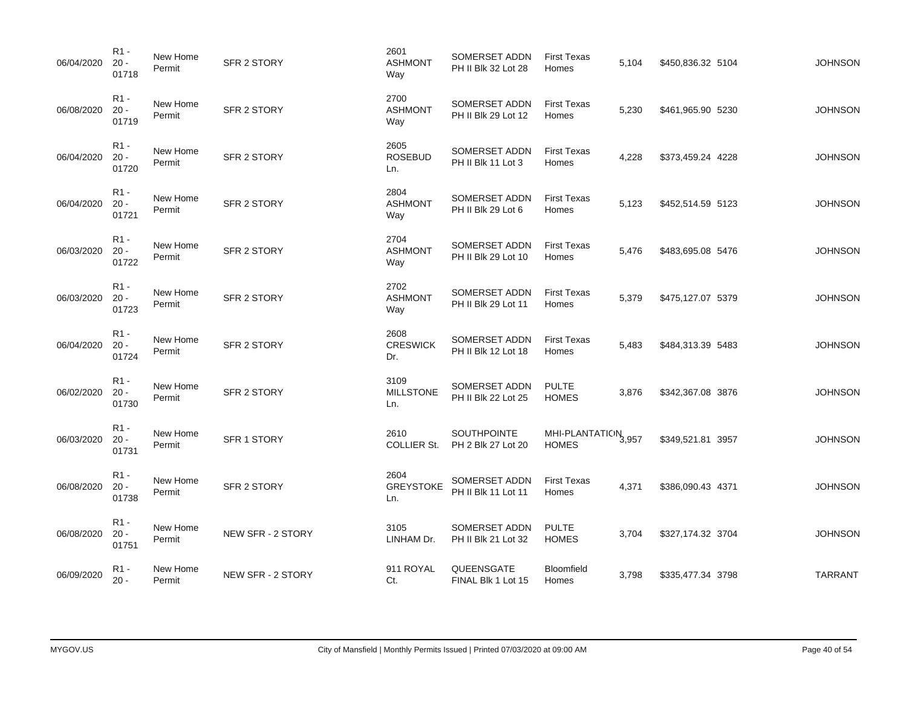| 06/04/2020 | R <sub>1</sub> -<br>$20 -$<br>01718 | New Home<br>Permit | SFR 2 STORY        | 2601<br><b>ASHMONT</b><br>Way   | SOMERSET ADDN<br>PH II Blk 32 Lot 28 | <b>First Texas</b><br>Homes                     | 5,104 | \$450,836.32 5104 | <b>JOHNSON</b> |
|------------|-------------------------------------|--------------------|--------------------|---------------------------------|--------------------------------------|-------------------------------------------------|-------|-------------------|----------------|
| 06/08/2020 | $R1 -$<br>$20 -$<br>01719           | New Home<br>Permit | SFR 2 STORY        | 2700<br><b>ASHMONT</b><br>Way   | SOMERSET ADDN<br>PH II Blk 29 Lot 12 | <b>First Texas</b><br>Homes                     | 5,230 | \$461,965.90 5230 | <b>JOHNSON</b> |
| 06/04/2020 | $R1 -$<br>$20 -$<br>01720           | New Home<br>Permit | SFR 2 STORY        | 2605<br><b>ROSEBUD</b><br>Ln.   | SOMERSET ADDN<br>PH II Blk 11 Lot 3  | <b>First Texas</b><br>Homes                     | 4,228 | \$373,459.24 4228 | <b>JOHNSON</b> |
| 06/04/2020 | $R1 -$<br>$20 -$<br>01721           | New Home<br>Permit | SFR 2 STORY        | 2804<br><b>ASHMONT</b><br>Way   | SOMERSET ADDN<br>PH II Blk 29 Lot 6  | <b>First Texas</b><br>Homes                     | 5,123 | \$452,514.59 5123 | <b>JOHNSON</b> |
| 06/03/2020 | $R1 -$<br>$20 -$<br>01722           | New Home<br>Permit | SFR 2 STORY        | 2704<br><b>ASHMONT</b><br>Way   | SOMERSET ADDN<br>PH II Blk 29 Lot 10 | <b>First Texas</b><br>Homes                     | 5,476 | \$483,695.08 5476 | <b>JOHNSON</b> |
| 06/03/2020 | $R1 -$<br>$20 -$<br>01723           | New Home<br>Permit | <b>SFR 2 STORY</b> | 2702<br><b>ASHMONT</b><br>Way   | SOMERSET ADDN<br>PH II Blk 29 Lot 11 | <b>First Texas</b><br>Homes                     | 5,379 | \$475,127.07 5379 | <b>JOHNSON</b> |
| 06/04/2020 | $R1 -$<br>$20 -$<br>01724           | New Home<br>Permit | <b>SFR 2 STORY</b> | 2608<br><b>CRESWICK</b><br>Dr.  | SOMERSET ADDN<br>PH II Blk 12 Lot 18 | <b>First Texas</b><br>Homes                     | 5,483 | \$484,313.39 5483 | <b>JOHNSON</b> |
| 06/02/2020 | $R1 -$<br>$20 -$<br>01730           | New Home<br>Permit | <b>SFR 2 STORY</b> | 3109<br><b>MILLSTONE</b><br>Ln. | SOMERSET ADDN<br>PH II Blk 22 Lot 25 | <b>PULTE</b><br><b>HOMES</b>                    | 3,876 | \$342,367.08 3876 | <b>JOHNSON</b> |
| 06/03/2020 | $R1 -$<br>$20 -$<br>01731           | New Home<br>Permit | SFR 1 STORY        | 2610<br><b>COLLIER St.</b>      | SOUTHPOINTE<br>PH 2 Blk 27 Lot 20    | MHI-PLANTATION <sub>3,957</sub><br><b>HOMES</b> |       | \$349,521.81 3957 | <b>JOHNSON</b> |
| 06/08/2020 | $R1 -$<br>$20 -$<br>01738           | New Home<br>Permit | <b>SFR 2 STORY</b> | 2604<br><b>GREYSTOKE</b><br>Ln. | SOMERSET ADDN<br>PH II Blk 11 Lot 11 | <b>First Texas</b><br>Homes                     | 4,371 | \$386,090.43 4371 | <b>JOHNSON</b> |
| 06/08/2020 | $R1 -$<br>$20 -$<br>01751           | New Home<br>Permit | NEW SFR - 2 STORY  | 3105<br>LINHAM Dr.              | SOMERSET ADDN<br>PH II Blk 21 Lot 32 | <b>PULTE</b><br><b>HOMES</b>                    | 3,704 | \$327,174.32 3704 | <b>JOHNSON</b> |
| 06/09/2020 | R <sub>1</sub> -<br>$20 -$          | New Home<br>Permit | NEW SFR - 2 STORY  | 911 ROYAL<br>Ct.                | QUEENSGATE<br>FINAL Blk 1 Lot 15     | Bloomfield<br>Homes                             | 3,798 | \$335,477.34 3798 | <b>TARRANT</b> |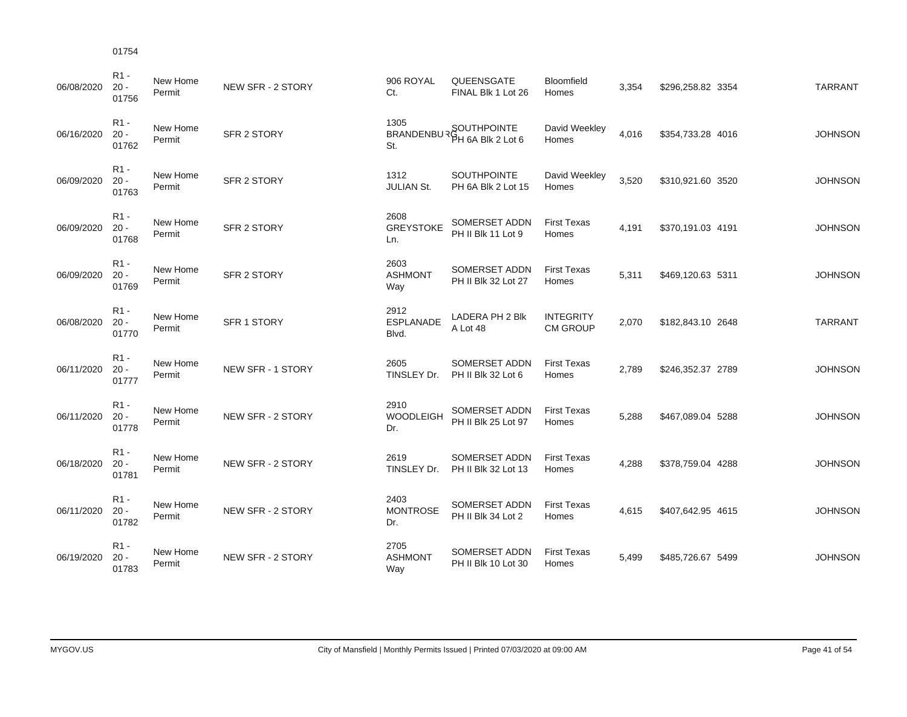| 06/08/2020 | $R1 -$<br>$20 -$<br>01756 | New Home<br>Permit | NEW SFR - 2 STORY  | 906 ROYAL<br>Ct.                  | QUEENSGATE<br>FINAL Blk 1 Lot 26         | Bloomfield<br>Homes                 | 3,354 | \$296,258.82 3354 | <b>TARRANT</b> |
|------------|---------------------------|--------------------|--------------------|-----------------------------------|------------------------------------------|-------------------------------------|-------|-------------------|----------------|
| 06/16/2020 | $R1 -$<br>$20 -$<br>01762 | New Home<br>Permit | <b>SFR 2 STORY</b> | 1305<br><b>BRANDENBUR</b><br>St.  | SOUTHPOINTE<br>PH 6A Blk 2 Lot 6         | David Weekley<br>Homes              | 4,016 | \$354,733.28 4016 | <b>JOHNSON</b> |
| 06/09/2020 | $R1 -$<br>$20 -$<br>01763 | New Home<br>Permit | <b>SFR 2 STORY</b> | 1312<br><b>JULIAN St.</b>         | <b>SOUTHPOINTE</b><br>PH 6A Blk 2 Lot 15 | David Weekley<br>Homes              | 3,520 | \$310,921.60 3520 | <b>JOHNSON</b> |
| 06/09/2020 | $R1 -$<br>$20 -$<br>01768 | New Home<br>Permit | <b>SFR 2 STORY</b> | 2608<br><b>GREYSTOKE</b><br>Ln.   | SOMERSET ADDN<br>PH II Blk 11 Lot 9      | <b>First Texas</b><br>Homes         | 4,191 | \$370,191.03 4191 | <b>JOHNSON</b> |
| 06/09/2020 | $R1 -$<br>$20 -$<br>01769 | New Home<br>Permit | SFR 2 STORY        | 2603<br><b>ASHMONT</b><br>Way     | SOMERSET ADDN<br>PH II Blk 32 Lot 27     | <b>First Texas</b><br>Homes         | 5,311 | \$469,120.63 5311 | <b>JOHNSON</b> |
| 06/08/2020 | $R1 -$<br>$20 -$<br>01770 | New Home<br>Permit | SFR 1 STORY        | 2912<br><b>ESPLANADE</b><br>Blvd. | LADERA PH 2 Blk<br>A Lot 48              | <b>INTEGRITY</b><br><b>CM GROUP</b> | 2,070 | \$182,843.10 2648 | <b>TARRANT</b> |
| 06/11/2020 | $R1 -$<br>$20 -$<br>01777 | New Home<br>Permit | NEW SFR - 1 STORY  | 2605<br>TINSLEY Dr.               | SOMERSET ADDN<br>PH II Blk 32 Lot 6      | <b>First Texas</b><br>Homes         | 2,789 | \$246,352.37 2789 | <b>JOHNSON</b> |
| 06/11/2020 | $R1 -$<br>$20 -$<br>01778 | New Home<br>Permit | NEW SFR - 2 STORY  | 2910<br><b>WOODLEIGH</b><br>Dr.   | SOMERSET ADDN<br>PH II Blk 25 Lot 97     | <b>First Texas</b><br>Homes         | 5,288 | \$467,089.04 5288 | <b>JOHNSON</b> |
| 06/18/2020 | $R1 -$<br>$20 -$<br>01781 | New Home<br>Permit | NEW SFR - 2 STORY  | 2619<br>TINSLEY Dr.               | SOMERSET ADDN<br>PH II Blk 32 Lot 13     | <b>First Texas</b><br>Homes         | 4,288 | \$378,759.04 4288 | <b>JOHNSON</b> |
| 06/11/2020 | $R1 -$<br>$20 -$<br>01782 | New Home<br>Permit | NEW SFR - 2 STORY  | 2403<br><b>MONTROSE</b><br>Dr.    | SOMERSET ADDN<br>PH II Blk 34 Lot 2      | <b>First Texas</b><br>Homes         | 4,615 | \$407,642.95 4615 | <b>JOHNSON</b> |
| 06/19/2020 | $R1 -$<br>$20 -$<br>01783 | New Home<br>Permit | NEW SFR - 2 STORY  | 2705<br><b>ASHMONT</b><br>Way     | SOMERSET ADDN<br>PH II Blk 10 Lot 30     | <b>First Texas</b><br>Homes         | 5,499 | \$485,726.67 5499 | <b>JOHNSON</b> |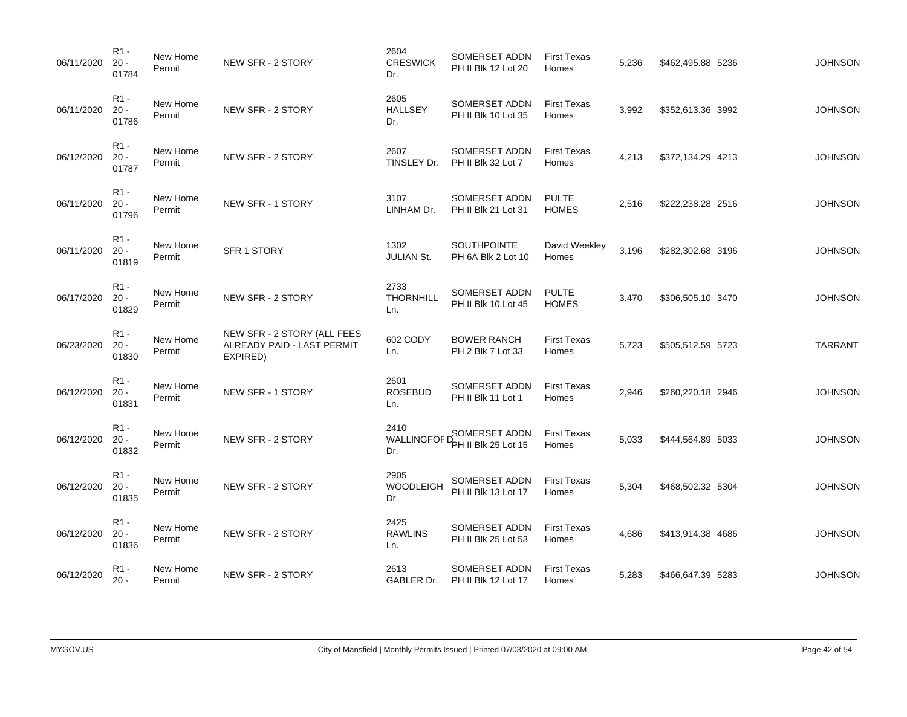| 06/11/2020 | $R1 -$<br>$20 -$<br>01784           | New Home<br>Permit | NEW SFR - 2 STORY                                                     | 2604<br><b>CRESWICK</b><br>Dr.    | SOMERSET ADDN<br>PH II Blk 12 Lot 20        | <b>First Texas</b><br>Homes  | 5,236 | \$462,495.88 5236 | <b>JOHNSON</b> |
|------------|-------------------------------------|--------------------|-----------------------------------------------------------------------|-----------------------------------|---------------------------------------------|------------------------------|-------|-------------------|----------------|
| 06/11/2020 | $R1 -$<br>$20 -$<br>01786           | New Home<br>Permit | NEW SFR - 2 STORY                                                     | 2605<br><b>HALLSEY</b><br>Dr.     | SOMERSET ADDN<br>PH II Blk 10 Lot 35        | <b>First Texas</b><br>Homes  | 3,992 | \$352,613.36 3992 | <b>JOHNSON</b> |
| 06/12/2020 | R <sub>1</sub> -<br>$20 -$<br>01787 | New Home<br>Permit | NEW SFR - 2 STORY                                                     | 2607<br>TINSLEY Dr.               | SOMERSET ADDN<br>PH II Blk 32 Lot 7         | <b>First Texas</b><br>Homes  | 4,213 | \$372,134.29 4213 | <b>JOHNSON</b> |
| 06/11/2020 | $R1 -$<br>$20 -$<br>01796           | New Home<br>Permit | NEW SFR - 1 STORY                                                     | 3107<br>LINHAM Dr.                | SOMERSET ADDN<br>PH II Blk 21 Lot 31        | <b>PULTE</b><br><b>HOMES</b> | 2,516 | \$222,238.28 2516 | <b>JOHNSON</b> |
| 06/11/2020 | $R1 -$<br>$20 -$<br>01819           | New Home<br>Permit | SFR 1 STORY                                                           | 1302<br><b>JULIAN St.</b>         | <b>SOUTHPOINTE</b><br>PH 6A Blk 2 Lot 10    | David Weekley<br>Homes       | 3,196 | \$282,302.68 3196 | <b>JOHNSON</b> |
| 06/17/2020 | $R1 -$<br>$20 -$<br>01829           | New Home<br>Permit | NEW SFR - 2 STORY                                                     | 2733<br><b>THORNHILL</b><br>Ln.   | SOMERSET ADDN<br>PH II Blk 10 Lot 45        | <b>PULTE</b><br><b>HOMES</b> | 3,470 | \$306,505.10 3470 | <b>JOHNSON</b> |
| 06/23/2020 | $R1 -$<br>$20 -$<br>01830           | New Home<br>Permit | NEW SFR - 2 STORY (ALL FEES<br>ALREADY PAID - LAST PERMIT<br>EXPIRED) | 602 CODY<br>Ln.                   | <b>BOWER RANCH</b><br>PH 2 Blk 7 Lot 33     | <b>First Texas</b><br>Homes  | 5,723 | \$505,512.59 5723 | <b>TARRANT</b> |
| 06/12/2020 | $R1 -$<br>$20 -$<br>01831           | New Home<br>Permit | NEW SFR - 1 STORY                                                     | 2601<br><b>ROSEBUD</b><br>Ln.     | SOMERSET ADDN<br>PH II Blk 11 Lot 1         | <b>First Texas</b><br>Homes  | 2,946 | \$260,220.18 2946 | <b>JOHNSON</b> |
| 06/12/2020 | R <sub>1</sub> -<br>$20 -$<br>01832 | New Home<br>Permit | NEW SFR - 2 STORY                                                     | 2410<br><b>WALLINGFOF.</b><br>Dr. | <b>SOMERSET ADDN</b><br>PH II Blk 25 Lot 15 | <b>First Texas</b><br>Homes  | 5,033 | \$444,564.89 5033 | <b>JOHNSON</b> |
| 06/12/2020 | R <sub>1</sub> -<br>$20 -$<br>01835 | New Home<br>Permit | NEW SFR - 2 STORY                                                     | 2905<br><b>WOODLEIGH</b><br>Dr.   | SOMERSET ADDN<br>PH II Blk 13 Lot 17        | <b>First Texas</b><br>Homes  | 5,304 | \$468,502.32 5304 | <b>JOHNSON</b> |
| 06/12/2020 | $R1 -$<br>$20 -$<br>01836           | New Home<br>Permit | NEW SFR - 2 STORY                                                     | 2425<br><b>RAWLINS</b><br>Ln.     | SOMERSET ADDN<br>PH II Blk 25 Lot 53        | <b>First Texas</b><br>Homes  | 4,686 | \$413,914.38 4686 | <b>JOHNSON</b> |
| 06/12/2020 | R <sub>1</sub> -<br>$20 -$          | New Home<br>Permit | NEW SFR - 2 STORY                                                     | 2613<br>GABLER Dr.                | SOMERSET ADDN<br>PH II Blk 12 Lot 17        | <b>First Texas</b><br>Homes  | 5,283 | \$466,647.39 5283 | <b>JOHNSON</b> |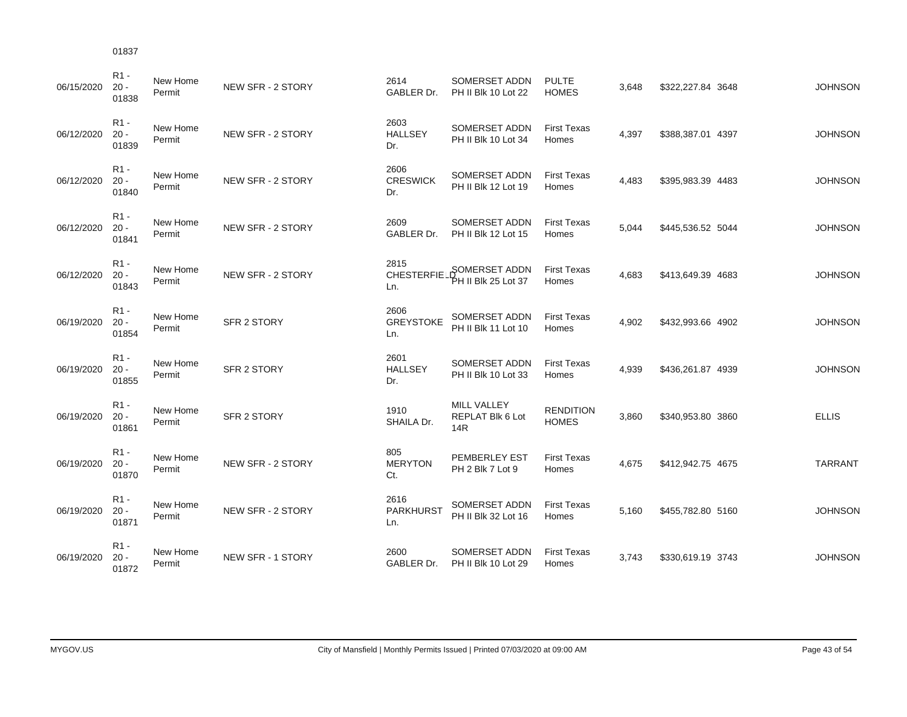| 06/15/2020 | R <sub>1</sub> -<br>$20 -$<br>01838 | New Home<br>Permit | NEW SFR - 2 STORY  | 2614<br>GABLER Dr.              | SOMERSET ADDN<br>PH II Blk 10 Lot 22   | <b>PULTE</b><br><b>HOMES</b>     | 3,648 | \$322,227.84 3648 | <b>JOHNSON</b> |
|------------|-------------------------------------|--------------------|--------------------|---------------------------------|----------------------------------------|----------------------------------|-------|-------------------|----------------|
| 06/12/2020 | $R1 -$<br>$20 -$<br>01839           | New Home<br>Permit | NEW SFR - 2 STORY  | 2603<br><b>HALLSEY</b><br>Dr.   | SOMERSET ADDN<br>PH II Blk 10 Lot 34   | <b>First Texas</b><br>Homes      | 4,397 | \$388,387.01 4397 | <b>JOHNSON</b> |
| 06/12/2020 | $R1 -$<br>$20 -$<br>01840           | New Home<br>Permit | NEW SFR - 2 STORY  | 2606<br><b>CRESWICK</b><br>Dr.  | SOMERSET ADDN<br>PH II Blk 12 Lot 19   | <b>First Texas</b><br>Homes      | 4,483 | \$395,983.39 4483 | <b>JOHNSON</b> |
| 06/12/2020 | R <sub>1</sub> -<br>$20 -$<br>01841 | New Home<br>Permit | NEW SFR - 2 STORY  | 2609<br>GABLER Dr.              | SOMERSET ADDN<br>PH II Blk 12 Lot 15   | <b>First Texas</b><br>Homes      | 5,044 | \$445,536.52 5044 | <b>JOHNSON</b> |
| 06/12/2020 | $R1 -$<br>$20 -$<br>01843           | New Home<br>Permit | NEW SFR - 2 STORY  | 2815<br>CHESTERFIE.<br>Ln.      | SOMERSET ADDN<br>'PH II Blk 25 Lot 37  | <b>First Texas</b><br>Homes      | 4,683 | \$413,649.39 4683 | <b>JOHNSON</b> |
| 06/19/2020 | $R1 -$<br>$20 -$<br>01854           | New Home<br>Permit | <b>SFR 2 STORY</b> | 2606<br><b>GREYSTOKE</b><br>Ln. | SOMERSET ADDN<br>PH II Blk 11 Lot 10   | <b>First Texas</b><br>Homes      | 4,902 | \$432,993.66 4902 | <b>JOHNSON</b> |
| 06/19/2020 | $R1 -$<br>$20 -$<br>01855           | New Home<br>Permit | SFR 2 STORY        | 2601<br><b>HALLSEY</b><br>Dr.   | SOMERSET ADDN<br>PH II Blk 10 Lot 33   | <b>First Texas</b><br>Homes      | 4,939 | \$436,261.87 4939 | <b>JOHNSON</b> |
| 06/19/2020 | $R1 -$<br>$20 -$<br>01861           | New Home<br>Permit | <b>SFR 2 STORY</b> | 1910<br>SHAILA Dr.              | MILL VALLEY<br>REPLAT Blk 6 Lot<br>14R | <b>RENDITION</b><br><b>HOMES</b> | 3,860 | \$340,953.80 3860 | <b>ELLIS</b>   |
| 06/19/2020 | $R1 -$<br>$20 -$<br>01870           | New Home<br>Permit | NEW SFR - 2 STORY  | 805<br><b>MERYTON</b><br>Ct.    | PEMBERLEY EST<br>PH 2 Blk 7 Lot 9      | <b>First Texas</b><br>Homes      | 4,675 | \$412,942.75 4675 | <b>TARRANT</b> |
| 06/19/2020 | $R1 -$<br>$20 -$<br>01871           | New Home<br>Permit | NEW SFR - 2 STORY  | 2616<br><b>PARKHURST</b><br>Ln. | SOMERSET ADDN<br>PH II Blk 32 Lot 16   | <b>First Texas</b><br>Homes      | 5,160 | \$455,782.80 5160 | <b>JOHNSON</b> |
| 06/19/2020 | $R1 -$<br>$20 -$<br>01872           | New Home<br>Permit | NEW SFR - 1 STORY  | 2600<br>GABLER Dr.              | SOMERSET ADDN<br>PH II Blk 10 Lot 29   | <b>First Texas</b><br>Homes      | 3.743 | \$330,619.19 3743 | <b>JOHNSON</b> |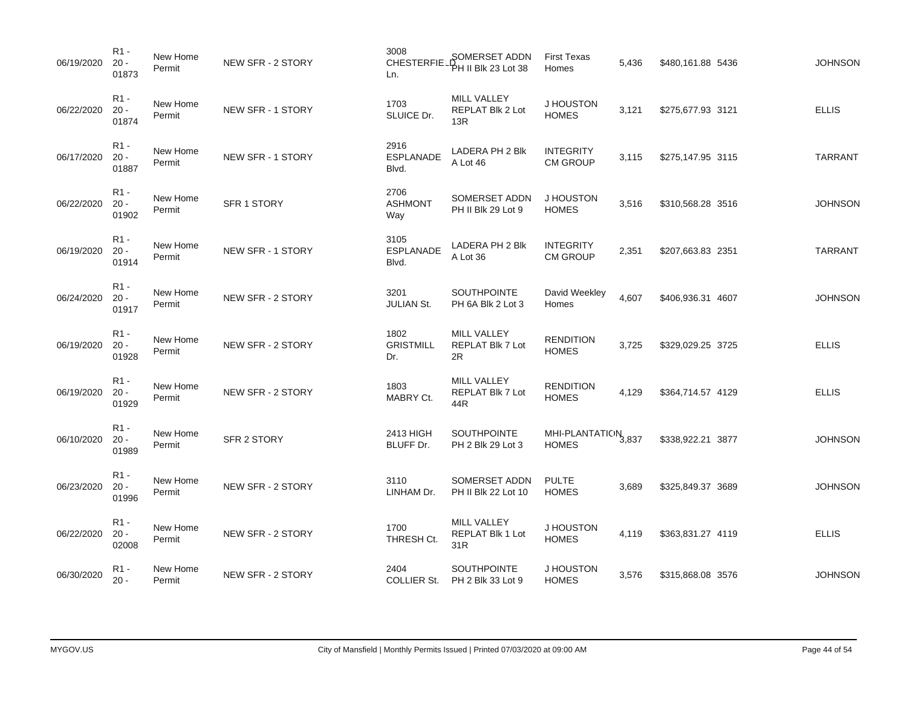| 06/19/2020 | $R1 -$<br>$20 -$<br>01873           | New Home<br>Permit | NEW SFR - 2 STORY  | 3008<br><b>CHESTERFIE</b><br>Ln.  | SOMERSET ADDN<br>PH II Blk 23 Lot 38          | <b>First Texas</b><br>Homes          | 5,436 | \$480,161.88 5436 | <b>JOHNSON</b> |
|------------|-------------------------------------|--------------------|--------------------|-----------------------------------|-----------------------------------------------|--------------------------------------|-------|-------------------|----------------|
| 06/22/2020 | $R1 -$<br>$20 -$<br>01874           | New Home<br>Permit | NEW SFR - 1 STORY  | 1703<br>SLUICE Dr.                | MILL VALLEY<br>REPLAT Blk 2 Lot<br>13R        | J HOUSTON<br><b>HOMES</b>            | 3,121 | \$275,677.93 3121 | <b>ELLIS</b>   |
| 06/17/2020 | $R1 -$<br>$20 -$<br>01887           | New Home<br>Permit | NEW SFR - 1 STORY  | 2916<br><b>ESPLANADE</b><br>Blvd. | LADERA PH 2 Blk<br>A Lot 46                   | <b>INTEGRITY</b><br><b>CM GROUP</b>  | 3,115 | \$275,147.95 3115 | <b>TARRANT</b> |
| 06/22/2020 | $R1 -$<br>$20 -$<br>01902           | New Home<br>Permit | <b>SFR 1 STORY</b> | 2706<br><b>ASHMONT</b><br>Way     | SOMERSET ADDN<br>PH II Blk 29 Lot 9           | J HOUSTON<br><b>HOMES</b>            | 3,516 | \$310,568.28 3516 | <b>JOHNSON</b> |
| 06/19/2020 | $R1 -$<br>$20 -$<br>01914           | New Home<br>Permit | NEW SFR - 1 STORY  | 3105<br><b>ESPLANADE</b><br>Blvd. | LADERA PH 2 Blk<br>A Lot 36                   | <b>INTEGRITY</b><br><b>CM GROUP</b>  | 2,351 | \$207,663.83 2351 | <b>TARRANT</b> |
| 06/24/2020 | R <sub>1</sub> -<br>$20 -$<br>01917 | New Home<br>Permit | NEW SFR - 2 STORY  | 3201<br><b>JULIAN St.</b>         | SOUTHPOINTE<br>PH 6A Blk 2 Lot 3              | David Weekley<br>Homes               | 4,607 | \$406,936.31 4607 | <b>JOHNSON</b> |
| 06/19/2020 | R <sub>1</sub> -<br>$20 -$<br>01928 | New Home<br>Permit | NEW SFR - 2 STORY  | 1802<br><b>GRISTMILL</b><br>Dr.   | MILL VALLEY<br>REPLAT Blk 7 Lot<br>2R         | <b>RENDITION</b><br><b>HOMES</b>     | 3,725 | \$329,029.25 3725 | <b>ELLIS</b>   |
| 06/19/2020 | $R1 -$<br>$20 -$<br>01929           | New Home<br>Permit | NEW SFR - 2 STORY  | 1803<br>MABRY Ct.                 | MILL VALLEY<br>REPLAT Blk 7 Lot<br>44R        | <b>RENDITION</b><br><b>HOMES</b>     | 4,129 | \$364,714.57 4129 | <b>ELLIS</b>   |
| 06/10/2020 | R <sub>1</sub> -<br>$20 -$<br>01989 | New Home<br>Permit | <b>SFR 2 STORY</b> | 2413 HIGH<br>BLUFF Dr.            | SOUTHPOINTE<br>PH 2 Blk 29 Lot 3              | MHI-PLANTATION 3,837<br><b>HOMES</b> |       | \$338,922.21 3877 | <b>JOHNSON</b> |
| 06/23/2020 | $R1 -$<br>$20 -$<br>01996           | New Home<br>Permit | NEW SFR - 2 STORY  | 3110<br>LINHAM Dr.                | SOMERSET ADDN<br>PH II Blk 22 Lot 10          | <b>PULTE</b><br><b>HOMES</b>         | 3,689 | \$325,849.37 3689 | <b>JOHNSON</b> |
| 06/22/2020 | R <sub>1</sub> -<br>$20 -$<br>02008 | New Home<br>Permit | NEW SFR - 2 STORY  | 1700<br>THRESH Ct.                | <b>MILL VALLEY</b><br>REPLAT Blk 1 Lot<br>31R | J HOUSTON<br><b>HOMES</b>            | 4,119 | \$363,831.27 4119 | <b>ELLIS</b>   |
| 06/30/2020 | R <sub>1</sub> -<br>$20 -$          | New Home<br>Permit | NEW SFR - 2 STORY  | 2404<br><b>COLLIER St.</b>        | SOUTHPOINTE<br>PH 2 Blk 33 Lot 9              | J HOUSTON<br><b>HOMES</b>            | 3,576 | \$315,868.08 3576 | <b>JOHNSON</b> |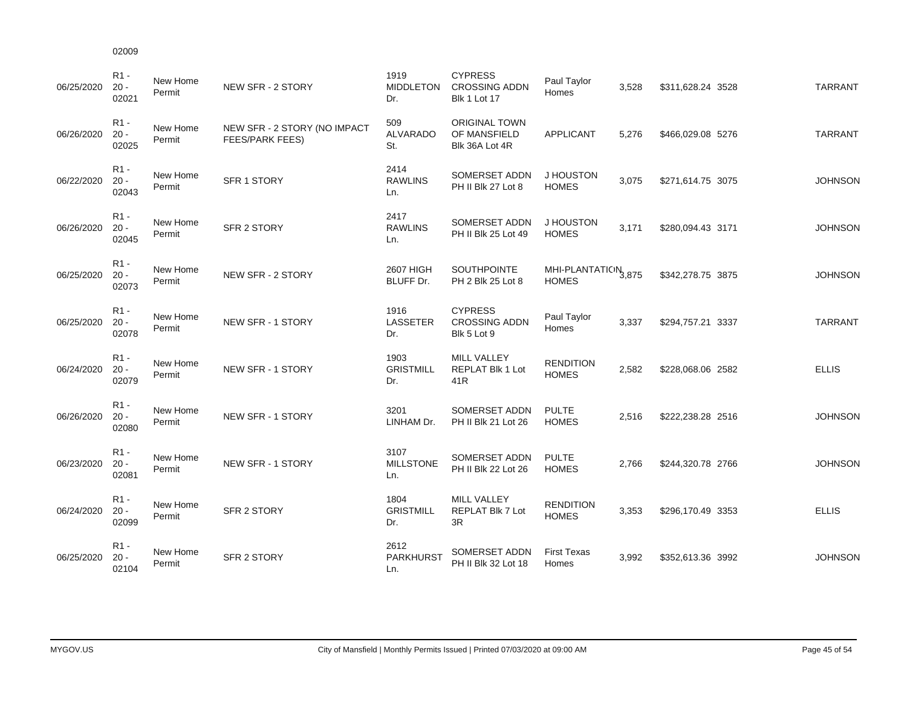| ບ∠ບບອ          |                    |       |
|----------------|--------------------|-------|
| R1 -<br>$20 -$ | New Home<br>Permit | NEW S |

| 06/25/2020 | R1 -<br>$20 -$<br>02021   | New Home<br>Permit | NEW SFR - 2 STORY                                      | 1919<br><b>MIDDLETON</b><br>Dr. | <b>CYPRESS</b><br><b>CROSSING ADDN</b><br><b>Blk 1 Lot 17</b> | Paul Taylor<br>Homes                            | 3,528 | \$311,628.24 3528 | <b>TARRANT</b> |
|------------|---------------------------|--------------------|--------------------------------------------------------|---------------------------------|---------------------------------------------------------------|-------------------------------------------------|-------|-------------------|----------------|
| 06/26/2020 | R1 -<br>$20 -$<br>02025   | New Home<br>Permit | NEW SFR - 2 STORY (NO IMPACT<br><b>FEES/PARK FEES)</b> | 509<br><b>ALVARADO</b><br>St.   | <b>ORIGINAL TOWN</b><br>OF MANSFIELD<br>Blk 36A Lot 4R        | <b>APPLICANT</b>                                | 5,276 | \$466,029.08 5276 | <b>TARRANT</b> |
| 06/22/2020 | $R1 -$<br>$20 -$<br>02043 | New Home<br>Permit | <b>SFR 1 STORY</b>                                     | 2414<br><b>RAWLINS</b><br>Ln.   | SOMERSET ADDN<br>PH II Blk 27 Lot 8                           | J HOUSTON<br><b>HOMES</b>                       | 3,075 | \$271,614.75 3075 | <b>JOHNSON</b> |
| 06/26/2020 | $R1 -$<br>$20 -$<br>02045 | New Home<br>Permit | <b>SFR 2 STORY</b>                                     | 2417<br><b>RAWLINS</b><br>Ln.   | SOMERSET ADDN<br>PH II Blk 25 Lot 49                          | J HOUSTON<br><b>HOMES</b>                       | 3.171 | \$280,094.43 3171 | <b>JOHNSON</b> |
| 06/25/2020 | $R1 -$<br>$20 -$<br>02073 | New Home<br>Permit | NEW SFR - 2 STORY                                      | 2607 HIGH<br>BLUFF Dr.          | SOUTHPOINTE<br>PH 2 Blk 25 Lot 8                              | MHI-PLANTATION <sub>3,875</sub><br><b>HOMES</b> |       | \$342,278.75 3875 | <b>JOHNSON</b> |
| 06/25/2020 | $R1 -$<br>$20 -$<br>02078 | New Home<br>Permit | NEW SFR - 1 STORY                                      | 1916<br>LASSETER<br>Dr.         | <b>CYPRESS</b><br><b>CROSSING ADDN</b><br>Blk 5 Lot 9         | Paul Taylor<br>Homes                            | 3,337 | \$294,757.21 3337 | <b>TARRANT</b> |
| 06/24/2020 | $R1 -$<br>$20 -$<br>02079 | New Home<br>Permit | NEW SFR - 1 STORY                                      | 1903<br><b>GRISTMILL</b><br>Dr. | MILL VALLEY<br>REPLAT Blk 1 Lot<br>41R                        | <b>RENDITION</b><br><b>HOMES</b>                | 2,582 | \$228,068.06 2582 | <b>ELLIS</b>   |
| 06/26/2020 | $R1 -$<br>$20 -$<br>02080 | New Home<br>Permit | NEW SFR - 1 STORY                                      | 3201<br>LINHAM Dr.              | SOMERSET ADDN<br>PH II Blk 21 Lot 26                          | <b>PULTE</b><br><b>HOMES</b>                    | 2,516 | \$222,238.28 2516 | <b>JOHNSON</b> |
| 06/23/2020 | $R1 -$<br>$20 -$<br>02081 | New Home<br>Permit | NEW SFR - 1 STORY                                      | 3107<br><b>MILLSTONE</b><br>Ln. | SOMERSET ADDN<br>PH II Blk 22 Lot 26                          | <b>PULTE</b><br><b>HOMES</b>                    | 2,766 | \$244,320.78 2766 | <b>JOHNSON</b> |
| 06/24/2020 | R1 -<br>$20 -$<br>02099   | New Home<br>Permit | <b>SFR 2 STORY</b>                                     | 1804<br><b>GRISTMILL</b><br>Dr. | <b>MILL VALLEY</b><br>REPLAT Blk 7 Lot<br>3R                  | <b>RENDITION</b><br><b>HOMES</b>                | 3,353 | \$296,170.49 3353 | <b>ELLIS</b>   |
| 06/25/2020 | $R1 -$<br>$20 -$<br>02104 | New Home<br>Permit | <b>SFR 2 STORY</b>                                     | 2612<br><b>PARKHURST</b><br>Ln. | SOMERSET ADDN<br>PH II Blk 32 Lot 18                          | <b>First Texas</b><br>Homes                     | 3,992 | \$352,613.36 3992 | <b>JOHNSON</b> |

CYPRESS

1919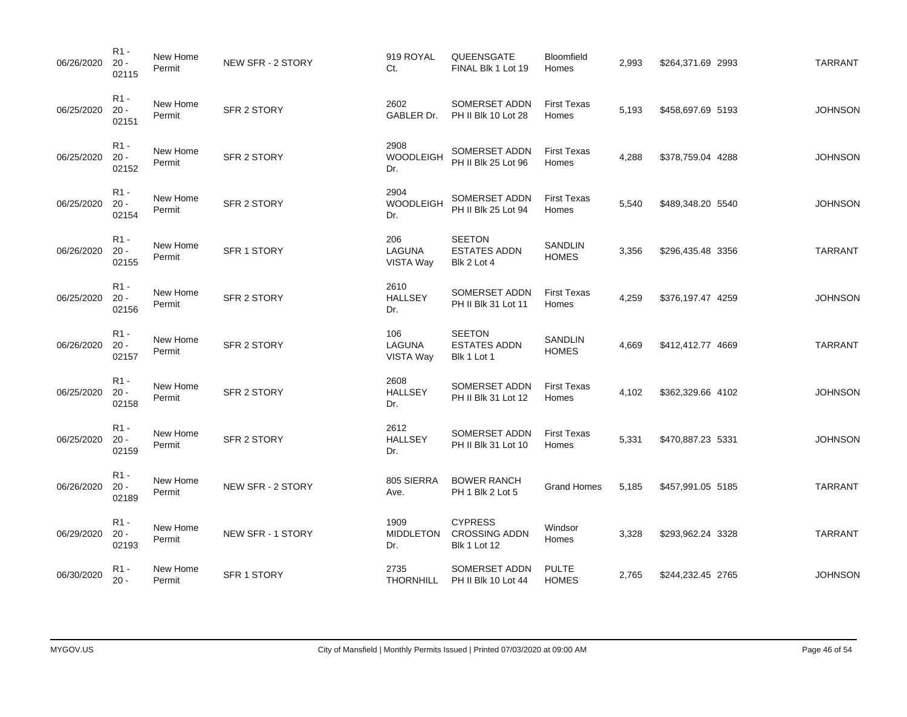| 06/26/2020 | R1 -<br>$20 -$<br>02115             | New Home<br>Permit | NEW SFR - 2 STORY        | 919 ROYAL<br>Ct.                | QUEENSGATE<br>FINAL Blk 1 Lot 19                              | Bloomfield<br>Homes            | 2,993 | \$264,371.69 2993 | <b>TARRANT</b> |
|------------|-------------------------------------|--------------------|--------------------------|---------------------------------|---------------------------------------------------------------|--------------------------------|-------|-------------------|----------------|
| 06/25/2020 | R <sub>1</sub> -<br>$20 -$<br>02151 | New Home<br>Permit | SFR 2 STORY              | 2602<br>GABLER Dr.              | SOMERSET ADDN<br>PH II Blk 10 Lot 28                          | <b>First Texas</b><br>Homes    | 5,193 | \$458,697.69 5193 | <b>JOHNSON</b> |
| 06/25/2020 | $R1 -$<br>$20 -$<br>02152           | New Home<br>Permit | SFR 2 STORY              | 2908<br>WOODLEIGH<br>Dr.        | SOMERSET ADDN<br>PH II Blk 25 Lot 96                          | <b>First Texas</b><br>Homes    | 4,288 | \$378,759.04 4288 | <b>JOHNSON</b> |
| 06/25/2020 | $R1 -$<br>$20 -$<br>02154           | New Home<br>Permit | SFR 2 STORY              | 2904<br>WOODLEIGH<br>Dr.        | SOMERSET ADDN<br>PH II Blk 25 Lot 94                          | <b>First Texas</b><br>Homes    | 5,540 | \$489,348.20 5540 | <b>JOHNSON</b> |
| 06/26/2020 | $R1 -$<br>$20 -$<br>02155           | New Home<br>Permit | SFR 1 STORY              | 206<br>LAGUNA<br>VISTA Way      | <b>SEETON</b><br><b>ESTATES ADDN</b><br>Blk 2 Lot 4           | SANDLIN<br><b>HOMES</b>        | 3,356 | \$296,435.48 3356 | <b>TARRANT</b> |
| 06/25/2020 | $R1 -$<br>$20 -$<br>02156           | New Home<br>Permit | <b>SFR 2 STORY</b>       | 2610<br><b>HALLSEY</b><br>Dr.   | SOMERSET ADDN<br>PH II Blk 31 Lot 11                          | <b>First Texas</b><br>Homes    | 4,259 | \$376,197.47 4259 | <b>JOHNSON</b> |
| 06/26/2020 | R1 -<br>$20 -$<br>02157             | New Home<br>Permit | SFR 2 STORY              | 106<br>LAGUNA<br>VISTA Way      | <b>SEETON</b><br><b>ESTATES ADDN</b><br>Blk 1 Lot 1           | <b>SANDLIN</b><br><b>HOMES</b> | 4,669 | \$412,412.77 4669 | <b>TARRANT</b> |
| 06/25/2020 | $R1 -$<br>$20 -$<br>02158           | New Home<br>Permit | SFR 2 STORY              | 2608<br><b>HALLSEY</b><br>Dr.   | SOMERSET ADDN<br>PH II Blk 31 Lot 12                          | <b>First Texas</b><br>Homes    | 4,102 | \$362,329.66 4102 | <b>JOHNSON</b> |
| 06/25/2020 | R1 -<br>$20 -$<br>02159             | New Home<br>Permit | SFR 2 STORY              | 2612<br><b>HALLSEY</b><br>Dr.   | SOMERSET ADDN<br>PH II Blk 31 Lot 10                          | <b>First Texas</b><br>Homes    | 5,331 | \$470,887.23 5331 | <b>JOHNSON</b> |
| 06/26/2020 | $R1 -$<br>$20 -$<br>02189           | New Home<br>Permit | <b>NEW SFR - 2 STORY</b> | 805 SIERRA<br>Ave.              | <b>BOWER RANCH</b><br>PH 1 Blk 2 Lot 5                        | <b>Grand Homes</b>             | 5,185 | \$457,991.05 5185 | <b>TARRANT</b> |
| 06/29/2020 | $R1 -$<br>$20 -$<br>02193           | New Home<br>Permit | NEW SFR - 1 STORY        | 1909<br><b>MIDDLETON</b><br>Dr. | <b>CYPRESS</b><br><b>CROSSING ADDN</b><br><b>Blk 1 Lot 12</b> | Windsor<br>Homes               | 3,328 | \$293,962.24 3328 | <b>TARRANT</b> |
| 06/30/2020 | R <sub>1</sub> -<br>$20 -$          | New Home<br>Permit | SFR 1 STORY              | 2735<br><b>THORNHILL</b>        | SOMERSET ADDN<br>PH II Blk 10 Lot 44                          | <b>PULTE</b><br><b>HOMES</b>   | 2,765 | \$244,232.45 2765 | <b>JOHNSON</b> |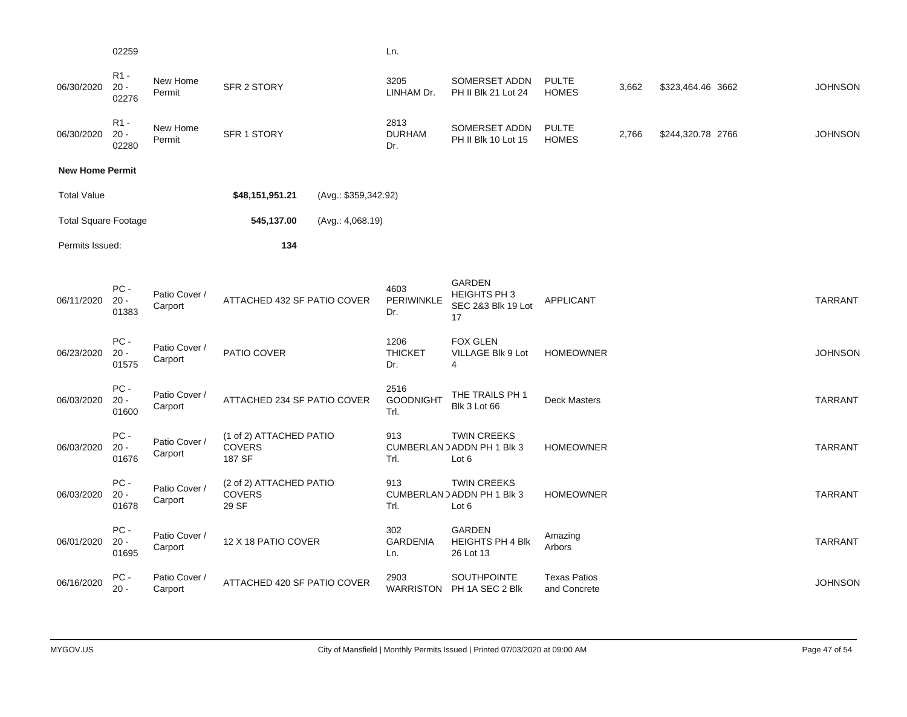| 02259 |  |  | Ln. |
|-------|--|--|-----|
|       |  |  |     |

R1 -

| 06/30/2020                  | $R_{1}$ -<br>$20 -$<br>02276 | New Home<br>Permit       | SFR 2 STORY                                        |                      | 3205<br>LINHAM Dr.               | SOMERSET ADDN<br>PH II Blk 21 Lot 24                      | <b>PULTE</b><br><b>HOMES</b>        | 3,662 | \$323,464.46 3662 | <b>JOHNSON</b> |
|-----------------------------|------------------------------|--------------------------|----------------------------------------------------|----------------------|----------------------------------|-----------------------------------------------------------|-------------------------------------|-------|-------------------|----------------|
| 06/30/2020                  | $R1 -$<br>$20 -$<br>02280    | New Home<br>Permit       | SFR 1 STORY                                        |                      | 2813<br><b>DURHAM</b><br>Dr.     | SOMERSET ADDN<br>PH II Blk 10 Lot 15                      | <b>PULTE</b><br><b>HOMES</b>        | 2,766 | \$244,320.78 2766 | <b>JOHNSON</b> |
| <b>New Home Permit</b>      |                              |                          |                                                    |                      |                                  |                                                           |                                     |       |                   |                |
| <b>Total Value</b>          |                              |                          | \$48,151,951.21                                    | (Avg.: \$359,342.92) |                                  |                                                           |                                     |       |                   |                |
| <b>Total Square Footage</b> |                              |                          | 545,137.00                                         | (Avg.: 4,068.19)     |                                  |                                                           |                                     |       |                   |                |
| Permits Issued:             |                              |                          | 134                                                |                      |                                  |                                                           |                                     |       |                   |                |
| 06/11/2020                  | PC-<br>$20 -$<br>01383       | Patio Cover /<br>Carport | ATTACHED 432 SF PATIO COVER                        |                      | 4603<br>PERIWINKLE<br>Dr.        | <b>GARDEN</b><br>HEIGHTS PH 3<br>SEC 2&3 Blk 19 Lot<br>17 | <b>APPLICANT</b>                    |       |                   | <b>TARRANT</b> |
| 06/23/2020                  | PC-<br>$20 -$<br>01575       | Patio Cover /<br>Carport | PATIO COVER                                        |                      | 1206<br><b>THICKET</b><br>Dr.    | <b>FOX GLEN</b><br>VILLAGE Blk 9 Lot<br>4                 | <b>HOMEOWNER</b>                    |       |                   | <b>JOHNSON</b> |
| 06/03/2020                  | PC-<br>$20 -$<br>01600       | Patio Cover /<br>Carport | ATTACHED 234 SF PATIO COVER                        |                      | 2516<br><b>GOODNIGHT</b><br>Trl. | THE TRAILS PH 1<br><b>Blk 3 Lot 66</b>                    | <b>Deck Masters</b>                 |       |                   | <b>TARRANT</b> |
| 06/03/2020                  | PC-<br>$20 -$<br>01676       | Patio Cover /<br>Carport | (1 of 2) ATTACHED PATIO<br><b>COVERS</b><br>187 SF |                      | 913<br>Trl.                      | <b>TWIN CREEKS</b><br>CUMBERLAND ADDN PH 1 Blk 3<br>Lot 6 | <b>HOMEOWNER</b>                    |       |                   | <b>TARRANT</b> |
| 06/03/2020                  | PC-<br>$20 -$<br>01678       | Patio Cover /<br>Carport | (2 of 2) ATTACHED PATIO<br><b>COVERS</b><br>29 SF  |                      | 913<br>Trl.                      | <b>TWIN CREEKS</b><br>CUMBERLAND ADDN PH 1 Blk 3<br>Lot 6 | <b>HOMEOWNER</b>                    |       |                   | <b>TARRANT</b> |
| 06/01/2020                  | PC-<br>$20 -$<br>01695       | Patio Cover /<br>Carport | 12 X 18 PATIO COVER                                |                      | 302<br><b>GARDENIA</b><br>Ln.    | <b>GARDEN</b><br><b>HEIGHTS PH 4 Blk</b><br>26 Lot 13     | Amazing<br>Arbors                   |       |                   | <b>TARRANT</b> |
| 06/16/2020                  | PC-<br>$20 -$                | Patio Cover /<br>Carport | ATTACHED 420 SF PATIO COVER                        |                      | 2903                             | SOUTHPOINTE<br>WARRISTON PH 1A SEC 2 Blk                  | <b>Texas Patios</b><br>and Concrete |       |                   | <b>JOHNSON</b> |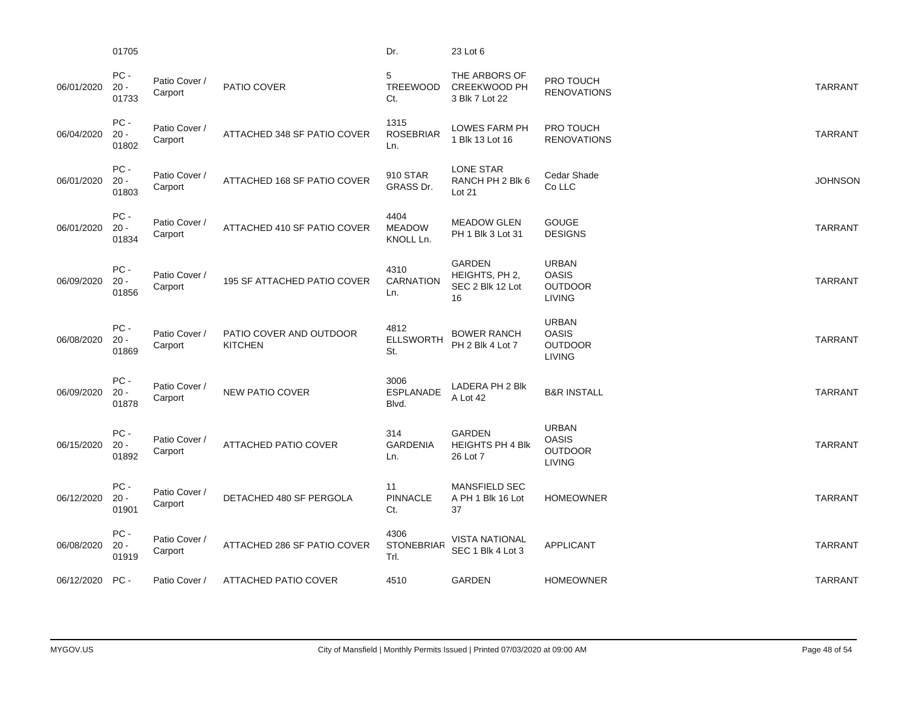|            | 01705                   |                          |                                           | Dr.                                | 23 Lot 6                                               |                                                                 |                |
|------------|-------------------------|--------------------------|-------------------------------------------|------------------------------------|--------------------------------------------------------|-----------------------------------------------------------------|----------------|
| 06/01/2020 | PC -<br>$20 -$<br>01733 | Patio Cover /<br>Carport | PATIO COVER                               | 5<br>TREEWOOD<br>Ct.               | THE ARBORS OF<br><b>CREEKWOOD PH</b><br>3 Blk 7 Lot 22 | PRO TOUCH<br><b>RENOVATIONS</b>                                 | <b>TARRANT</b> |
| 06/04/2020 | PC-<br>$20 -$<br>01802  | Patio Cover /<br>Carport | ATTACHED 348 SF PATIO COVER               | 1315<br><b>ROSEBRIAR</b><br>Ln.    | LOWES FARM PH<br>1 Blk 13 Lot 16                       | PRO TOUCH<br><b>RENOVATIONS</b>                                 | <b>TARRANT</b> |
| 06/01/2020 | PC-<br>$20 -$<br>01803  | Patio Cover /<br>Carport | ATTACHED 168 SF PATIO COVER               | 910 STAR<br>GRASS Dr.              | <b>LONE STAR</b><br>RANCH PH 2 Blk 6<br>Lot 21         | Cedar Shade<br>Co LLC                                           | <b>JOHNSON</b> |
| 06/01/2020 | PC-<br>$20 -$<br>01834  | Patio Cover /<br>Carport | ATTACHED 410 SF PATIO COVER               | 4404<br><b>MEADOW</b><br>KNOLL Ln. | <b>MEADOW GLEN</b><br>PH 1 Blk 3 Lot 31                | <b>GOUGE</b><br><b>DESIGNS</b>                                  | <b>TARRANT</b> |
| 06/09/2020 | PC-<br>$20 -$<br>01856  | Patio Cover /<br>Carport | 195 SF ATTACHED PATIO COVER               | 4310<br><b>CARNATION</b><br>Ln.    | GARDEN<br>HEIGHTS, PH 2,<br>SEC 2 Blk 12 Lot<br>16     | <b>URBAN</b><br><b>OASIS</b><br><b>OUTDOOR</b><br><b>LIVING</b> | <b>TARRANT</b> |
| 06/08/2020 | PC-<br>$20 -$<br>01869  | Patio Cover /<br>Carport | PATIO COVER AND OUTDOOR<br><b>KITCHEN</b> | 4812<br><b>ELLSWORTH</b><br>St.    | <b>BOWER RANCH</b><br>PH 2 Blk 4 Lot 7                 | <b>URBAN</b><br><b>OASIS</b><br><b>OUTDOOR</b><br><b>LIVING</b> | <b>TARRANT</b> |
| 06/09/2020 | PC-<br>$20 -$<br>01878  | Patio Cover /<br>Carport | <b>NEW PATIO COVER</b>                    | 3006<br><b>ESPLANADE</b><br>Blvd.  | LADERA PH 2 Blk<br>A Lot 42                            | <b>B&amp;R INSTALL</b>                                          | <b>TARRANT</b> |
| 06/15/2020 | PC-<br>$20 -$<br>01892  | Patio Cover /<br>Carport | ATTACHED PATIO COVER                      | 314<br><b>GARDENIA</b><br>Ln.      | <b>GARDEN</b><br><b>HEIGHTS PH 4 Blk</b><br>26 Lot 7   | <b>URBAN</b><br><b>OASIS</b><br><b>OUTDOOR</b><br><b>LIVING</b> | <b>TARRANT</b> |
| 06/12/2020 | PC-<br>$20 -$<br>01901  | Patio Cover /<br>Carport | DETACHED 480 SF PERGOLA                   | 11<br><b>PINNACLE</b><br>Ct.       | <b>MANSFIELD SEC</b><br>A PH 1 Blk 16 Lot<br>37        | <b>HOMEOWNER</b>                                                | <b>TARRANT</b> |
| 06/08/2020 | PC -<br>$20 -$<br>01919 | Patio Cover /<br>Carport | ATTACHED 286 SF PATIO COVER               | 4306<br><b>STONEBRIAR</b><br>Trl.  | <b>VISTA NATIONAL</b><br>SEC 1 Blk 4 Lot 3             | <b>APPLICANT</b>                                                | <b>TARRANT</b> |
| 06/12/2020 | PC-                     | Patio Cover /            | ATTACHED PATIO COVER                      | 4510                               | GARDEN                                                 | <b>HOMEOWNER</b>                                                | <b>TARRANT</b> |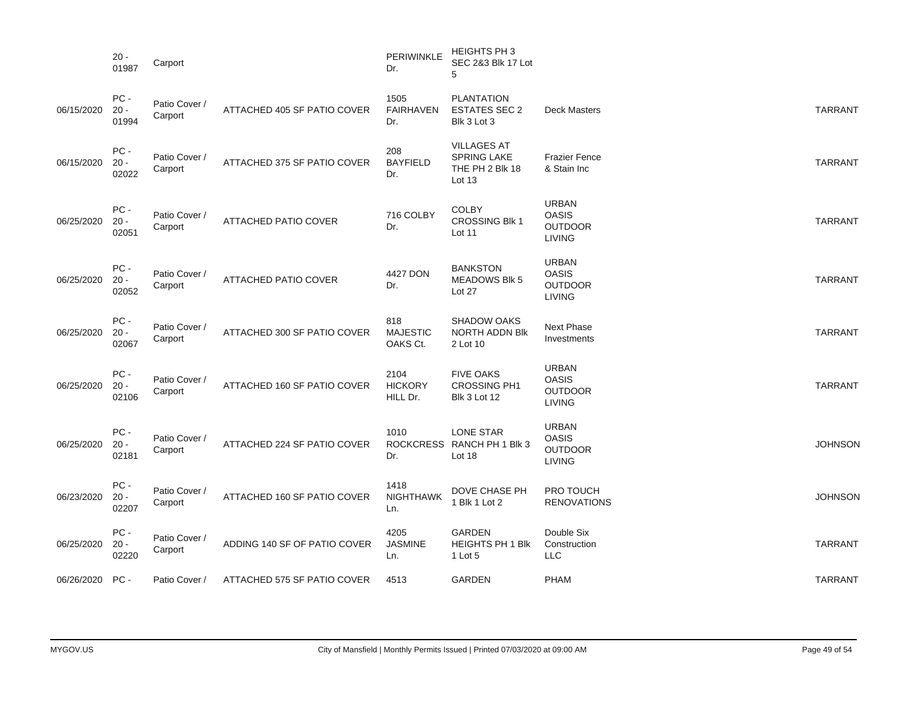|            | $20 -$<br>01987        | Carport                  |                              | PERIWINKLE<br>Dr.                  | HEIGHTS PH 3<br>SEC 2&3 Blk 17 Lot<br>5                          |                                                                 |                |
|------------|------------------------|--------------------------|------------------------------|------------------------------------|------------------------------------------------------------------|-----------------------------------------------------------------|----------------|
| 06/15/2020 | PC-<br>$20 -$<br>01994 | Patio Cover /<br>Carport | ATTACHED 405 SF PATIO COVER  | 1505<br><b>FAIRHAVEN</b><br>Dr.    | <b>PLANTATION</b><br><b>ESTATES SEC 2</b><br>Blk 3 Lot 3         | <b>Deck Masters</b>                                             | <b>TARRANT</b> |
| 06/15/2020 | PC-<br>$20 -$<br>02022 | Patio Cover /<br>Carport | ATTACHED 375 SF PATIO COVER  | 208<br><b>BAYFIELD</b><br>Dr.      | <b>VILLAGES AT</b><br>SPRING LAKE<br>THE PH 2 Blk 18<br>Lot $13$ | <b>Frazier Fence</b><br>& Stain Inc                             | <b>TARRANT</b> |
| 06/25/2020 | PC-<br>$20 -$<br>02051 | Patio Cover /<br>Carport | ATTACHED PATIO COVER         | 716 COLBY<br>Dr.                   | <b>COLBY</b><br><b>CROSSING Blk 1</b><br>Lot 11                  | <b>URBAN</b><br><b>OASIS</b><br><b>OUTDOOR</b><br><b>LIVING</b> | <b>TARRANT</b> |
| 06/25/2020 | PC-<br>$20 -$<br>02052 | Patio Cover /<br>Carport | ATTACHED PATIO COVER         | 4427 DON<br>Dr.                    | <b>BANKSTON</b><br><b>MEADOWS BIK 5</b><br>Lot 27                | <b>URBAN</b><br><b>OASIS</b><br><b>OUTDOOR</b><br><b>LIVING</b> | <b>TARRANT</b> |
| 06/25/2020 | PC-<br>$20 -$<br>02067 | Patio Cover /<br>Carport | ATTACHED 300 SF PATIO COVER  | 818<br><b>MAJESTIC</b><br>OAKS Ct. | <b>SHADOW OAKS</b><br><b>NORTH ADDN BIK</b><br>2 Lot 10          | Next Phase<br>Investments                                       | <b>TARRANT</b> |
| 06/25/2020 | PC-<br>$20 -$<br>02106 | Patio Cover /<br>Carport | ATTACHED 160 SF PATIO COVER  | 2104<br><b>HICKORY</b><br>HILL Dr. | <b>FIVE OAKS</b><br><b>CROSSING PH1</b><br><b>Blk 3 Lot 12</b>   | <b>URBAN</b><br><b>OASIS</b><br><b>OUTDOOR</b><br><b>LIVING</b> | <b>TARRANT</b> |
| 06/25/2020 | PC-<br>$20 -$<br>02181 | Patio Cover /<br>Carport | ATTACHED 224 SF PATIO COVER  | 1010<br>Dr.                        | LONE STAR<br>ROCKCRESS RANCH PH 1 Blk 3<br>Lot $18$              | <b>URBAN</b><br><b>OASIS</b><br><b>OUTDOOR</b><br><b>LIVING</b> | <b>JOHNSON</b> |
| 06/23/2020 | PC-<br>$20 -$<br>02207 | Patio Cover /<br>Carport | ATTACHED 160 SF PATIO COVER  | 1418<br><b>NIGHTHAWK</b><br>Ln.    | DOVE CHASE PH<br>1 Blk 1 Lot 2                                   | PRO TOUCH<br><b>RENOVATIONS</b>                                 | <b>JOHNSON</b> |
| 06/25/2020 | PC-<br>$20 -$<br>02220 | Patio Cover /<br>Carport | ADDING 140 SF OF PATIO COVER | 4205<br><b>JASMINE</b><br>Ln.      | <b>GARDEN</b><br><b>HEIGHTS PH 1 Blk</b><br>1 Lot 5              | Double Six<br>Construction<br><b>LLC</b>                        | <b>TARRANT</b> |
| 06/26/2020 | PC-                    | Patio Cover /            | ATTACHED 575 SF PATIO COVER  | 4513                               | GARDEN                                                           | <b>PHAM</b>                                                     | <b>TARRANT</b> |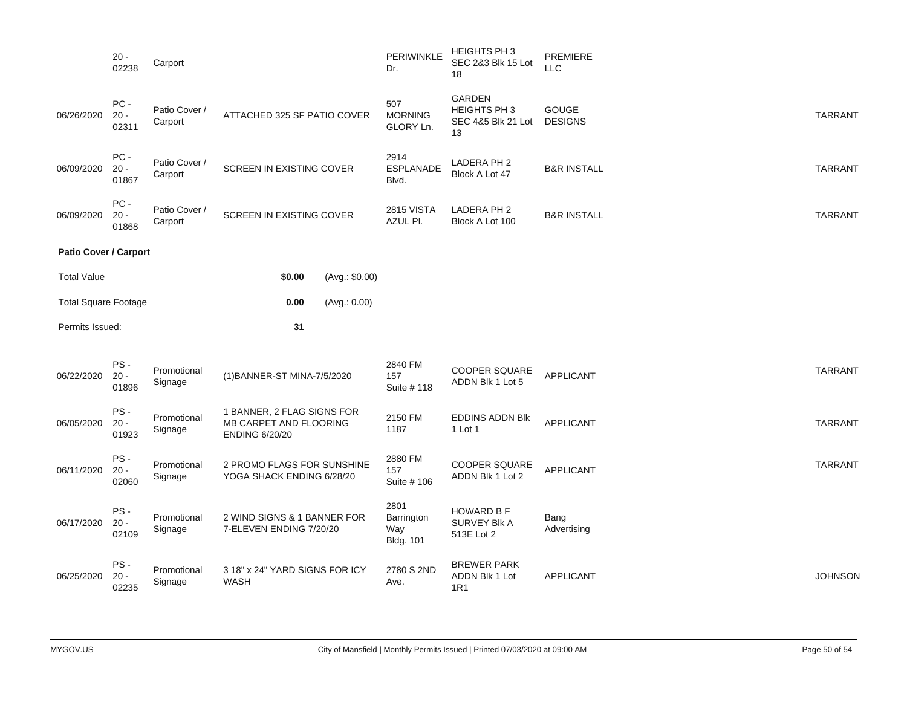|                              | $20 -$<br>02238           | Carport                  |                                                                               |                | PERIWINKLE<br>Dr.                             | HEIGHTS PH 3<br>SEC 2&3 Blk 15 Lot<br>18                  | PREMIERE<br>LLC         |                |
|------------------------------|---------------------------|--------------------------|-------------------------------------------------------------------------------|----------------|-----------------------------------------------|-----------------------------------------------------------|-------------------------|----------------|
| 06/26/2020                   | $PC -$<br>$20 -$<br>02311 | Patio Cover /<br>Carport | ATTACHED 325 SF PATIO COVER                                                   |                | 507<br><b>MORNING</b><br>GLORY Ln.            | GARDEN<br><b>HEIGHTS PH 3</b><br>SEC 4&5 Blk 21 Lot<br>13 | GOUGE<br><b>DESIGNS</b> | <b>TARRANT</b> |
| 06/09/2020                   | $PC$ -<br>$20 -$<br>01867 | Patio Cover /<br>Carport | SCREEN IN EXISTING COVER                                                      |                | 2914<br><b>ESPLANADE</b><br>Blvd.             | LADERA PH 2<br>Block A Lot 47                             | <b>B&amp;R INSTALL</b>  | <b>TARRANT</b> |
| 06/09/2020                   | PC-<br>$20 -$<br>01868    | Patio Cover /<br>Carport | SCREEN IN EXISTING COVER                                                      |                | <b>2815 VISTA</b><br>AZUL PI.                 | LADERA PH 2<br>Block A Lot 100                            | <b>B&amp;R INSTALL</b>  | <b>TARRANT</b> |
| <b>Patio Cover / Carport</b> |                           |                          |                                                                               |                |                                               |                                                           |                         |                |
| <b>Total Value</b>           |                           |                          | \$0.00                                                                        | (Avg.: \$0.00) |                                               |                                                           |                         |                |
| <b>Total Square Footage</b>  |                           |                          | 0.00                                                                          | (Avg.: 0.00)   |                                               |                                                           |                         |                |
| Permits Issued:              |                           |                          | 31                                                                            |                |                                               |                                                           |                         |                |
| 06/22/2020                   | PS-<br>$20 -$<br>01896    | Promotional<br>Signage   | (1) BANNER-ST MINA-7/5/2020                                                   |                | 2840 FM<br>157<br>Suite # 118                 | COOPER SQUARE<br>ADDN Blk 1 Lot 5                         | <b>APPLICANT</b>        | <b>TARRANT</b> |
| 06/05/2020                   | PS-<br>$20 -$<br>01923    | Promotional<br>Signage   | 1 BANNER, 2 FLAG SIGNS FOR<br>MB CARPET AND FLOORING<br><b>ENDING 6/20/20</b> |                | 2150 FM<br>1187                               | <b>EDDINS ADDN BIK</b><br>1 Lot 1                         | APPLICANT               | <b>TARRANT</b> |
| 06/11/2020                   | PS-<br>$20 -$<br>02060    | Promotional<br>Signage   | 2 PROMO FLAGS FOR SUNSHINE<br>YOGA SHACK ENDING 6/28/20                       |                | 2880 FM<br>157<br>Suite # 106                 | <b>COOPER SQUARE</b><br>ADDN Blk 1 Lot 2                  | <b>APPLICANT</b>        | <b>TARRANT</b> |
| 06/17/2020                   | PS-<br>$20 -$<br>02109    | Promotional<br>Signage   | 2 WIND SIGNS & 1 BANNER FOR<br>7-ELEVEN ENDING 7/20/20                        |                | 2801<br>Barrington<br>Way<br><b>Bldg. 101</b> | <b>HOWARD B F</b><br>SURVEY Blk A<br>513E Lot 2           | Bang<br>Advertising     |                |
| 06/25/2020                   | PS-                       | Promotional              | 3 18" x 24" YARD SIGNS FOR ICY                                                |                | 2780 S 2ND                                    | <b>BREWER PARK</b>                                        |                         |                |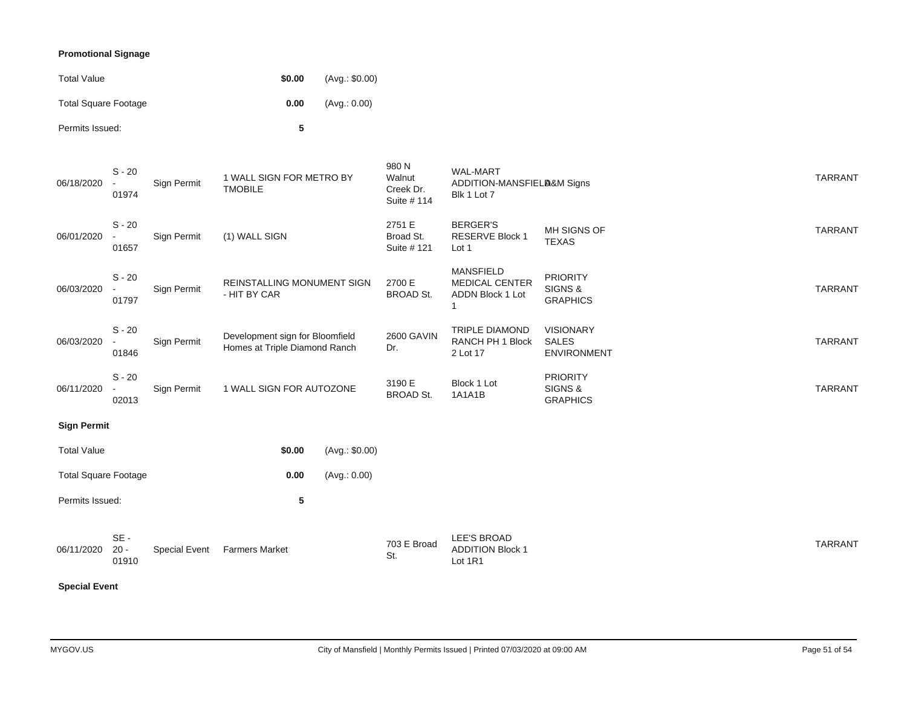### **Promotional Signage**

| <b>Total Value</b>          | \$0.00 | (Avg.: \$0.00) |
|-----------------------------|--------|----------------|
| <b>Total Square Footage</b> | 0.00   | (Avq.: 0.00)   |
| Permits Issued:             | 5      |                |

| <b>Special Event</b>        |                                               |               |                                                                  |                |                                             |                                                              |                                                        |                |
|-----------------------------|-----------------------------------------------|---------------|------------------------------------------------------------------|----------------|---------------------------------------------|--------------------------------------------------------------|--------------------------------------------------------|----------------|
| 06/11/2020                  | $SE -$<br>$20 -$<br>01910                     | Special Event | <b>Farmers Market</b>                                            |                | 703 E Broad<br>St.                          | <b>LEE'S BROAD</b><br><b>ADDITION Block 1</b><br>Lot 1R1     |                                                        | <b>TARRANT</b> |
| Permits Issued:             |                                               |               | 5                                                                |                |                                             |                                                              |                                                        |                |
| <b>Total Square Footage</b> |                                               |               | 0.00                                                             | (Avg.: 0.00)   |                                             |                                                              |                                                        |                |
| <b>Total Value</b>          |                                               |               | \$0.00                                                           | (Avg.: \$0.00) |                                             |                                                              |                                                        |                |
| <b>Sign Permit</b>          |                                               |               |                                                                  |                |                                             |                                                              |                                                        |                |
| 06/11/2020                  | $S - 20$<br>02013                             | Sign Permit   | 1 WALL SIGN FOR AUTOZONE                                         |                | 3190 E<br><b>BROAD St.</b>                  | Block 1 Lot<br><b>1A1A1B</b>                                 | <b>PRIORITY</b><br>SIGNS &<br><b>GRAPHICS</b>          | <b>TARRANT</b> |
| 06/03/2020                  | $S - 20$<br>01846                             | Sign Permit   | Development sign for Bloomfield<br>Homes at Triple Diamond Ranch |                | <b>2600 GAVIN</b><br>Dr.                    | TRIPLE DIAMOND<br>RANCH PH 1 Block<br>2 Lot 17               | <b>VISIONARY</b><br><b>SALES</b><br><b>ENVIRONMENT</b> | <b>TARRANT</b> |
| 06/03/2020                  | $S - 20$<br>01797                             | Sign Permit   | REINSTALLING MONUMENT SIGN<br>- HIT BY CAR                       |                | 2700 E<br><b>BROAD St.</b>                  | <b>MANSFIELD</b><br>MEDICAL CENTER<br>ADDN Block 1 Lot       | <b>PRIORITY</b><br>SIGNS &<br><b>GRAPHICS</b>          | <b>TARRANT</b> |
| 06/01/2020                  | $S - 20$<br>$\sim$<br>01657                   | Sign Permit   | (1) WALL SIGN                                                    |                | 2751 E<br>Broad St.<br>Suite # 121          | <b>BERGER'S</b><br><b>RESERVE Block 1</b><br>Lot 1           | MH SIGNS OF<br><b>TEXAS</b>                            | <b>TARRANT</b> |
| 06/18/2020                  | $S - 20$<br>$\overline{\phantom{a}}$<br>01974 | Sign Permit   | 1 WALL SIGN FOR METRO BY<br><b>TMOBILE</b>                       |                | 980 N<br>Walnut<br>Creek Dr.<br>Suite # 114 | <b>WAL-MART</b><br>ADDITION-MANSFIELA&M Signs<br>Blk 1 Lot 7 |                                                        | <b>TARRANT</b> |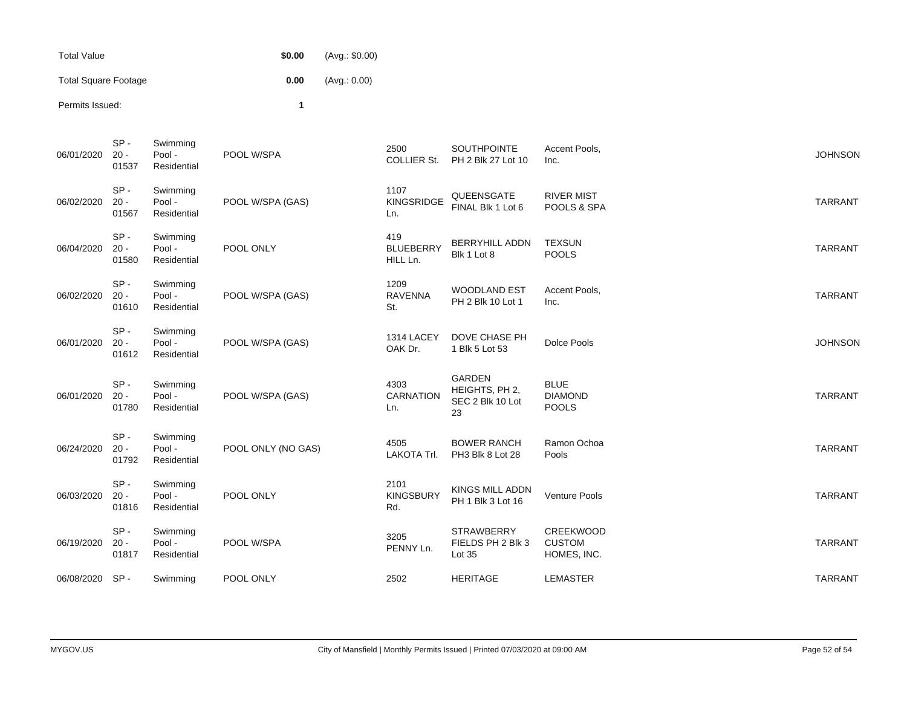| Total Value                 | \$0.00 | (Avq.: \$0.00) |
|-----------------------------|--------|----------------|
| <b>Total Square Footage</b> | 0.00   | (Avq.: 0.00)   |
| Permits Issued:             |        |                |

| 06/01/2020 | SP-<br>$20 -$<br>01537    | Swimming<br>Pool -<br>Residential | POOL W/SPA         | 2500<br><b>COLLIER St.</b>          | SOUTHPOINTE<br>PH 2 Blk 27 Lot 10                         | Accent Pools,<br>Inc.                         | <b>JOHNSON</b> |
|------------|---------------------------|-----------------------------------|--------------------|-------------------------------------|-----------------------------------------------------------|-----------------------------------------------|----------------|
| 06/02/2020 | $SP -$<br>$20 -$<br>01567 | Swimming<br>Pool -<br>Residential | POOL W/SPA (GAS)   | 1107<br>KINGSRIDGE<br>Ln.           | QUEENSGATE<br>FINAL Blk 1 Lot 6                           | <b>RIVER MIST</b><br>POOLS & SPA              | <b>TARRANT</b> |
| 06/04/2020 | $SP -$<br>$20 -$<br>01580 | Swimming<br>Pool -<br>Residential | POOL ONLY          | 419<br><b>BLUEBERRY</b><br>HILL Ln. | <b>BERRYHILL ADDN</b><br>Blk 1 Lot 8                      | <b>TEXSUN</b><br><b>POOLS</b>                 | <b>TARRANT</b> |
| 06/02/2020 | SP-<br>$20 -$<br>01610    | Swimming<br>Pool -<br>Residential | POOL W/SPA (GAS)   | 1209<br><b>RAVENNA</b><br>St.       | <b>WOODLAND EST</b><br>PH 2 Blk 10 Lot 1                  | Accent Pools,<br>Inc.                         | <b>TARRANT</b> |
| 06/01/2020 | SP-<br>$20 -$<br>01612    | Swimming<br>Pool -<br>Residential | POOL W/SPA (GAS)   | 1314 LACEY<br>OAK Dr.               | DOVE CHASE PH<br>1 Blk 5 Lot 53                           | Dolce Pools                                   | <b>JOHNSON</b> |
| 06/01/2020 | $SP -$<br>$20 -$<br>01780 | Swimming<br>Pool -<br>Residential | POOL W/SPA (GAS)   | 4303<br>CARNATION<br>Ln.            | <b>GARDEN</b><br>HEIGHTS, PH 2,<br>SEC 2 Blk 10 Lot<br>23 | <b>BLUE</b><br><b>DIAMOND</b><br><b>POOLS</b> | <b>TARRANT</b> |
| 06/24/2020 | $SP -$<br>$20 -$<br>01792 | Swimming<br>Pool -<br>Residential | POOL ONLY (NO GAS) | 4505<br>LAKOTA Trl.                 | <b>BOWER RANCH</b><br>PH3 Blk 8 Lot 28                    | Ramon Ochoa<br>Pools                          | <b>TARRANT</b> |
| 06/03/2020 | $SP -$<br>$20 -$<br>01816 | Swimming<br>Pool -<br>Residential | POOL ONLY          | 2101<br><b>KINGSBURY</b><br>Rd.     | <b>KINGS MILL ADDN</b><br>PH 1 Blk 3 Lot 16               | Venture Pools                                 | <b>TARRANT</b> |
| 06/19/2020 | $SP -$<br>$20 -$<br>01817 | Swimming<br>Pool -<br>Residential | POOL W/SPA         | 3205<br>PENNY Ln.                   | <b>STRAWBERRY</b><br>FIELDS PH 2 Blk 3<br>Lot 35          | CREEKWOOD<br><b>CUSTOM</b><br>HOMES, INC.     | <b>TARRANT</b> |
| 06/08/2020 | SP-                       | Swimming                          | POOL ONLY          | 2502                                | <b>HERITAGE</b>                                           | <b>LEMASTER</b>                               | <b>TARRANT</b> |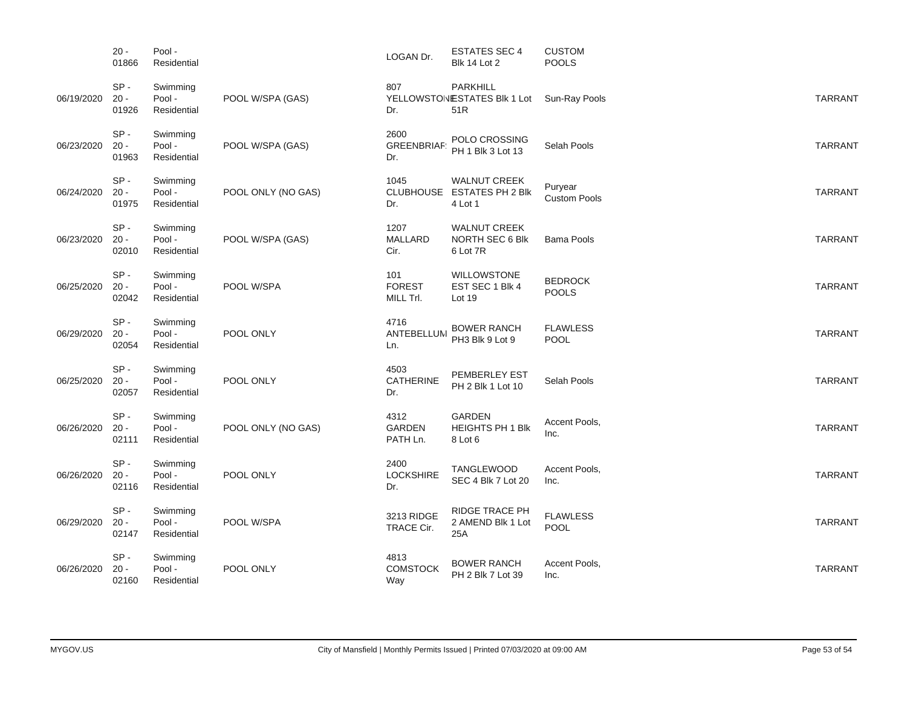|            | $20 -$<br>01866           | Pool -<br>Residential             |                    | LOGAN Dr.                         | <b>ESTATES SEC 4</b><br><b>Blk 14 Lot 2</b>                  | <b>CUSTOM</b><br><b>POOLS</b>  |                |
|------------|---------------------------|-----------------------------------|--------------------|-----------------------------------|--------------------------------------------------------------|--------------------------------|----------------|
| 06/19/2020 | $SP -$<br>$20 -$<br>01926 | Swimming<br>Pool -<br>Residential | POOL W/SPA (GAS)   | 807<br>Dr.                        | PARKHILL<br>YELLOWSTONESTATES BIK 1 Lot<br>51R               | Sun-Ray Pools                  | <b>TARRANT</b> |
| 06/23/2020 | $SP -$<br>$20 -$<br>01963 | Swimming<br>Pool -<br>Residential | POOL W/SPA (GAS)   | 2600<br><b>GREENBRIAF</b><br>Dr.  | POLO CROSSING<br>PH 1 Blk 3 Lot 13                           | Selah Pools                    | <b>TARRANT</b> |
| 06/24/2020 | $SP -$<br>$20 -$<br>01975 | Swimming<br>Pool -<br>Residential | POOL ONLY (NO GAS) | 1045<br>Dr.                       | <b>WALNUT CREEK</b><br>CLUBHOUSE ESTATES PH 2 Blk<br>4 Lot 1 | Puryear<br><b>Custom Pools</b> | <b>TARRANT</b> |
| 06/23/2020 | $SP -$<br>$20 -$<br>02010 | Swimming<br>Pool -<br>Residential | POOL W/SPA (GAS)   | 1207<br><b>MALLARD</b><br>Cir.    | <b>WALNUT CREEK</b><br>NORTH SEC 6 Blk<br>6 Lot 7R           | <b>Bama Pools</b>              | <b>TARRANT</b> |
| 06/25/2020 | $SP -$<br>$20 -$<br>02042 | Swimming<br>Pool -<br>Residential | POOL W/SPA         | 101<br><b>FOREST</b><br>MILL Trl. | <b>WILLOWSTONE</b><br>EST SEC 1 Blk 4<br>Lot 19              | <b>BEDROCK</b><br><b>POOLS</b> | <b>TARRANT</b> |
| 06/29/2020 | $SP -$<br>$20 -$<br>02054 | Swimming<br>Pool -<br>Residential | POOL ONLY          | 4716<br>ANTEBELLUM<br>Ln.         | <b>BOWER RANCH</b><br>PH3 Blk 9 Lot 9                        | <b>FLAWLESS</b><br>POOL        | <b>TARRANT</b> |
| 06/25/2020 | $SP -$<br>$20 -$<br>02057 | Swimming<br>Pool -<br>Residential | POOL ONLY          | 4503<br>CATHERINE<br>Dr.          | PEMBERLEY EST<br>PH 2 Blk 1 Lot 10                           | Selah Pools                    | <b>TARRANT</b> |
| 06/26/2020 | $SP -$<br>$20 -$<br>02111 | Swimming<br>Pool -<br>Residential | POOL ONLY (NO GAS) | 4312<br><b>GARDEN</b><br>PATH Ln. | GARDEN<br><b>HEIGHTS PH 1 Blk</b><br>8 Lot 6                 | Accent Pools,<br>Inc.          | <b>TARRANT</b> |
| 06/26/2020 | $SP -$<br>$20 -$<br>02116 | Swimming<br>Pool -<br>Residential | POOL ONLY          | 2400<br><b>LOCKSHIRE</b><br>Dr.   | TANGLEWOOD<br>SEC 4 Blk 7 Lot 20                             | Accent Pools,<br>Inc.          | <b>TARRANT</b> |
| 06/29/2020 | $SP -$<br>$20 -$<br>02147 | Swimming<br>Pool -<br>Residential | POOL W/SPA         | 3213 RIDGE<br>TRACE Cir.          | RIDGE TRACE PH<br>2 AMEND Blk 1 Lot<br>25A                   | <b>FLAWLESS</b><br><b>POOL</b> | <b>TARRANT</b> |
| 06/26/2020 | $SP -$<br>$20 -$<br>02160 | Swimming<br>Pool -<br>Residential | POOL ONLY          | 4813<br><b>COMSTOCK</b><br>Way    | <b>BOWER RANCH</b><br>PH 2 Blk 7 Lot 39                      | Accent Pools,<br>Inc.          | <b>TARRANT</b> |